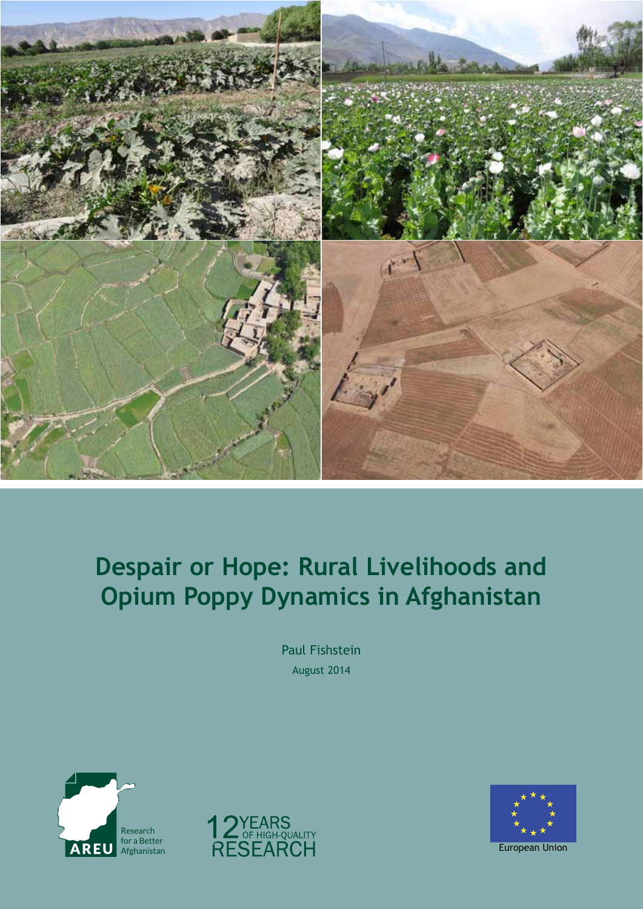

# **Despair or Hope: Rural Livelihoods and Opium Poppy Dynamics in Afghanistan**

Paul Fishstein August 2014





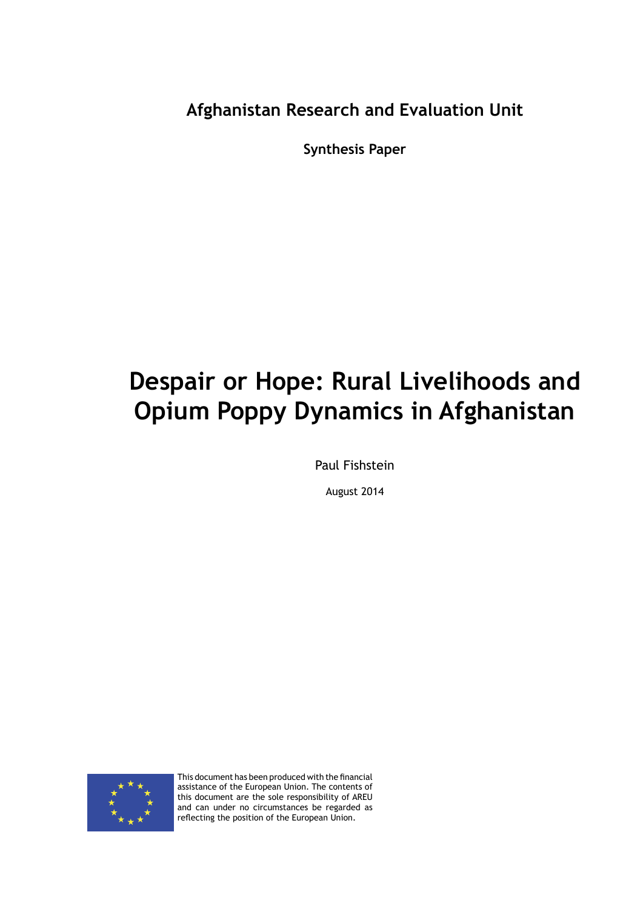**Afghanistan Research and Evaluation Unit**

**Synthesis Paper**

# **Despair or Hope: Rural Livelihoods and Opium Poppy Dynamics in Afghanistan**

Paul Fishstein

August 2014



This document has been produced with the financial assistance of the European Union. The contents of this document are the sole responsibility of AREU and can under no circumstances be regarded as reflecting the position of the European Union.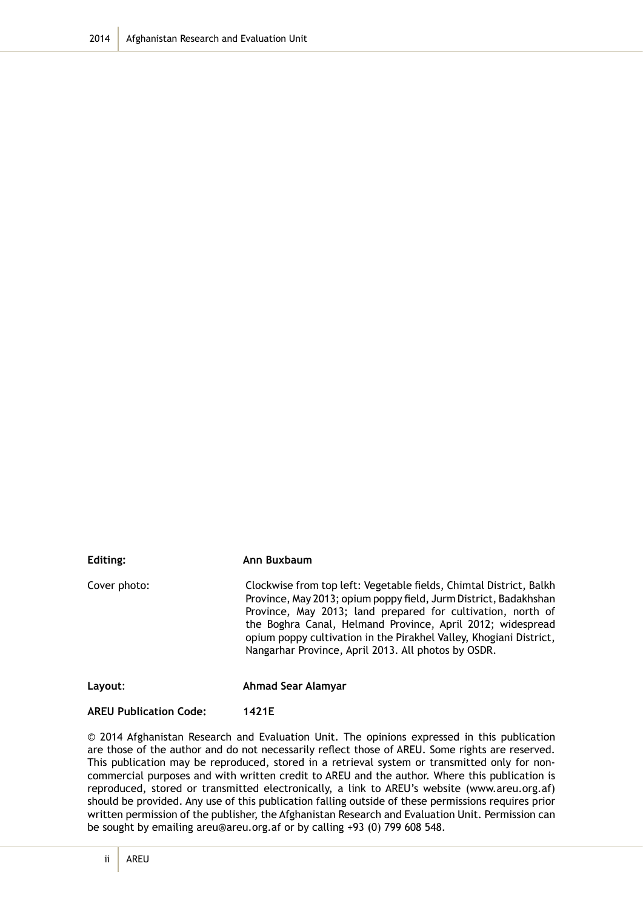| Editing:     | Ann Buxbaum                                                                                                                                                                                                                                                                                                                                                                                      |
|--------------|--------------------------------------------------------------------------------------------------------------------------------------------------------------------------------------------------------------------------------------------------------------------------------------------------------------------------------------------------------------------------------------------------|
| Cover photo: | Clockwise from top left: Vegetable fields, Chimtal District, Balkh<br>Province, May 2013; opium poppy field, Jurm District, Badakhshan<br>Province, May 2013; land prepared for cultivation, north of<br>the Boghra Canal, Helmand Province, April 2012; widespread<br>opium poppy cultivation in the Pirakhel Valley, Khogiani District,<br>Nangarhar Province, April 2013. All photos by OSDR. |
| Layout:      | Ahmad Sear Alamyar                                                                                                                                                                                                                                                                                                                                                                               |

#### **AREU Publication Code: 1421E**

© 2014 Afghanistan Research and Evaluation Unit. The opinions expressed in this publication are those of the author and do not necessarily reflect those of AREU. Some rights are reserved. This publication may be reproduced, stored in a retrieval system or transmitted only for noncommercial purposes and with written credit to AREU and the author. Where this publication is reproduced, stored or transmitted electronically, a link to AREU's website (www.areu.org.af) should be provided. Any use of this publication falling outside of these permissions requires prior written permission of the publisher, the Afghanistan Research and Evaluation Unit. Permission can be sought by emailing areu@areu.org.af or by calling +93 (0) 799 608 548.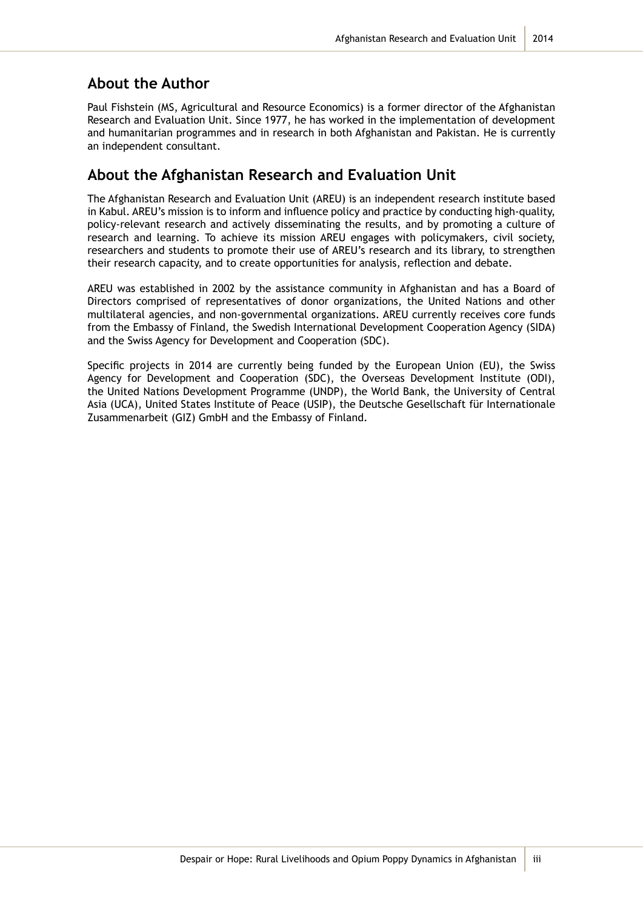#### **About the Author**

Paul Fishstein (MS, Agricultural and Resource Economics) is a former director of the Afghanistan Research and Evaluation Unit. Since 1977, he has worked in the implementation of development and humanitarian programmes and in research in both Afghanistan and Pakistan. He is currently an independent consultant.

### **About the Afghanistan Research and Evaluation Unit**

The Afghanistan Research and Evaluation Unit (AREU) is an independent research institute based in Kabul. AREU's mission is to inform and influence policy and practice by conducting high-quality, policy-relevant research and actively disseminating the results, and by promoting a culture of research and learning. To achieve its mission AREU engages with policymakers, civil society, researchers and students to promote their use of AREU's research and its library, to strengthen their research capacity, and to create opportunities for analysis, reflection and debate.

AREU was established in 2002 by the assistance community in Afghanistan and has a Board of Directors comprised of representatives of donor organizations, the United Nations and other multilateral agencies, and non-governmental organizations. AREU currently receives core funds from the Embassy of Finland, the Swedish International Development Cooperation Agency (SIDA) and the Swiss Agency for Development and Cooperation (SDC).

Specific projects in 2014 are currently being funded by the European Union (EU), the Swiss Agency for Development and Cooperation (SDC), the Overseas Development Institute (ODI), the United Nations Development Programme (UNDP), the World Bank, the University of Central Asia (UCA), United States Institute of Peace (USIP), the Deutsche Gesellschaft für Internationale Zusammenarbeit (GIZ) GmbH and the Embassy of Finland.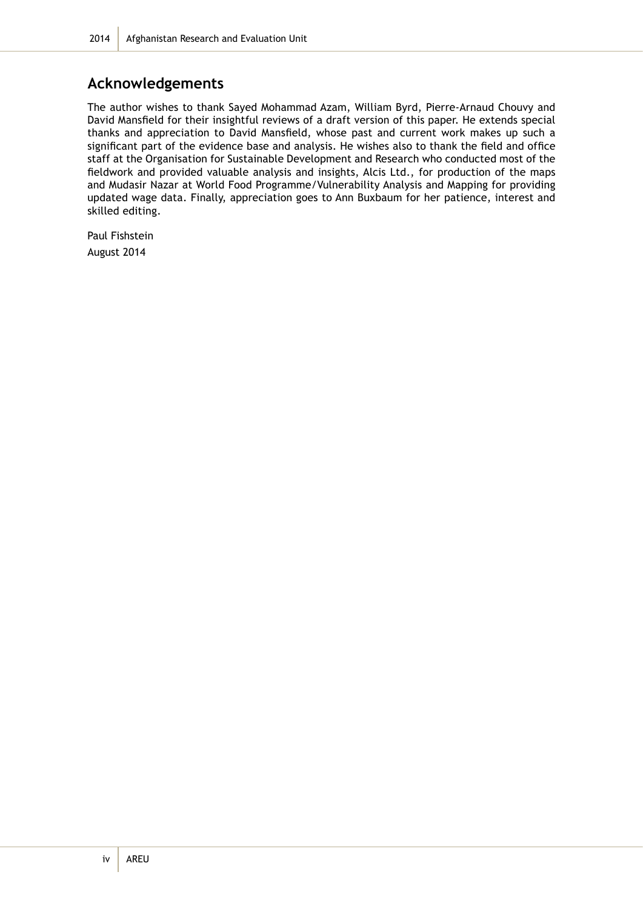### **Acknowledgements**

The author wishes to thank Sayed Mohammad Azam, William Byrd, Pierre-Arnaud Chouvy and David Mansfield for their insightful reviews of a draft version of this paper. He extends special thanks and appreciation to David Mansfield, whose past and current work makes up such a significant part of the evidence base and analysis. He wishes also to thank the field and office staff at the Organisation for Sustainable Development and Research who conducted most of the fieldwork and provided valuable analysis and insights, Alcis Ltd., for production of the maps and Mudasir Nazar at World Food Programme/Vulnerability Analysis and Mapping for providing updated wage data. Finally, appreciation goes to Ann Buxbaum for her patience, interest and skilled editing.

Paul Fishstein August 2014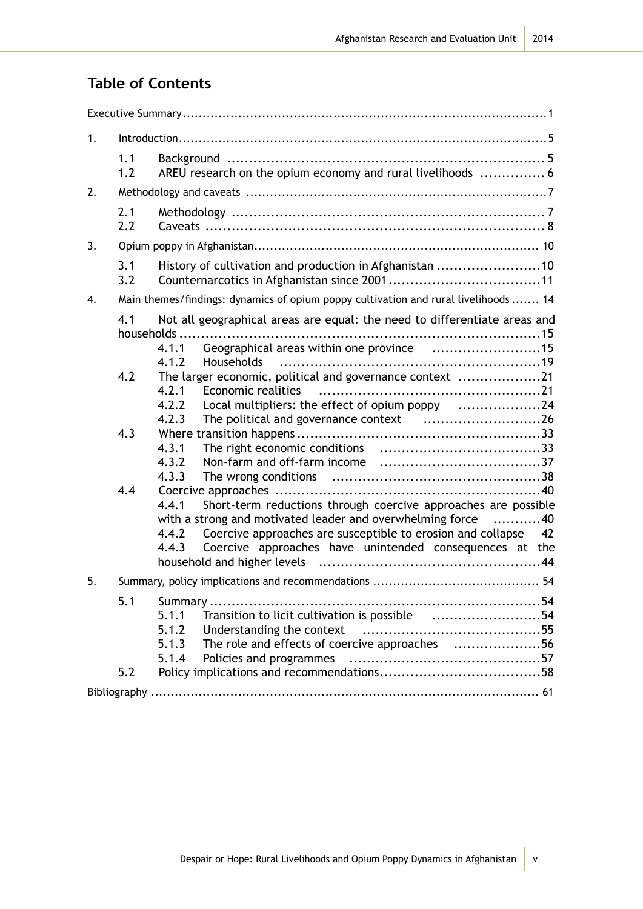## **Table of Contents**

| 1. |                          |                                                                                                                                                                                                                                                                                                                                                                                                                                                                                                                                                                                                                                                                  |
|----|--------------------------|------------------------------------------------------------------------------------------------------------------------------------------------------------------------------------------------------------------------------------------------------------------------------------------------------------------------------------------------------------------------------------------------------------------------------------------------------------------------------------------------------------------------------------------------------------------------------------------------------------------------------------------------------------------|
|    | 1.1<br>1.2               | AREU research on the opium economy and rural livelihoods  6                                                                                                                                                                                                                                                                                                                                                                                                                                                                                                                                                                                                      |
| 2. |                          |                                                                                                                                                                                                                                                                                                                                                                                                                                                                                                                                                                                                                                                                  |
|    | 2.1<br>2.2               |                                                                                                                                                                                                                                                                                                                                                                                                                                                                                                                                                                                                                                                                  |
| 3. |                          |                                                                                                                                                                                                                                                                                                                                                                                                                                                                                                                                                                                                                                                                  |
|    | 3.1<br>3.2               | History of cultivation and production in Afghanistan 10                                                                                                                                                                                                                                                                                                                                                                                                                                                                                                                                                                                                          |
| 4. |                          | Main themes/findings: dynamics of opium poppy cultivation and rural livelihoods  14                                                                                                                                                                                                                                                                                                                                                                                                                                                                                                                                                                              |
|    | 4.1<br>4.2<br>4.3<br>4.4 | Not all geographical areas are equal: the need to differentiate areas and<br>households<br>Geographical areas within one province 15<br>4.1.1<br>4.1.2<br><b>Households</b><br>The larger economic, political and governance context 21<br>4.2.1<br>Economic realities<br>Local multipliers: the effect of opium poppy 24<br>4.2.2<br>4.2.3<br>4.3.1<br>4.3.2<br>4.3.3<br>Short-term reductions through coercive approaches are possible<br>4.4.1<br>with a strong and motivated leader and overwhelming force 40<br>Coercive approaches are susceptible to erosion and collapse 42<br>4.4.2<br>Coercive approaches have unintended consequences at the<br>4.4.3 |
| 5. |                          |                                                                                                                                                                                                                                                                                                                                                                                                                                                                                                                                                                                                                                                                  |
|    | 5.1<br>5.2               | 5.1.1<br>Transition to licit cultivation is possible 54<br>5.1.2<br>The role and effects of coercive approaches 56<br>5.1.3<br>5.1.4                                                                                                                                                                                                                                                                                                                                                                                                                                                                                                                             |
|    |                          |                                                                                                                                                                                                                                                                                                                                                                                                                                                                                                                                                                                                                                                                  |

v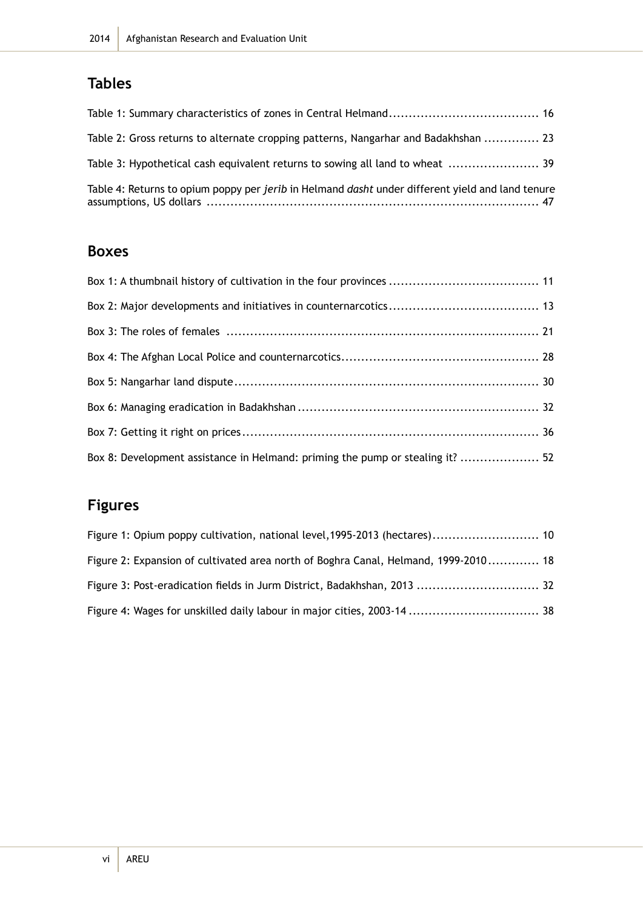## **Tables**

| Table 2: Gross returns to alternate cropping patterns, Nangarhar and Badakhshan  23                     |  |
|---------------------------------------------------------------------------------------------------------|--|
| Table 3: Hypothetical cash equivalent returns to sowing all land to wheat  39                           |  |
| Table 4: Returns to opium poppy per jerib in Helmand <i>dasht</i> under different yield and land tenure |  |

### **Boxes**

| Box 8: Development assistance in Helmand: priming the pump or stealing it?  52 |  |
|--------------------------------------------------------------------------------|--|

## **Figures**

| Figure 1: Opium poppy cultivation, national level, 1995-2013 (hectares) 10          |  |
|-------------------------------------------------------------------------------------|--|
| Figure 2: Expansion of cultivated area north of Boghra Canal, Helmand, 1999-2010 18 |  |
| Figure 3: Post-eradication fields in Jurm District, Badakhshan, 2013  32            |  |
|                                                                                     |  |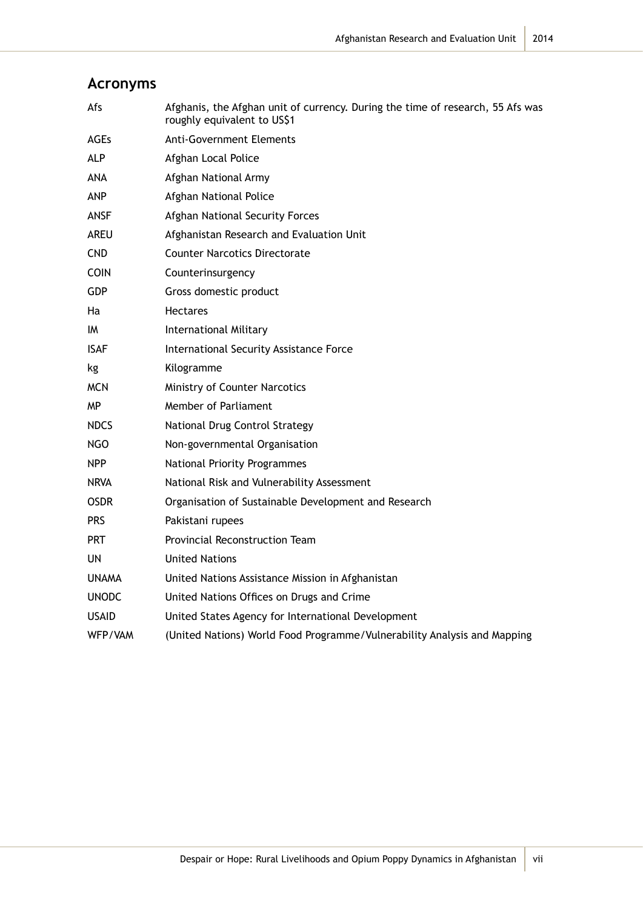| Afs          | Afghanis, the Afghan unit of currency. During the time of research, 55 Afs was<br>roughly equivalent to US\$1 |
|--------------|---------------------------------------------------------------------------------------------------------------|
| <b>AGEs</b>  | <b>Anti-Government Elements</b>                                                                               |
| <b>ALP</b>   | Afghan Local Police                                                                                           |
| ANA          | Afghan National Army                                                                                          |
| <b>ANP</b>   | Afghan National Police                                                                                        |
| ANSF         | Afghan National Security Forces                                                                               |
| AREU         | Afghanistan Research and Evaluation Unit                                                                      |
| <b>CND</b>   | <b>Counter Narcotics Directorate</b>                                                                          |
| <b>COIN</b>  | Counterinsurgency                                                                                             |
| <b>GDP</b>   | Gross domestic product                                                                                        |
| Ha           | <b>Hectares</b>                                                                                               |
| IM           | <b>International Military</b>                                                                                 |
| <b>ISAF</b>  | International Security Assistance Force                                                                       |
| kg           | Kilogramme                                                                                                    |
| <b>MCN</b>   | Ministry of Counter Narcotics                                                                                 |
| ΜP           | Member of Parliament                                                                                          |
| <b>NDCS</b>  | National Drug Control Strategy                                                                                |
| NGO          | Non-governmental Organisation                                                                                 |
| <b>NPP</b>   | National Priority Programmes                                                                                  |
| <b>NRVA</b>  | National Risk and Vulnerability Assessment                                                                    |
| <b>OSDR</b>  | Organisation of Sustainable Development and Research                                                          |
| <b>PRS</b>   | Pakistani rupees                                                                                              |
| <b>PRT</b>   | Provincial Reconstruction Team                                                                                |
| UN           | <b>United Nations</b>                                                                                         |
| <b>UNAMA</b> | United Nations Assistance Mission in Afghanistan                                                              |
| <b>UNODC</b> | United Nations Offices on Drugs and Crime                                                                     |
| <b>USAID</b> | United States Agency for International Development                                                            |
| WFP/VAM      | (United Nations) World Food Programme/Vulnerability Analysis and Mapping                                      |

## **Acronyms**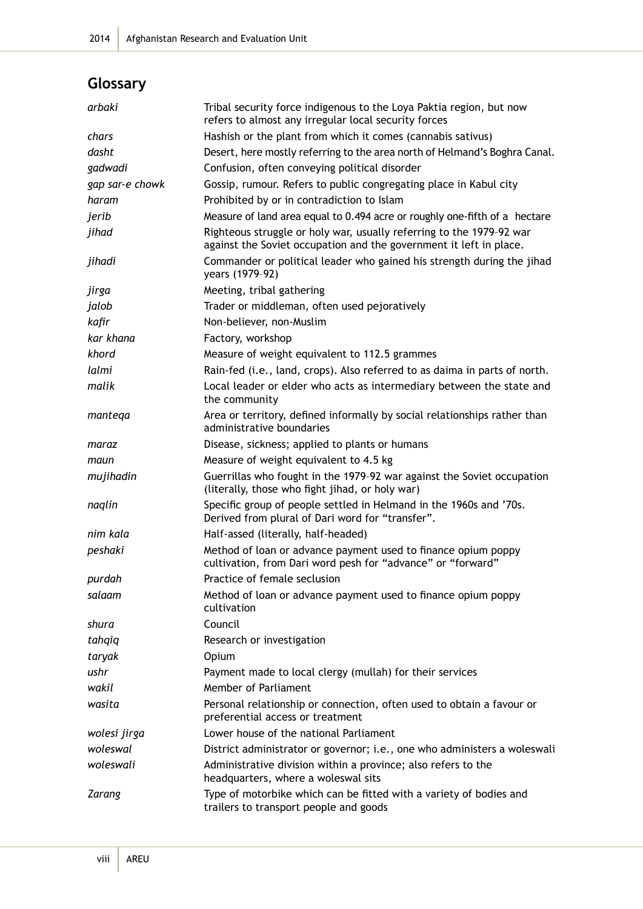## **Glossary**

| arbaki          | Tribal security force indigenous to the Loya Paktia region, but now<br>refers to almost any irregular local security forces                |
|-----------------|--------------------------------------------------------------------------------------------------------------------------------------------|
| chars           | Hashish or the plant from which it comes (cannabis sativus)                                                                                |
| dasht           | Desert, here mostly referring to the area north of Helmand's Boghra Canal.                                                                 |
| gadwadi         | Confusion, often conveying political disorder                                                                                              |
| gap sar-e chowk | Gossip, rumour. Refers to public congregating place in Kabul city                                                                          |
| haram           | Prohibited by or in contradiction to Islam                                                                                                 |
| jerib           | Measure of land area equal to 0.494 acre or roughly one-fifth of a hectare                                                                 |
| jihad           | Righteous struggle or holy war, usually referring to the 1979-92 war<br>against the Soviet occupation and the government it left in place. |
| jihadi          | Commander or political leader who gained his strength during the jihad<br>years (1979-92)                                                  |
| jirga           | Meeting, tribal gathering                                                                                                                  |
| jalob           | Trader or middleman, often used pejoratively                                                                                               |
| kafir           | Non-believer, non-Muslim                                                                                                                   |
| kar khana       | Factory, workshop                                                                                                                          |
| khord           | Measure of weight equivalent to 112.5 grammes                                                                                              |
| lalmi           | Rain-fed (i.e., land, crops). Also referred to as daima in parts of north.                                                                 |
| malik           | Local leader or elder who acts as intermediary between the state and<br>the community                                                      |
| mantega         | Area or territory, defined informally by social relationships rather than<br>administrative boundaries                                     |
| maraz           | Disease, sickness; applied to plants or humans                                                                                             |
| maun            | Measure of weight equivalent to 4.5 kg                                                                                                     |
| mujihadin       | Guerrillas who fought in the 1979-92 war against the Soviet occupation<br>(literally, those who fight jihad, or holy war)                  |
| naglin          | Specific group of people settled in Helmand in the 1960s and '70s.<br>Derived from plural of Dari word for "transfer".                     |
| nim kala        | Half-assed (literally, half-headed)                                                                                                        |
| peshaki         | Method of loan or advance payment used to finance opium poppy<br>cultivation, from Dari word pesh for "advance" or "forward"               |
| purdah          | Practice of female seclusion                                                                                                               |
| salaam          | Method of loan or advance payment used to finance opium poppy<br>cultivation                                                               |
| shura           | Council                                                                                                                                    |
| tahqiq          | Research or investigation                                                                                                                  |
| taryak          | Opium                                                                                                                                      |
| ushr            | Payment made to local clergy (mullah) for their services                                                                                   |
| wakil           | Member of Parliament                                                                                                                       |
| wasita          | Personal relationship or connection, often used to obtain a favour or<br>preferential access or treatment                                  |
| wolesi jirga    | Lower house of the national Parliament                                                                                                     |
| woleswal        | District administrator or governor; i.e., one who administers a woleswali                                                                  |
| woleswali       | Administrative division within a province; also refers to the<br>headquarters, where a woleswal sits                                       |
| <b>Zarang</b>   | Type of motorbike which can be fitted with a variety of bodies and<br>trailers to transport people and goods                               |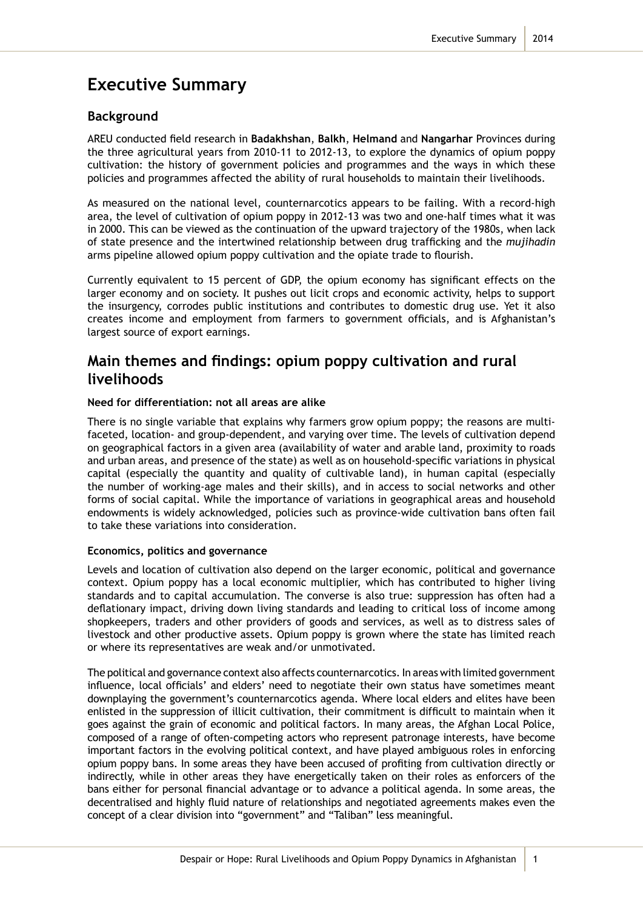## **Executive Summary**

#### **Background**

AREU conducted field research in **Badakhshan**, **Balkh**, **Helmand** and **Nangarhar** Provinces during the three agricultural years from 2010-11 to 2012-13, to explore the dynamics of opium poppy cultivation: the history of government policies and programmes and the ways in which these policies and programmes affected the ability of rural households to maintain their livelihoods.

As measured on the national level, counternarcotics appears to be failing. With a record-high area, the level of cultivation of opium poppy in 2012-13 was two and one-half times what it was in 2000. This can be viewed as the continuation of the upward trajectory of the 1980s, when lack of state presence and the intertwined relationship between drug trafficking and the *mujihadin* arms pipeline allowed opium poppy cultivation and the opiate trade to flourish.

Currently equivalent to 15 percent of GDP, the opium economy has significant effects on the larger economy and on society. It pushes out licit crops and economic activity, helps to support the insurgency, corrodes public institutions and contributes to domestic drug use. Yet it also creates income and employment from farmers to government officials, and is Afghanistan's largest source of export earnings.

### **Main themes and findings: opium poppy cultivation and rural livelihoods**

#### **Need for differentiation: not all areas are alike**

There is no single variable that explains why farmers grow opium poppy; the reasons are multifaceted, location- and group-dependent, and varying over time. The levels of cultivation depend on geographical factors in a given area (availability of water and arable land, proximity to roads and urban areas, and presence of the state) as well as on household-specific variations in physical capital (especially the quantity and quality of cultivable land), in human capital (especially the number of working-age males and their skills), and in access to social networks and other forms of social capital. While the importance of variations in geographical areas and household endowments is widely acknowledged, policies such as province-wide cultivation bans often fail to take these variations into consideration.

#### **Economics, politics and governance**

Levels and location of cultivation also depend on the larger economic, political and governance context. Opium poppy has a local economic multiplier, which has contributed to higher living standards and to capital accumulation. The converse is also true: suppression has often had a deflationary impact, driving down living standards and leading to critical loss of income among shopkeepers, traders and other providers of goods and services, as well as to distress sales of livestock and other productive assets. Opium poppy is grown where the state has limited reach or where its representatives are weak and/or unmotivated.

The political and governance context also affects counternarcotics. In areas with limited government influence, local officials' and elders' need to negotiate their own status have sometimes meant downplaying the government's counternarcotics agenda. Where local elders and elites have been enlisted in the suppression of illicit cultivation, their commitment is difficult to maintain when it goes against the grain of economic and political factors. In many areas, the Afghan Local Police, composed of a range of often-competing actors who represent patronage interests, have become important factors in the evolving political context, and have played ambiguous roles in enforcing opium poppy bans. In some areas they have been accused of profiting from cultivation directly or indirectly, while in other areas they have energetically taken on their roles as enforcers of the bans either for personal financial advantage or to advance a political agenda. In some areas, the decentralised and highly fluid nature of relationships and negotiated agreements makes even the concept of a clear division into "government" and "Taliban" less meaningful.

1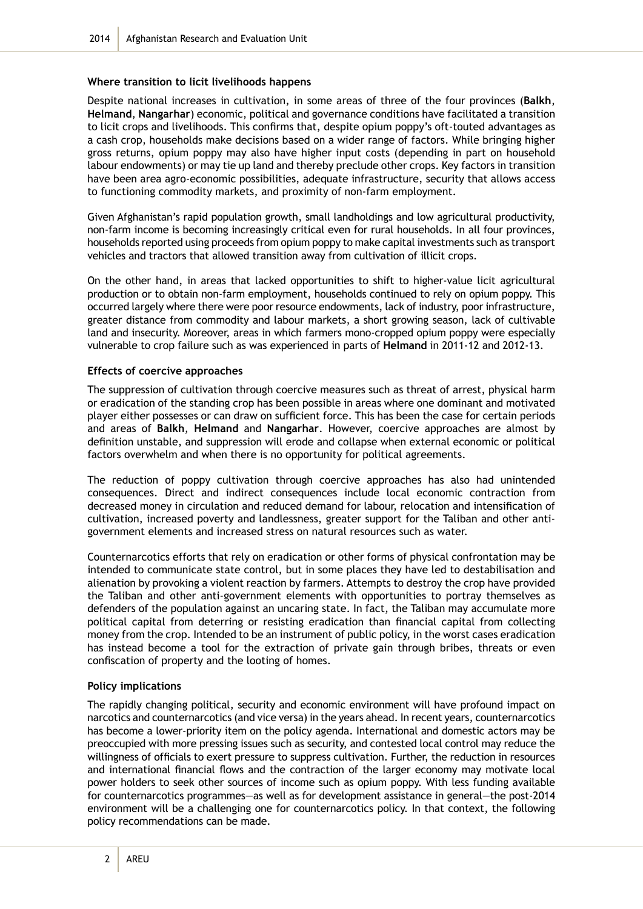#### **Where transition to licit livelihoods happens**

Despite national increases in cultivation, in some areas of three of the four provinces (**Balkh**, **Helmand**, **Nangarhar**) economic, political and governance conditions have facilitated a transition to licit crops and livelihoods. This confirms that, despite opium poppy's oft-touted advantages as a cash crop, households make decisions based on a wider range of factors. While bringing higher gross returns, opium poppy may also have higher input costs (depending in part on household labour endowments) or may tie up land and thereby preclude other crops. Key factors in transition have been area agro-economic possibilities, adequate infrastructure, security that allows access to functioning commodity markets, and proximity of non-farm employment.

Given Afghanistan's rapid population growth, small landholdings and low agricultural productivity, non-farm income is becoming increasingly critical even for rural households. In all four provinces, households reported using proceeds from opium poppy to make capital investments such as transport vehicles and tractors that allowed transition away from cultivation of illicit crops.

On the other hand, in areas that lacked opportunities to shift to higher-value licit agricultural production or to obtain non-farm employment, households continued to rely on opium poppy. This occurred largely where there were poor resource endowments, lack of industry, poor infrastructure, greater distance from commodity and labour markets, a short growing season, lack of cultivable land and insecurity. Moreover, areas in which farmers mono-cropped opium poppy were especially vulnerable to crop failure such as was experienced in parts of **Helmand** in 2011-12 and 2012-13.

#### **Effects of coercive approaches**

The suppression of cultivation through coercive measures such as threat of arrest, physical harm or eradication of the standing crop has been possible in areas where one dominant and motivated player either possesses or can draw on sufficient force. This has been the case for certain periods and areas of **Balkh**, **Helmand** and **Nangarhar**. However, coercive approaches are almost by definition unstable, and suppression will erode and collapse when external economic or political factors overwhelm and when there is no opportunity for political agreements.

The reduction of poppy cultivation through coercive approaches has also had unintended consequences. Direct and indirect consequences include local economic contraction from decreased money in circulation and reduced demand for labour, relocation and intensification of cultivation, increased poverty and landlessness, greater support for the Taliban and other antigovernment elements and increased stress on natural resources such as water.

Counternarcotics efforts that rely on eradication or other forms of physical confrontation may be intended to communicate state control, but in some places they have led to destabilisation and alienation by provoking a violent reaction by farmers. Attempts to destroy the crop have provided the Taliban and other anti-government elements with opportunities to portray themselves as defenders of the population against an uncaring state. In fact, the Taliban may accumulate more political capital from deterring or resisting eradication than financial capital from collecting money from the crop. Intended to be an instrument of public policy, in the worst cases eradication has instead become a tool for the extraction of private gain through bribes, threats or even confiscation of property and the looting of homes.

#### **Policy implications**

The rapidly changing political, security and economic environment will have profound impact on narcotics and counternarcotics (and vice versa) in the years ahead. In recent years, counternarcotics has become a lower-priority item on the policy agenda. International and domestic actors may be preoccupied with more pressing issues such as security, and contested local control may reduce the willingness of officials to exert pressure to suppress cultivation. Further, the reduction in resources and international financial flows and the contraction of the larger economy may motivate local power holders to seek other sources of income such as opium poppy. With less funding available for counternarcotics programmes—as well as for development assistance in general—the post-2014 environment will be a challenging one for counternarcotics policy. In that context, the following policy recommendations can be made.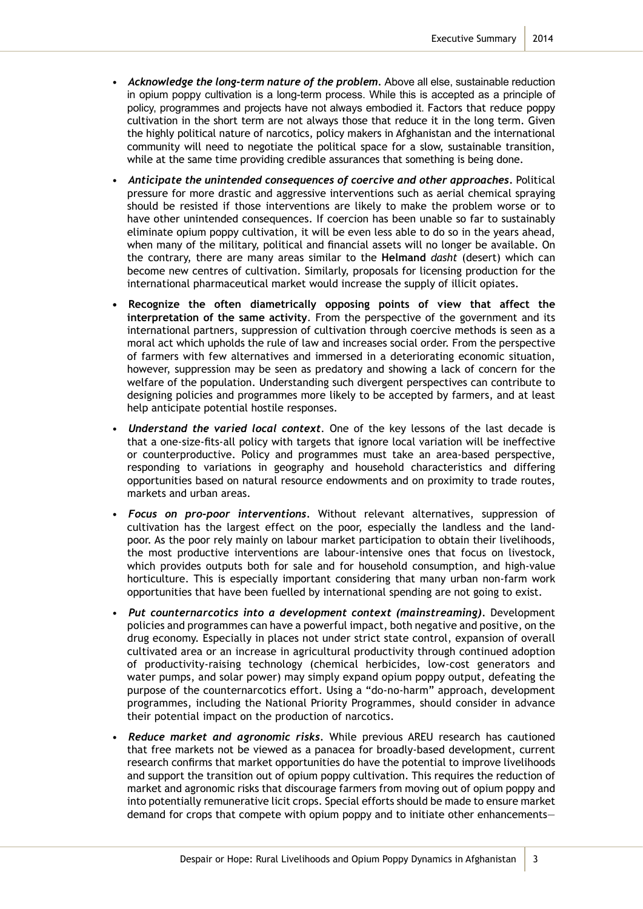- *Acknowledge the long-term nature of the problem.* Above all else, sustainable reduction in opium poppy cultivation is a long-term process. While this is accepted as a principle of policy, programmes and projects have not always embodied it. Factors that reduce poppy cultivation in the short term are not always those that reduce it in the long term. Given the highly political nature of narcotics, policy makers in Afghanistan and the international community will need to negotiate the political space for a slow, sustainable transition, while at the same time providing credible assurances that something is being done.
- *Anticipate the unintended consequences of coercive and other approaches.* Political pressure for more drastic and aggressive interventions such as aerial chemical spraying should be resisted if those interventions are likely to make the problem worse or to have other unintended consequences. If coercion has been unable so far to sustainably eliminate opium poppy cultivation, it will be even less able to do so in the years ahead, when many of the military, political and financial assets will no longer be available. On the contrary, there are many areas similar to the **Helmand** *dasht* (desert) which can become new centres of cultivation. Similarly, proposals for licensing production for the international pharmaceutical market would increase the supply of illicit opiates.
- **• Recognize the often diametrically opposing points of view that affect the interpretation of the same activity**. From the perspective of the government and its international partners, suppression of cultivation through coercive methods is seen as a moral act which upholds the rule of law and increases social order. From the perspective of farmers with few alternatives and immersed in a deteriorating economic situation, however, suppression may be seen as predatory and showing a lack of concern for the welfare of the population. Understanding such divergent perspectives can contribute to designing policies and programmes more likely to be accepted by farmers, and at least help anticipate potential hostile responses.
- *Understand the varied local context*. One of the key lessons of the last decade is that a one-size-fits-all policy with targets that ignore local variation will be ineffective or counterproductive. Policy and programmes must take an area-based perspective, responding to variations in geography and household characteristics and differing opportunities based on natural resource endowments and on proximity to trade routes, markets and urban areas.
- *Focus on pro-poor interventions.* Without relevant alternatives, suppression of cultivation has the largest effect on the poor, especially the landless and the landpoor. As the poor rely mainly on labour market participation to obtain their livelihoods, the most productive interventions are labour-intensive ones that focus on livestock, which provides outputs both for sale and for household consumption, and high-value horticulture. This is especially important considering that many urban non-farm work opportunities that have been fuelled by international spending are not going to exist.
- *Put counternarcotics into a development context (mainstreaming).* Development policies and programmes can have a powerful impact, both negative and positive, on the drug economy. Especially in places not under strict state control, expansion of overall cultivated area or an increase in agricultural productivity through continued adoption of productivity-raising technology (chemical herbicides, low-cost generators and water pumps, and solar power) may simply expand opium poppy output, defeating the purpose of the counternarcotics effort. Using a "do-no-harm" approach, development programmes, including the National Priority Programmes, should consider in advance their potential impact on the production of narcotics.
- *Reduce market and agronomic risks.* While previous AREU research has cautioned that free markets not be viewed as a panacea for broadly-based development, current research confirms that market opportunities do have the potential to improve livelihoods and support the transition out of opium poppy cultivation. This requires the reduction of market and agronomic risks that discourage farmers from moving out of opium poppy and into potentially remunerative licit crops. Special efforts should be made to ensure market demand for crops that compete with opium poppy and to initiate other enhancements—

3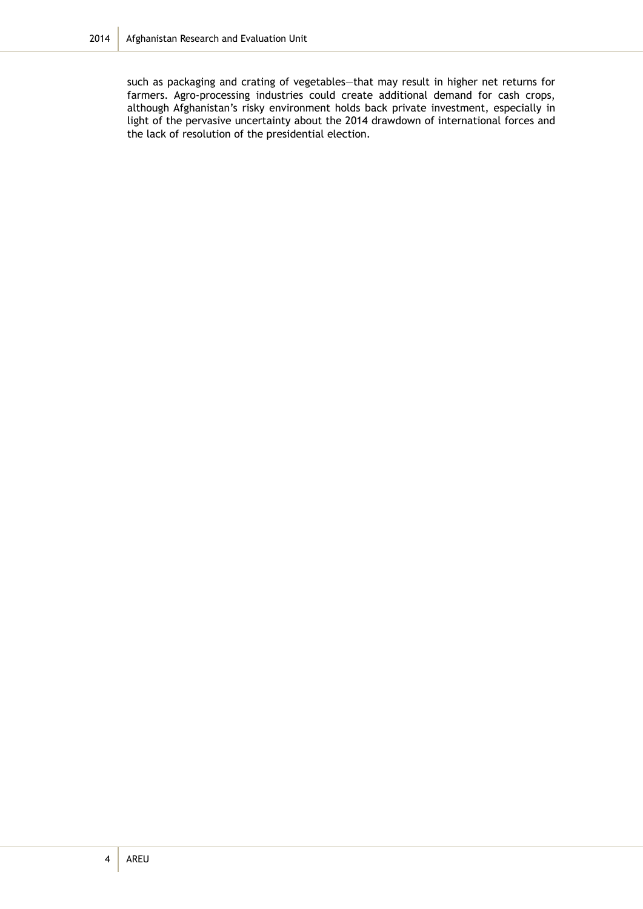such as packaging and crating of vegetables—that may result in higher net returns for farmers. Agro-processing industries could create additional demand for cash crops, although Afghanistan's risky environment holds back private investment, especially in light of the pervasive uncertainty about the 2014 drawdown of international forces and the lack of resolution of the presidential election.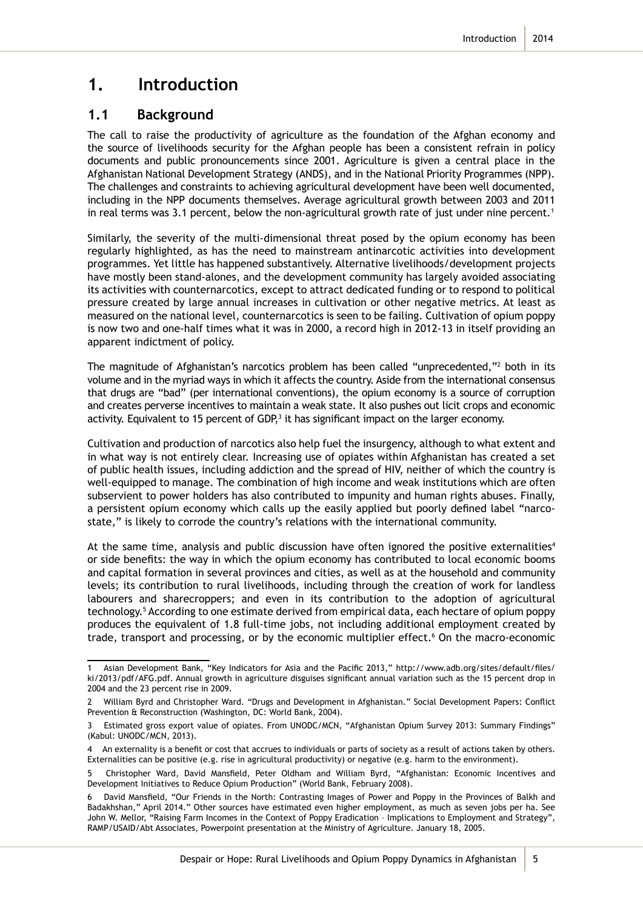### **1. Introduction**

#### **1.1 Background**

The call to raise the productivity of agriculture as the foundation of the Afghan economy and the source of livelihoods security for the Afghan people has been a consistent refrain in policy documents and public pronouncements since 2001. Agriculture is given a central place in the Afghanistan National Development Strategy (ANDS), and in the National Priority Programmes (NPP). The challenges and constraints to achieving agricultural development have been well documented, including in the NPP documents themselves. Average agricultural growth between 2003 and 2011 in real terms was 3.1 percent, below the non-agricultural growth rate of just under nine percent.<sup>1</sup>

Similarly, the severity of the multi-dimensional threat posed by the opium economy has been regularly highlighted, as has the need to mainstream antinarcotic activities into development programmes. Yet little has happened substantively. Alternative livelihoods/development projects have mostly been stand-alones, and the development community has largely avoided associating its activities with counternarcotics, except to attract dedicated funding or to respond to political pressure created by large annual increases in cultivation or other negative metrics. At least as measured on the national level, counternarcotics is seen to be failing. Cultivation of opium poppy is now two and one-half times what it was in 2000, a record high in 2012-13 in itself providing an apparent indictment of policy.

The magnitude of Afghanistan's narcotics problem has been called "unprecedented,"<sup>2</sup> both in its volume and in the myriad ways in which it affects the country. Aside from the international consensus that drugs are "bad" (per international conventions), the opium economy is a source of corruption and creates perverse incentives to maintain a weak state. It also pushes out licit crops and economic activity. Equivalent to 15 percent of GDP, $3$  it has significant impact on the larger economy.

Cultivation and production of narcotics also help fuel the insurgency, although to what extent and in what way is not entirely clear. Increasing use of opiates within Afghanistan has created a set of public health issues, including addiction and the spread of HIV, neither of which the country is well-equipped to manage. The combination of high income and weak institutions which are often subservient to power holders has also contributed to impunity and human rights abuses. Finally, a persistent opium economy which calls up the easily applied but poorly defined label "narcostate," is likely to corrode the country's relations with the international community.

At the same time, analysis and public discussion have often ignored the positive externalities<sup>4</sup> or side benefits: the way in which the opium economy has contributed to local economic booms and capital formation in several provinces and cities, as well as at the household and community levels; its contribution to rural livelihoods, including through the creation of work for landless labourers and sharecroppers; and even in its contribution to the adoption of agricultural technology.5 According to one estimate derived from empirical data, each hectare of opium poppy produces the equivalent of 1.8 full-time jobs, not including additional employment created by trade, transport and processing, or by the economic multiplier effect.<sup>6</sup> On the macro-economic

<sup>1</sup> Asian Development Bank, "Key Indicators for Asia and the Pacific 2013," http://www.adb.org/sites/default/files/ ki/2013/pdf/AFG.pdf. Annual growth in agriculture disguises significant annual variation such as the 15 percent drop in 2004 and the 23 percent rise in 2009.

<sup>2</sup> William Byrd and Christopher Ward. "Drugs and Development in Afghanistan." Social Development Papers: Conflict Prevention & Reconstruction (Washington, DC: World Bank, 2004).

Estimated gross export value of opiates. From UNODC/MCN, "Afghanistan Opium Survey 2013: Summary Findings" (Kabul: UNODC/MCN, 2013).

<sup>4</sup> An externality is a benefit or cost that accrues to individuals or parts of society as a result of actions taken by others. Externalities can be positive (e.g. rise in agricultural productivity) or negative (e.g. harm to the environment).

<sup>5</sup> Christopher Ward, David Mansfield, Peter Oldham and William Byrd, "Afghanistan: Economic Incentives and Development Initiatives to Reduce Opium Production" (World Bank, February 2008).

<sup>6</sup> David Mansfield, "Our Friends in the North: Contrasting Images of Power and Poppy in the Provinces of Balkh and Badakhshan," April 2014." Other sources have estimated even higher employment, as much as seven jobs per ha. See John W. Mellor, "Raising Farm Incomes in the Context of Poppy Eradication – Implications to Employment and Strategy", RAMP/USAID/Abt Associates, Powerpoint presentation at the Ministry of Agriculture. January 18, 2005.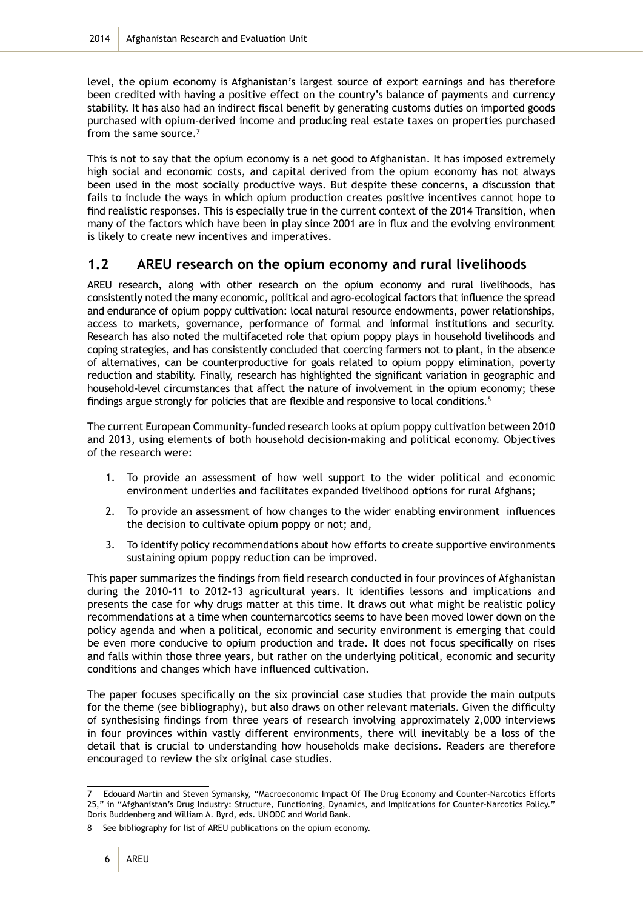level, the opium economy is Afghanistan's largest source of export earnings and has therefore been credited with having a positive effect on the country's balance of payments and currency stability. It has also had an indirect fiscal benefit by generating customs duties on imported goods purchased with opium-derived income and producing real estate taxes on properties purchased from the same source.<sup>7</sup>

This is not to say that the opium economy is a net good to Afghanistan. It has imposed extremely high social and economic costs, and capital derived from the opium economy has not always been used in the most socially productive ways. But despite these concerns, a discussion that fails to include the ways in which opium production creates positive incentives cannot hope to find realistic responses. This is especially true in the current context of the 2014 Transition, when many of the factors which have been in play since 2001 are in flux and the evolving environment is likely to create new incentives and imperatives.

### **1.2 AREU research on the opium economy and rural livelihoods**

AREU research, along with other research on the opium economy and rural livelihoods, has consistently noted the many economic, political and agro-ecological factors that influence the spread and endurance of opium poppy cultivation: local natural resource endowments, power relationships, access to markets, governance, performance of formal and informal institutions and security. Research has also noted the multifaceted role that opium poppy plays in household livelihoods and coping strategies, and has consistently concluded that coercing farmers not to plant, in the absence of alternatives, can be counterproductive for goals related to opium poppy elimination, poverty reduction and stability. Finally, research has highlighted the significant variation in geographic and household-level circumstances that affect the nature of involvement in the opium economy; these findings argue strongly for policies that are flexible and responsive to local conditions. $8$ 

The current European Community-funded research looks at opium poppy cultivation between 2010 and 2013, using elements of both household decision-making and political economy. Objectives of the research were:

- 1. To provide an assessment of how well support to the wider political and economic environment underlies and facilitates expanded livelihood options for rural Afghans;
- 2. To provide an assessment of how changes to the wider enabling environment influences the decision to cultivate opium poppy or not; and,
- 3. To identify policy recommendations about how efforts to create supportive environments sustaining opium poppy reduction can be improved.

This paper summarizes the findings from field research conducted in four provinces of Afghanistan during the 2010-11 to 2012-13 agricultural years. It identifies lessons and implications and presents the case for why drugs matter at this time. It draws out what might be realistic policy recommendations at a time when counternarcotics seems to have been moved lower down on the policy agenda and when a political, economic and security environment is emerging that could be even more conducive to opium production and trade. It does not focus specifically on rises and falls within those three years, but rather on the underlying political, economic and security conditions and changes which have influenced cultivation.

The paper focuses specifically on the six provincial case studies that provide the main outputs for the theme (see bibliography), but also draws on other relevant materials. Given the difficulty of synthesising findings from three years of research involving approximately 2,000 interviews in four provinces within vastly different environments, there will inevitably be a loss of the detail that is crucial to understanding how households make decisions. Readers are therefore encouraged to review the six original case studies.

<sup>7</sup> Edouard Martin and Steven Symansky, "Macroeconomic Impact Of The Drug Economy and Counter-Narcotics Efforts 25," in "Afghanistan's Drug Industry: Structure, Functioning, Dynamics, and Implications for Counter-Narcotics Policy." Doris Buddenberg and William A. Byrd, eds. UNODC and World Bank.

<sup>8</sup> See bibliography for list of AREU publications on the opium economy.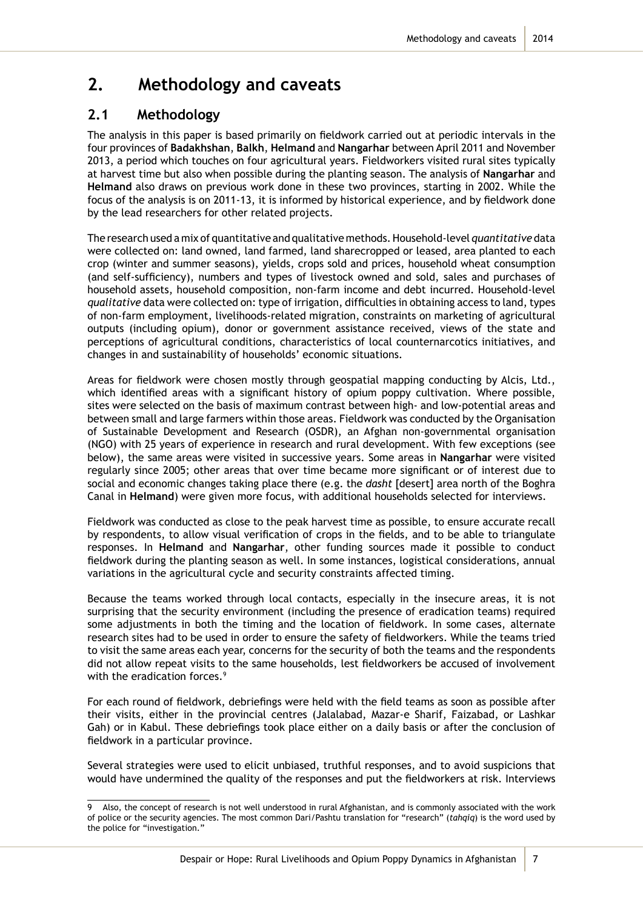## **2. Methodology and caveats**

### **2.1 Methodology**

The analysis in this paper is based primarily on fieldwork carried out at periodic intervals in the four provinces of **Badakhshan**, **Balkh**, **Helmand** and **Nangarhar** between April 2011 and November 2013, a period which touches on four agricultural years. Fieldworkers visited rural sites typically at harvest time but also when possible during the planting season. The analysis of **Nangarhar** and **Helmand** also draws on previous work done in these two provinces, starting in 2002. While the focus of the analysis is on 2011-13, it is informed by historical experience, and by fieldwork done by the lead researchers for other related projects.

The research used a mix of quantitative and qualitative methods. Household-level *quantitative* data were collected on: land owned, land farmed, land sharecropped or leased, area planted to each crop (winter and summer seasons), yields, crops sold and prices, household wheat consumption (and self-sufficiency), numbers and types of livestock owned and sold, sales and purchases of household assets, household composition, non-farm income and debt incurred. Household-level *qualitative* data were collected on: type of irrigation, difficulties in obtaining access to land, types of non-farm employment, livelihoods-related migration, constraints on marketing of agricultural outputs (including opium), donor or government assistance received, views of the state and perceptions of agricultural conditions, characteristics of local counternarcotics initiatives, and changes in and sustainability of households' economic situations.

Areas for fieldwork were chosen mostly through geospatial mapping conducting by Alcis, Ltd., which identified areas with a significant history of opium poppy cultivation. Where possible, sites were selected on the basis of maximum contrast between high- and low-potential areas and between small and large farmers within those areas. Fieldwork was conducted by the Organisation of Sustainable Development and Research (OSDR), an Afghan non-governmental organisation (NGO) with 25 years of experience in research and rural development. With few exceptions (see below), the same areas were visited in successive years. Some areas in **Nangarhar** were visited regularly since 2005; other areas that over time became more significant or of interest due to social and economic changes taking place there (e.g. the *dasht* [desert] area north of the Boghra Canal in **Helmand**) were given more focus, with additional households selected for interviews.

Fieldwork was conducted as close to the peak harvest time as possible, to ensure accurate recall by respondents, to allow visual verification of crops in the fields, and to be able to triangulate responses. In **Helmand** and **Nangarhar**, other funding sources made it possible to conduct fieldwork during the planting season as well. In some instances, logistical considerations, annual variations in the agricultural cycle and security constraints affected timing.

Because the teams worked through local contacts, especially in the insecure areas, it is not surprising that the security environment (including the presence of eradication teams) required some adjustments in both the timing and the location of fieldwork. In some cases, alternate research sites had to be used in order to ensure the safety of fieldworkers. While the teams tried to visit the same areas each year, concerns for the security of both the teams and the respondents did not allow repeat visits to the same households, lest fieldworkers be accused of involvement with the eradication forces.<sup>9</sup>

For each round of fieldwork, debriefings were held with the field teams as soon as possible after their visits, either in the provincial centres (Jalalabad, Mazar-e Sharif, Faizabad, or Lashkar Gah) or in Kabul. These debriefings took place either on a daily basis or after the conclusion of fieldwork in a particular province.

Several strategies were used to elicit unbiased, truthful responses, and to avoid suspicions that would have undermined the quality of the responses and put the fieldworkers at risk. Interviews

7

<sup>9</sup> Also, the concept of research is not well understood in rural Afghanistan, and is commonly associated with the work of police or the security agencies. The most common Dari/Pashtu translation for "research" (*tahqiq*) is the word used by the police for "investigation."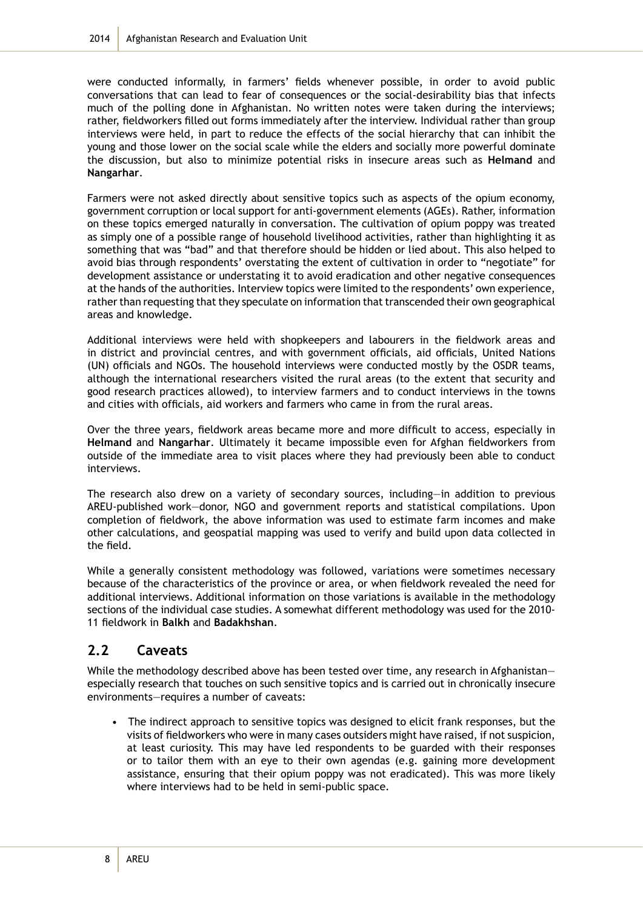were conducted informally, in farmers' fields whenever possible, in order to avoid public conversations that can lead to fear of consequences or the social-desirability bias that infects much of the polling done in Afghanistan. No written notes were taken during the interviews; rather, fieldworkers filled out forms immediately after the interview. Individual rather than group interviews were held, in part to reduce the effects of the social hierarchy that can inhibit the young and those lower on the social scale while the elders and socially more powerful dominate the discussion, but also to minimize potential risks in insecure areas such as **Helmand** and **Nangarhar**.

Farmers were not asked directly about sensitive topics such as aspects of the opium economy, government corruption or local support for anti-government elements (AGEs). Rather, information on these topics emerged naturally in conversation. The cultivation of opium poppy was treated as simply one of a possible range of household livelihood activities, rather than highlighting it as something that was "bad" and that therefore should be hidden or lied about. This also helped to avoid bias through respondents' overstating the extent of cultivation in order to "negotiate" for development assistance or understating it to avoid eradication and other negative consequences at the hands of the authorities. Interview topics were limited to the respondents' own experience, rather than requesting that they speculate on information that transcended their own geographical areas and knowledge.

Additional interviews were held with shopkeepers and labourers in the fieldwork areas and in district and provincial centres, and with government officials, aid officials, United Nations (UN) officials and NGOs. The household interviews were conducted mostly by the OSDR teams, although the international researchers visited the rural areas (to the extent that security and good research practices allowed), to interview farmers and to conduct interviews in the towns and cities with officials, aid workers and farmers who came in from the rural areas.

Over the three years, fieldwork areas became more and more difficult to access, especially in **Helmand** and **Nangarhar**. Ultimately it became impossible even for Afghan fieldworkers from outside of the immediate area to visit places where they had previously been able to conduct interviews.

The research also drew on a variety of secondary sources, including—in addition to previous AREU-published work—donor, NGO and government reports and statistical compilations. Upon completion of fieldwork, the above information was used to estimate farm incomes and make other calculations, and geospatial mapping was used to verify and build upon data collected in the field.

While a generally consistent methodology was followed, variations were sometimes necessary because of the characteristics of the province or area, or when fieldwork revealed the need for additional interviews. Additional information on those variations is available in the methodology sections of the individual case studies. A somewhat different methodology was used for the 2010- 11 fieldwork in **Balkh** and **Badakhshan**.

### **2.2 Caveats**

While the methodology described above has been tested over time, any research in Afghanistanespecially research that touches on such sensitive topics and is carried out in chronically insecure environments—requires a number of caveats:

• The indirect approach to sensitive topics was designed to elicit frank responses, but the visits of fieldworkers who were in many cases outsiders might have raised, if not suspicion, at least curiosity. This may have led respondents to be guarded with their responses or to tailor them with an eye to their own agendas (e.g. gaining more development assistance, ensuring that their opium poppy was not eradicated). This was more likely where interviews had to be held in semi-public space.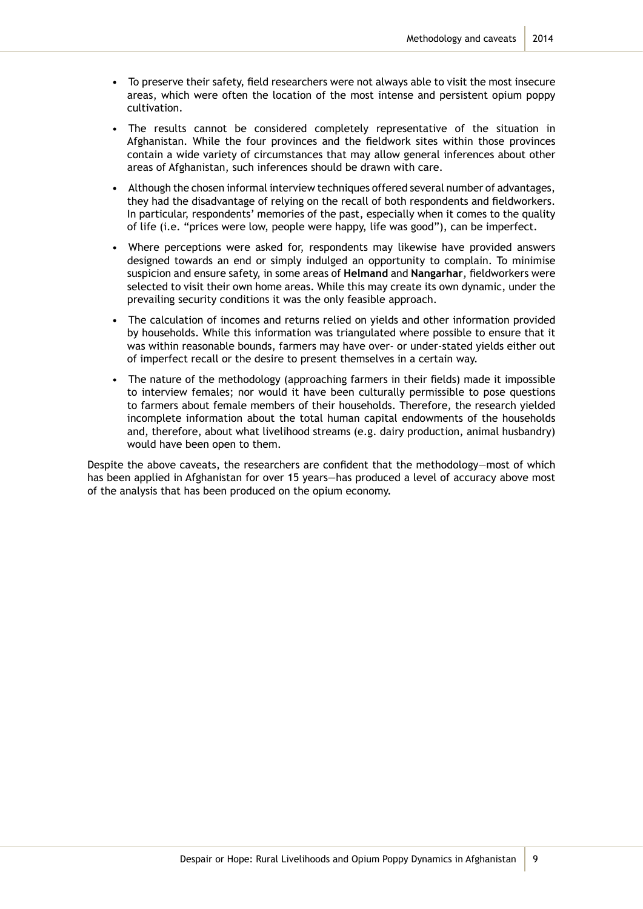- To preserve their safety, field researchers were not always able to visit the most insecure areas, which were often the location of the most intense and persistent opium poppy cultivation.
- The results cannot be considered completely representative of the situation in Afghanistan. While the four provinces and the fieldwork sites within those provinces contain a wide variety of circumstances that may allow general inferences about other areas of Afghanistan, such inferences should be drawn with care.
- Although the chosen informal interview techniques offered several number of advantages, they had the disadvantage of relying on the recall of both respondents and fieldworkers. In particular, respondents' memories of the past, especially when it comes to the quality of life (i.e. "prices were low, people were happy, life was good"), can be imperfect.
- Where perceptions were asked for, respondents may likewise have provided answers designed towards an end or simply indulged an opportunity to complain. To minimise suspicion and ensure safety, in some areas of **Helmand** and **Nangarhar**, fieldworkers were selected to visit their own home areas. While this may create its own dynamic, under the prevailing security conditions it was the only feasible approach.
- The calculation of incomes and returns relied on yields and other information provided by households. While this information was triangulated where possible to ensure that it was within reasonable bounds, farmers may have over- or under-stated yields either out of imperfect recall or the desire to present themselves in a certain way.
- The nature of the methodology (approaching farmers in their fields) made it impossible to interview females; nor would it have been culturally permissible to pose questions to farmers about female members of their households. Therefore, the research yielded incomplete information about the total human capital endowments of the households and, therefore, about what livelihood streams (e.g. dairy production, animal husbandry) would have been open to them.

Despite the above caveats, the researchers are confident that the methodology—most of which has been applied in Afghanistan for over 15 years—has produced a level of accuracy above most of the analysis that has been produced on the opium economy.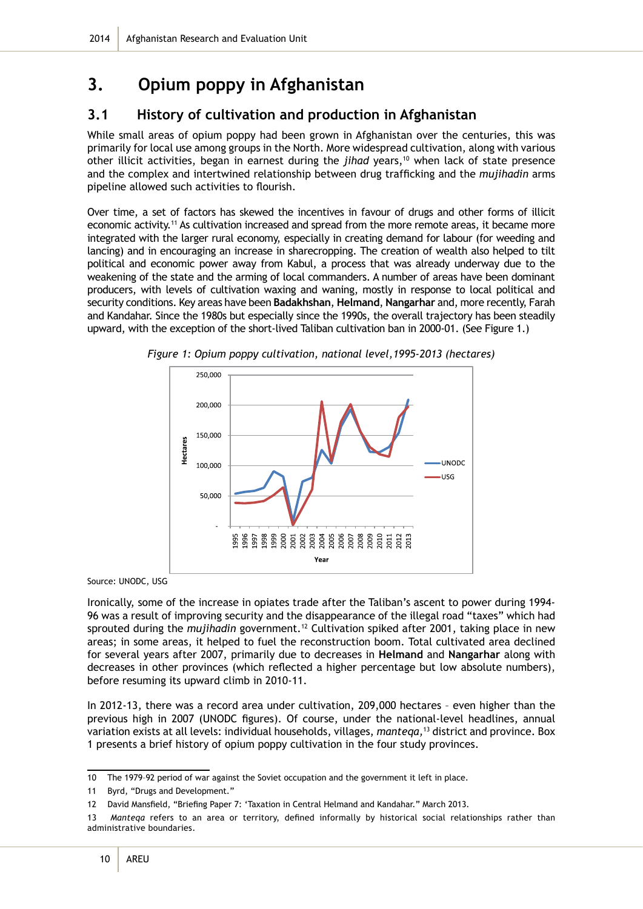## **3. Opium poppy in Afghanistan**

### **3.1 History of cultivation and production in Afghanistan**

While small areas of opium poppy had been grown in Afghanistan over the centuries, this was primarily for local use among groups in the North. More widespread cultivation, along with various other illicit activities, began in earnest during the *jihad* years,<sup>10</sup> when lack of state presence and the complex and intertwined relationship between drug trafficking and the *mujihadin* arms pipeline allowed such activities to flourish.

Over time, a set of factors has skewed the incentives in favour of drugs and other forms of illicit economic activity.<sup>11</sup> As cultivation increased and spread from the more remote areas, it became more integrated with the larger rural economy, especially in creating demand for labour (for weeding and lancing) and in encouraging an increase in sharecropping. The creation of wealth also helped to tilt political and economic power away from Kabul, a process that was already underway due to the weakening of the state and the arming of local commanders. A number of areas have been dominant producers, with levels of cultivation waxing and waning, mostly in response to local political and security conditions. Key areas have been **Badakhshan**, **Helmand**, **Nangarhar** and, more recently, Farah and Kandahar. Since the 1980s but especially since the 1990s, the overall trajectory has been steadily upward, with the exception of the short-lived Taliban cultivation ban in 2000-01. (See Figure 1.)



*Figure 1: Opium poppy cultivation, national level,1995-2013 (hectares)*

Source: UNODC, USG

Ironically, some of the increase in opiates trade after the Taliban's ascent to power during 1994- 96 was a result of improving security and the disappearance of the illegal road "taxes" which had sprouted during the *mujihadin* government.<sup>12</sup> Cultivation spiked after 2001, taking place in new areas; in some areas, it helped to fuel the reconstruction boom. Total cultivated area declined for several years after 2007, primarily due to decreases in **Helmand** and **Nangarhar** along with decreases in other provinces (which reflected a higher percentage but low absolute numbers), before resuming its upward climb in 2010-11.

In 2012-13, there was a record area under cultivation, 209,000 hectares – even higher than the previous high in 2007 (UNODC figures). Of course, under the national-level headlines, annual variation exists at all levels: individual households, villages, *manteqa,*<sup>13</sup> district and province. Box 1 presents a brief history of opium poppy cultivation in the four study provinces.

<sup>10</sup> The 1979–92 period of war against the Soviet occupation and the government it left in place.

<sup>11</sup> Byrd, "Drugs and Development."

<sup>12</sup> David Mansfield, "Briefing Paper 7: 'Taxation in Central Helmand and Kandahar." March 2013.

<sup>13</sup> *Manteqa* refers to an area or territory, defined informally by historical social relationships rather than administrative boundaries.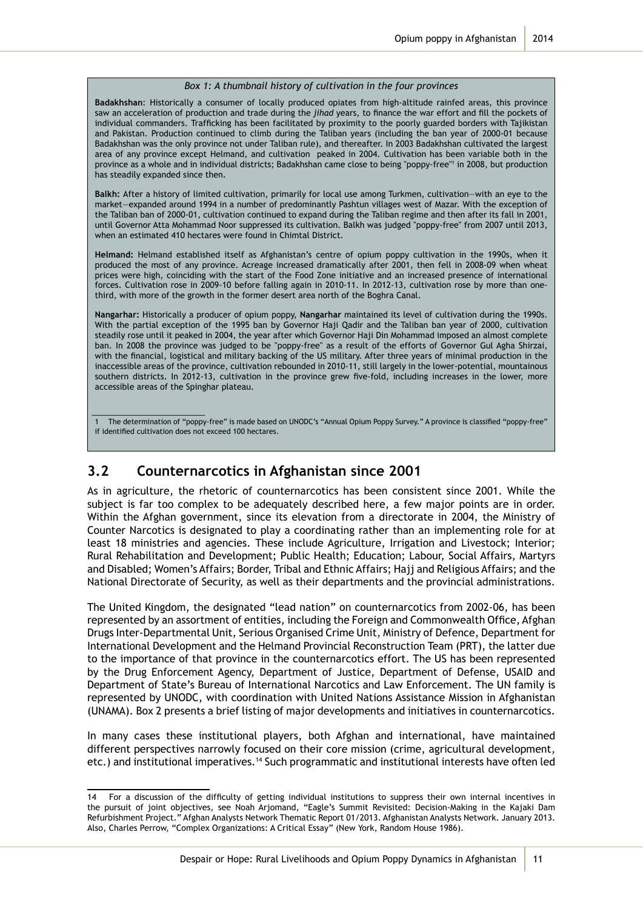#### *Box 1: A thumbnail history of cultivation in the four provinces*

**Badakhshan**: Historically a consumer of locally produced opiates from high-altitude rainfed areas, this province saw an acceleration of production and trade during the *jihad* years, to finance the war effort and fill the pockets of individual commanders. Trafficking has been facilitated by proximity to the poorly guarded borders with Tajikistan and Pakistan. Production continued to climb during the Taliban years (including the ban year of 2000-01 because Badakhshan was the only province not under Taliban rule), and thereafter. In 2003 Badakhshan cultivated the largest area of any province except Helmand, and cultivation peaked in 2004. Cultivation has been variable both in the province as a whole and in individual districts; Badakhshan came close to being "poppy-free"<sup>1</sup> in 2008, but production has steadily expanded since then.

**Balkh:** After a history of limited cultivation, primarily for local use among Turkmen, cultivation—with an eye to the market—expanded around 1994 in a number of predominantly Pashtun villages west of Mazar. With the exception of the Taliban ban of 2000-01, cultivation continued to expand during the Taliban regime and then after its fall in 2001, until Governor Atta Mohammad Noor suppressed its cultivation. Balkh was judged "poppy-free" from 2007 until 2013, when an estimated 410 hectares were found in Chimtal District.

**Helmand:** Helmand established itself as Afghanistan's centre of opium poppy cultivation in the 1990s, when it produced the most of any province. Acreage increased dramatically after 2001, then fell in 2008-09 when wheat prices were high, coinciding with the start of the Food Zone initiative and an increased presence of international forces. Cultivation rose in 2009-10 before falling again in 2010-11. In 2012-13, cultivation rose by more than onethird, with more of the growth in the former desert area north of the Boghra Canal.

**Nangarhar:** Historically a producer of opium poppy, **Nangarhar** maintained its level of cultivation during the 1990s. With the partial exception of the 1995 ban by Governor Haji Qadir and the Taliban ban year of 2000, cultivation steadily rose until it peaked in 2004, the year after which Governor Haji Din Mohammad imposed an almost complete ban. In 2008 the province was judged to be "poppy-free" as a result of the efforts of Governor Gul Agha Shirzai, with the financial, logistical and military backing of the US military. After three years of minimal production in the inaccessible areas of the province, cultivation rebounded in 2010-11, still largely in the lower-potential, mountainous southern districts. In 2012-13, cultivation in the province grew five-fold, including increases in the lower, more accessible areas of the Spinghar plateau.

1 The determination of "poppy-free" is made based on UNODC's "Annual Opium Poppy Survey." A province is classified "poppy-free" if identified cultivation does not exceed 100 hectares.

#### **3.2 Counternarcotics in Afghanistan since 2001**

\_\_\_\_\_\_\_\_\_\_\_\_\_\_\_\_\_\_\_\_\_\_\_\_\_

As in agriculture, the rhetoric of counternarcotics has been consistent since 2001. While the subject is far too complex to be adequately described here, a few major points are in order. Within the Afghan government, since its elevation from a directorate in 2004, the Ministry of Counter Narcotics is designated to play a coordinating rather than an implementing role for at least 18 ministries and agencies. These include Agriculture, Irrigation and Livestock; Interior; Rural Rehabilitation and Development; Public Health; Education; Labour, Social Affairs, Martyrs and Disabled; Women's Affairs; Border, Tribal and Ethnic Affairs; Hajj and Religious Affairs; and the National Directorate of Security, as well as their departments and the provincial administrations.

The United Kingdom, the designated "lead nation" on counternarcotics from 2002-06, has been represented by an assortment of entities, including the Foreign and Commonwealth Office, Afghan Drugs Inter-Departmental Unit, Serious Organised Crime Unit, Ministry of Defence, Department for International Development and the Helmand Provincial Reconstruction Team (PRT), the latter due to the importance of that province in the counternarcotics effort. The US has been represented by the Drug Enforcement Agency, Department of Justice, Department of Defense, USAID and Department of State's Bureau of International Narcotics and Law Enforcement. The UN family is represented by UNODC, with coordination with United Nations Assistance Mission in Afghanistan (UNAMA). Box 2 presents a brief listing of major developments and initiatives in counternarcotics.

In many cases these institutional players, both Afghan and international, have maintained different perspectives narrowly focused on their core mission (crime, agricultural development, etc.) and institutional imperatives.14 Such programmatic and institutional interests have often led

<sup>14</sup> For a discussion of the difficulty of getting individual institutions to suppress their own internal incentives in the pursuit of joint objectives, see Noah Arjomand, "Eagle's Summit Revisited: Decision-Making in the Kajaki Dam Refurbishment Project." Afghan Analysts Network Thematic Report 01/2013. Afghanistan Analysts Network. January 2013. Also, Charles Perrow, "Complex Organizations: A Critical Essay" (New York, Random House 1986).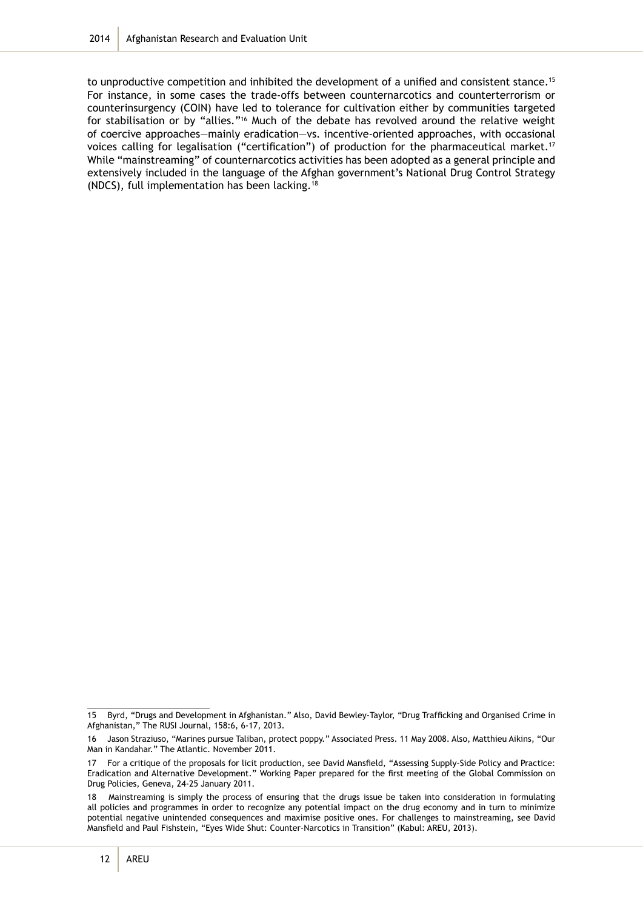to unproductive competition and inhibited the development of a unified and consistent stance.<sup>15</sup> For instance, in some cases the trade-offs between counternarcotics and counterterrorism or counterinsurgency (COIN) have led to tolerance for cultivation either by communities targeted for stabilisation or by "allies."<sup>16</sup> Much of the debate has revolved around the relative weight of coercive approaches—mainly eradication—vs. incentive-oriented approaches, with occasional voices calling for legalisation ("certification") of production for the pharmaceutical market.<sup>17</sup> While "mainstreaming" of counternarcotics activities has been adopted as a general principle and extensively included in the language of the Afghan government's National Drug Control Strategy (NDCS), full implementation has been lacking.18

<sup>15</sup> Byrd, "Drugs and Development in Afghanistan." Also, David Bewley-Taylor, "Drug Trafficking and Organised Crime in Afghanistan," The RUSI Journal, 158:6, 6-17, 2013.

<sup>16</sup> Jason Straziuso, "Marines pursue Taliban, protect poppy." Associated Press. 11 May 2008. Also, Matthieu Aikins, "Our Man in Kandahar." The Atlantic. November 2011.

<sup>17</sup> For a critique of the proposals for licit production, see David Mansfield, "Assessing Supply-Side Policy and Practice: Eradication and Alternative Development." Working Paper prepared for the first meeting of the Global Commission on Drug Policies, Geneva, 24-25 January 2011.

<sup>18</sup> Mainstreaming is simply the process of ensuring that the drugs issue be taken into consideration in formulating all policies and programmes in order to recognize any potential impact on the drug economy and in turn to minimize potential negative unintended consequences and maximise positive ones. For challenges to mainstreaming, see David Mansfield and Paul Fishstein, "Eyes Wide Shut: Counter-Narcotics in Transition" (Kabul: AREU, 2013).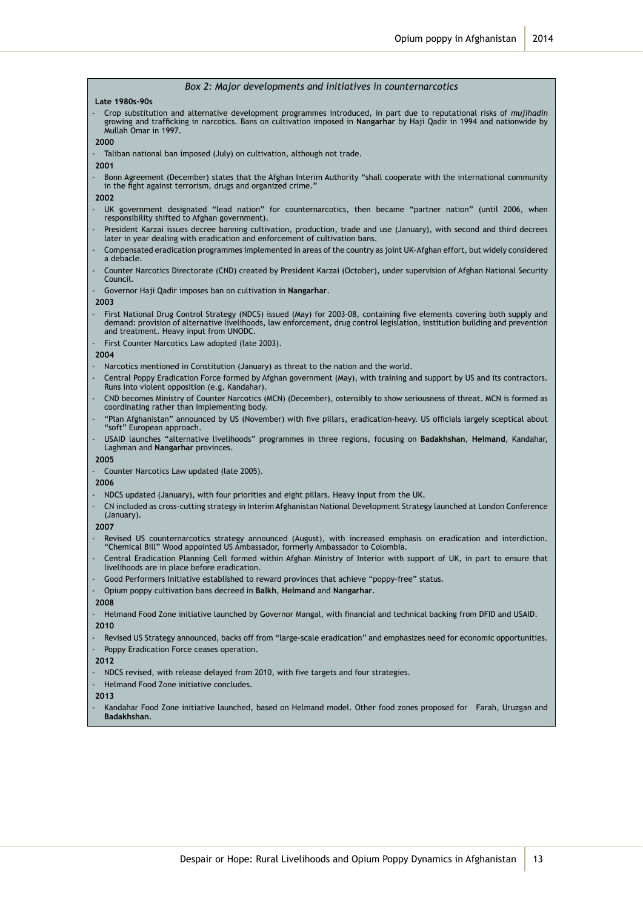#### *Box 2: Major developments and initiatives in counternarcotics*

**Late 1980s-90s** 

- Crop substitution and alternative development programmes introduced, in part due to reputational risks of *mujihadin* growing and trafficking in narcotics. Bans on cultivation imposed in **Nangarhar** by Haji Qadir in 1994 and nationwide by Mullah Omar in 1997.

**2000**

- Taliban national ban imposed (July) on cultivation, although not trade.
- **2001**
- Bonn Agreement (December) states that the Afghan Interim Authority "shall cooperate with the international community in the fight against terrorism, drugs and organized crime.

**2002**

- UK government designated "lead nation" for counternarcotics, then became "partner nation" (until 2006, when responsibility shifted to Afghan government).
- President Karzai issues decree banning cultivation, production, trade and use (January), with second and third decrees later in year dealing with eradication and enforcement of cultivation bans.
- Compensated eradication programmes implemented in areas of the country as joint UK-Afghan effort, but widely considered a debacle.
- Counter Narcotics Directorate (CND) created by President Karzai (October), under supervision of Afghan National Security Council.
- Governor Haji Qadir imposes ban on cultivation in **Nangarhar**.

**2003**

- First National Drug Control Strategy (NDCS) issued (May) for 2003-08, containing five elements covering both supply and demand: provision of alternative livelihoods, law enforcement, drug control legislation, institution building and prevention and treatment. Heavy input from UNODC.
- First Counter Narcotics Law adopted (late 2003).

**2004**

- Narcotics mentioned in Constitution (January) as threat to the nation and the world.
- Central Poppy Eradication Force formed by Afghan government (May), with training and support by US and its contractors. Runs into violent opposition (e.g. Kandahar).
- CND becomes Ministry of Counter Narcotics (MCN) (December), ostensibly to show seriousness of threat. MCN is formed as coordinating rather than implementing body.
- "Plan Afghanistan" announced by US (November) with five pillars, eradication-heavy. US officials largely sceptical about "soft" European approach.
- USAID launches "alternative livelihoods" programmes in three regions, focusing on **Badakhshan**, **Helmand**, Kandahar, Laghman and **Nangarhar** provinces.

**2005**

Counter Narcotics Law updated (late 2005).

**2006**

- NDCS updated (January), with four priorities and eight pillars. Heavy input from the UK.
- CN included as cross-cutting strategy in Interim Afghanistan National Development Strategy launched at London Conference (January).

**2007**

- Revised US counternarcotics strategy announced (August), with increased emphasis on eradication and interdiction. "Chemical Bill" Wood appointed US Ambassador, formerly Ambassador to Colombia.
- Central Eradication Planning Cell formed within Afghan Ministry of Interior with support of UK, in part to ensure that livelihoods are in place before eradication.
- Good Performers Initiative established to reward provinces that achieve "poppy-free" status.
- Opium poppy cultivation bans decreed in **Balkh**, **Helmand** and **Nangarhar**.

**2008**

- Helmand Food Zone initiative launched by Governor Mangal, with financial and technical backing from DFID and USAID. **2010**

Revised US Strategy announced, backs off from "large-scale eradication" and emphasizes need for economic opportunities.

- Poppy Eradication Force ceases operation.

**2012**

- NDCS revised, with release delayed from 2010, with five targets and four strategies.
- Helmand Food Zone initiative concludes.

**2013**

- Kandahar Food Zone initiative launched, based on Helmand model. Other food zones proposed for Farah, Uruzgan and **Badakhshan**.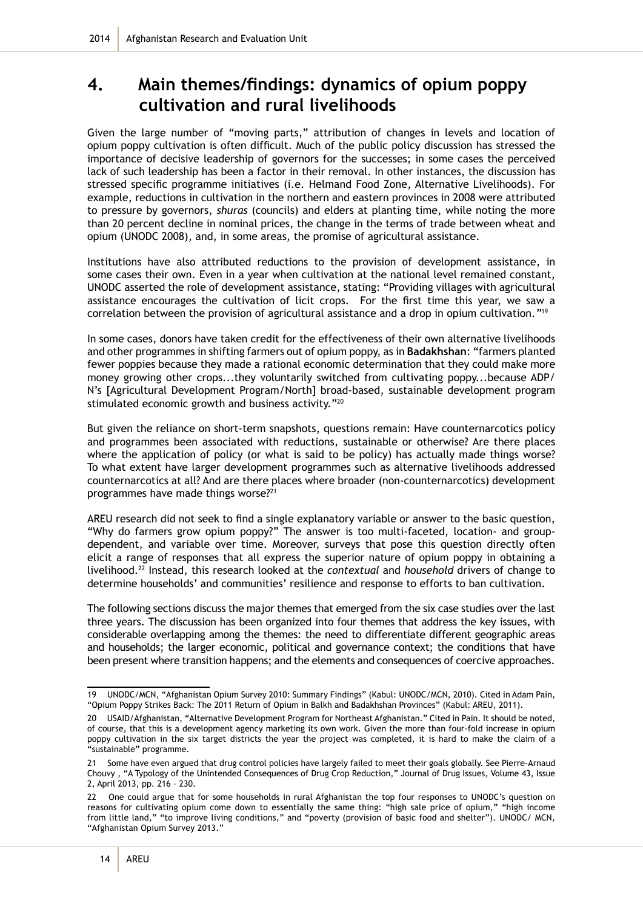## **4. Main themes/findings: dynamics of opium poppy cultivation and rural livelihoods**

Given the large number of "moving parts," attribution of changes in levels and location of opium poppy cultivation is often difficult. Much of the public policy discussion has stressed the importance of decisive leadership of governors for the successes; in some cases the perceived lack of such leadership has been a factor in their removal. In other instances, the discussion has stressed specific programme initiatives (i.e. Helmand Food Zone, Alternative Livelihoods). For example, reductions in cultivation in the northern and eastern provinces in 2008 were attributed to pressure by governors, *shuras* (councils) and elders at planting time, while noting the more than 20 percent decline in nominal prices, the change in the terms of trade between wheat and opium (UNODC 2008), and, in some areas, the promise of agricultural assistance.

Institutions have also attributed reductions to the provision of development assistance, in some cases their own. Even in a year when cultivation at the national level remained constant, UNODC asserted the role of development assistance, stating: "Providing villages with agricultural assistance encourages the cultivation of licit crops. For the first time this year, we saw a correlation between the provision of agricultural assistance and a drop in opium cultivation*."*<sup>19</sup>

In some cases, donors have taken credit for the effectiveness of their own alternative livelihoods and other programmes in shifting farmers out of opium poppy, as in **Badakhshan**: "farmers planted fewer poppies because they made a rational economic determination that they could make more money growing other crops...they voluntarily switched from cultivating poppy...because ADP/ N's [Agricultural Development Program/North] broad-based, sustainable development program stimulated economic growth and business activity."<sup>20</sup>

But given the reliance on short-term snapshots, questions remain: Have counternarcotics policy and programmes been associated with reductions, sustainable or otherwise? Are there places where the application of policy (or what is said to be policy) has actually made things worse? To what extent have larger development programmes such as alternative livelihoods addressed counternarcotics at all? And are there places where broader (non-counternarcotics) development programmes have made things worse?<sup>21</sup>

AREU research did not seek to find a single explanatory variable or answer to the basic question, "Why do farmers grow opium poppy?" The answer is too multi-faceted, location- and groupdependent, and variable over time. Moreover, surveys that pose this question directly often elicit a range of responses that all express the superior nature of opium poppy in obtaining a livelihood.22 Instead, this research looked at the *contextual* and *household* drivers of change to determine households' and communities' resilience and response to efforts to ban cultivation.

The following sections discuss the major themes that emerged from the six case studies over the last three years. The discussion has been organized into four themes that address the key issues, with considerable overlapping among the themes: the need to differentiate different geographic areas and households; the larger economic, political and governance context; the conditions that have been present where transition happens; and the elements and consequences of coercive approaches.

<sup>19</sup> UNODC/MCN, "Afghanistan Opium Survey 2010: Summary Findings" (Kabul: UNODC/MCN, 2010). Cited in Adam Pain, "Opium Poppy Strikes Back: The 2011 Return of Opium in Balkh and Badakhshan Provinces" (Kabul: AREU, 2011).

<sup>20</sup> USAID/Afghanistan, "Alternative Development Program for Northeast Afghanistan." Cited in Pain. It should be noted, of course, that this is a development agency marketing its own work. Given the more than four-fold increase in opium poppy cultivation in the six target districts the year the project was completed, it is hard to make the claim of a "sustainable" programme.

<sup>21</sup> Some have even argued that drug control policies have largely failed to meet their goals globally. See Pierre-Arnaud Chouvy , "A Typology of the Unintended Consequences of Drug Crop Reduction," Journal of Drug Issues, Volume 43, Issue 2, April 2013, pp. 216 – 230.

<sup>22</sup> One could argue that for some households in rural Afghanistan the top four responses to UNODC's question on reasons for cultivating opium come down to essentially the same thing: "high sale price of opium," "high income from little land," "to improve living conditions," and "poverty (provision of basic food and shelter"). UNODC/ MCN, "Afghanistan Opium Survey 2013."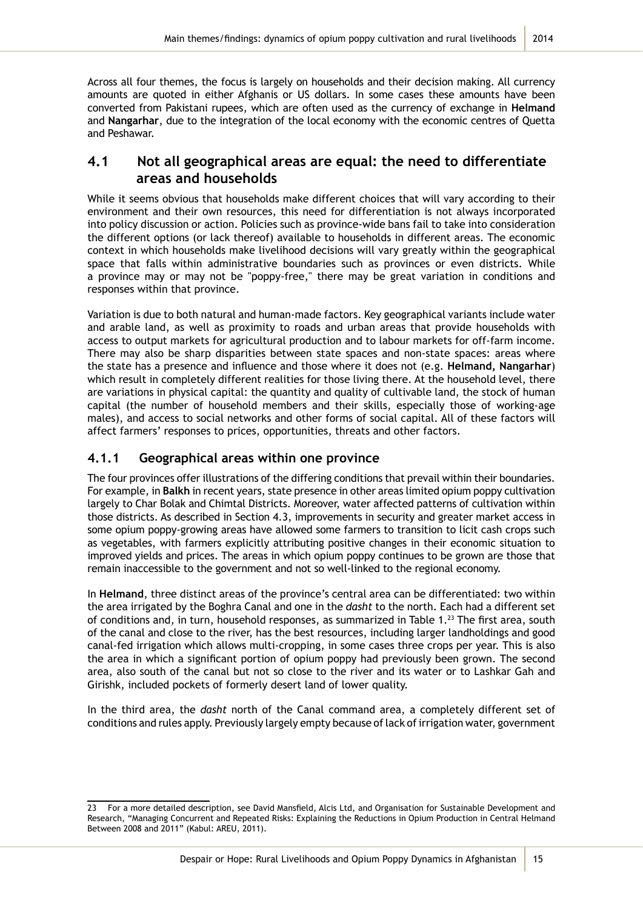Across all four themes, the focus is largely on households and their decision making. All currency amounts are quoted in either Afghanis or US dollars. In some cases these amounts have been converted from Pakistani rupees, which are often used as the currency of exchange in **Helmand** and **Nangarhar**, due to the integration of the local economy with the economic centres of Quetta and Peshawar.

### **4.1 Not all geographical areas are equal: the need to differentiate areas and households**

While it seems obvious that households make different choices that will vary according to their environment and their own resources, this need for differentiation is not always incorporated into policy discussion or action. Policies such as province-wide bans fail to take into consideration the different options (or lack thereof) available to households in different areas. The economic context in which households make livelihood decisions will vary greatly within the geographical space that falls within administrative boundaries such as provinces or even districts. While a province may or may not be "poppy-free," there may be great variation in conditions and responses within that province.

Variation is due to both natural and human-made factors. Key geographical variants include water and arable land, as well as proximity to roads and urban areas that provide households with access to output markets for agricultural production and to labour markets for off-farm income. There may also be sharp disparities between state spaces and non-state spaces: areas where the state has a presence and influence and those where it does not (e.g. **Helmand, Nangarhar**) which result in completely different realities for those living there. At the household level, there are variations in physical capital: the quantity and quality of cultivable land, the stock of human capital (the number of household members and their skills, especially those of working-age males), and access to social networks and other forms of social capital. All of these factors will affect farmers' responses to prices, opportunities, threats and other factors.

#### **4.1.1 Geographical areas within one province**

The four provinces offer illustrations of the differing conditions that prevail within their boundaries. For example, in **Balkh** in recent years, state presence in other areas limited opium poppy cultivation largely to Char Bolak and Chimtal Districts. Moreover, water affected patterns of cultivation within those districts. As described in Section 4.3, improvements in security and greater market access in some opium poppy-growing areas have allowed some farmers to transition to licit cash crops such as vegetables, with farmers explicitly attributing positive changes in their economic situation to improved yields and prices. The areas in which opium poppy continues to be grown are those that remain inaccessible to the government and not so well-linked to the regional economy.

In **Helmand**, three distinct areas of the province's central area can be differentiated: two within the area irrigated by the Boghra Canal and one in the *dasht* to the north. Each had a different set of conditions and, in turn, household responses, as summarized in Table 1.<sup>23</sup> The first area, south of the canal and close to the river, has the best resources, including larger landholdings and good canal-fed irrigation which allows multi-cropping, in some cases three crops per year. This is also the area in which a significant portion of opium poppy had previously been grown. The second area, also south of the canal but not so close to the river and its water or to Lashkar Gah and Girishk, included pockets of formerly desert land of lower quality.

In the third area, the *dasht* north of the Canal command area, a completely different set of conditions and rules apply. Previously largely empty because of lack of irrigation water, government

<sup>23</sup> For a more detailed description, see David Mansfield, Alcis Ltd, and Organisation for Sustainable Development and Research, "Managing Concurrent and Repeated Risks: Explaining the Reductions in Opium Production in Central Helmand Between 2008 and 2011" (Kabul: AREU, 2011).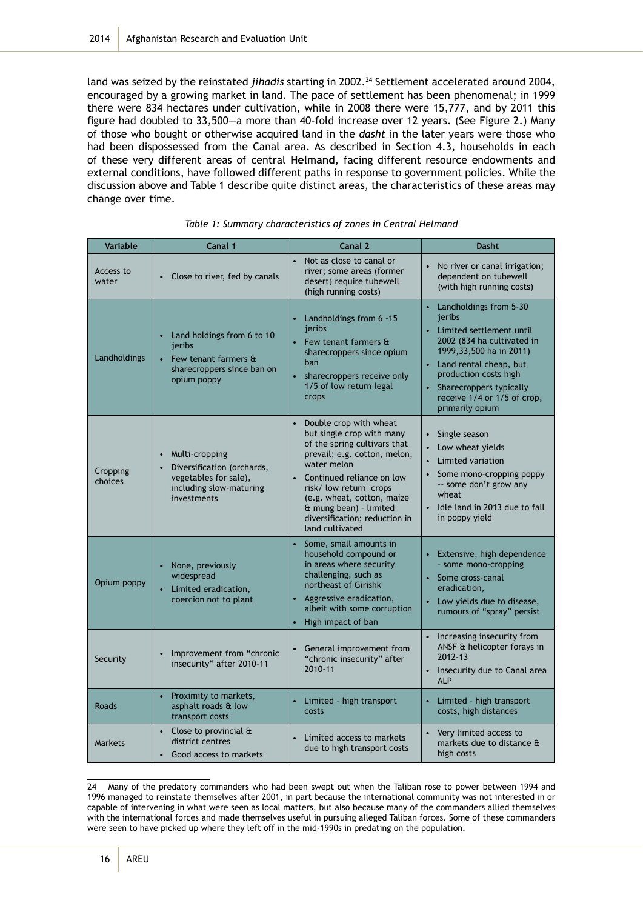land was seized by the reinstated *jihadis* starting in 2002.<sup>24</sup> Settlement accelerated around 2004, encouraged by a growing market in land. The pace of settlement has been phenomenal; in 1999 there were 834 hectares under cultivation, while in 2008 there were 15,777, and by 2011 this figure had doubled to 33,500—a more than 40-fold increase over 12 years. (See Figure 2.) Many of those who bought or otherwise acquired land in the *dasht* in the later years were those who had been dispossessed from the Canal area. As described in Section 4.3, households in each of these very different areas of central **Helmand**, facing different resource endowments and external conditions, have followed different paths in response to government policies. While the discussion above and Table 1 describe quite distinct areas, the characteristics of these areas may change over time.

| Variable            | Canal 1                                                                                                                        | Canal 2                                                                                                                                                                                                                                                                                                              | <b>Dasht</b>                                                                                                                                                                                                                                                                        |
|---------------------|--------------------------------------------------------------------------------------------------------------------------------|----------------------------------------------------------------------------------------------------------------------------------------------------------------------------------------------------------------------------------------------------------------------------------------------------------------------|-------------------------------------------------------------------------------------------------------------------------------------------------------------------------------------------------------------------------------------------------------------------------------------|
| Access to<br>water  | Close to river, fed by canals                                                                                                  | Not as close to canal or<br>$\bullet$<br>river; some areas (former<br>desert) require tubewell<br>(high running costs)                                                                                                                                                                                               | No river or canal irrigation;<br>$\bullet$<br>dependent on tubewell<br>(with high running costs)                                                                                                                                                                                    |
| Landholdings        | • Land holdings from 6 to 10<br>jeribs<br>• Few tenant farmers $\mathbf{\hat{a}}$<br>sharecroppers since ban on<br>opium poppy | Landholdings from 6 -15<br>jeribs<br>• Few tenant farmers $\mathbf{\hat{a}}$<br>sharecroppers since opium<br>ban<br>sharecroppers receive only<br>1/5 of low return legal<br>crops                                                                                                                                   | Landholdings from 5-30<br>$\bullet$<br>jeribs<br>• Limited settlement until<br>2002 (834 ha cultivated in<br>1999, 33, 500 ha in 2011)<br>Land rental cheap, but<br>$\bullet$<br>production costs high<br>Sharecroppers typically<br>receive 1/4 or 1/5 of crop,<br>primarily opium |
| Cropping<br>choices | Multi-cropping<br>Diversification (orchards,<br>vegetables for sale),<br>including slow-maturing<br>investments                | Double crop with wheat<br>$\bullet$<br>but single crop with many<br>of the spring cultivars that<br>prevail; e.g. cotton, melon,<br>water melon<br>• Continued reliance on low<br>risk/ low return crops<br>(e.g. wheat, cotton, maize<br>& mung bean) - limited<br>diversification: reduction in<br>land cultivated | Single season<br>$\bullet$<br>Low wheat yields<br>$\bullet$<br>Limited variation<br>$\bullet$<br>Some mono-cropping poppy<br>$\bullet$<br>-- some don't grow any<br>wheat<br>Idle land in 2013 due to fall<br>in poppy yield                                                        |
| Opium poppy         | None, previously<br>widespread<br>Limited eradication,<br>coercion not to plant                                                | Some, small amounts in<br>$\bullet$<br>household compound or<br>in areas where security<br>challenging, such as<br>northeast of Girishk<br>Aggressive eradication,<br>albeit with some corruption<br>High impact of ban                                                                                              | Extensive, high dependence<br>$\bullet$<br>- some mono-cropping<br>Some cross-canal<br>eradication,<br>Low yields due to disease,<br>rumours of "spray" persist                                                                                                                     |
| Security            | Improvement from "chronic<br>$\bullet$<br>insecurity" after 2010-11                                                            | General improvement from<br>"chronic insecurity" after<br>2010-11                                                                                                                                                                                                                                                    | Increasing insecurity from<br>$\bullet$<br>ANSF & helicopter forays in<br>2012-13<br>Insecurity due to Canal area<br><b>ALP</b>                                                                                                                                                     |
| Roads               | $\bullet$<br>Proximity to markets,<br>asphalt roads & low<br>transport costs                                                   | • Limited - high transport<br>costs                                                                                                                                                                                                                                                                                  | Limited - high transport<br>$\bullet$<br>costs, high distances                                                                                                                                                                                                                      |
| <b>Markets</b>      | • Close to provincial $\theta$<br>district centres<br>Good access to markets                                                   | Limited access to markets<br>due to high transport costs                                                                                                                                                                                                                                                             | Very limited access to<br>markets due to distance &<br>high costs                                                                                                                                                                                                                   |

|  | Table 1: Summary characteristics of zones in Central Helmand |  |  |
|--|--------------------------------------------------------------|--|--|
|  |                                                              |  |  |

<sup>24</sup> Many of the predatory commanders who had been swept out when the Taliban rose to power between 1994 and 1996 managed to reinstate themselves after 2001, in part because the international community was not interested in or capable of intervening in what were seen as local matters, but also because many of the commanders allied themselves with the international forces and made themselves useful in pursuing alleged Taliban forces. Some of these commanders were seen to have picked up where they left off in the mid-1990s in predating on the population.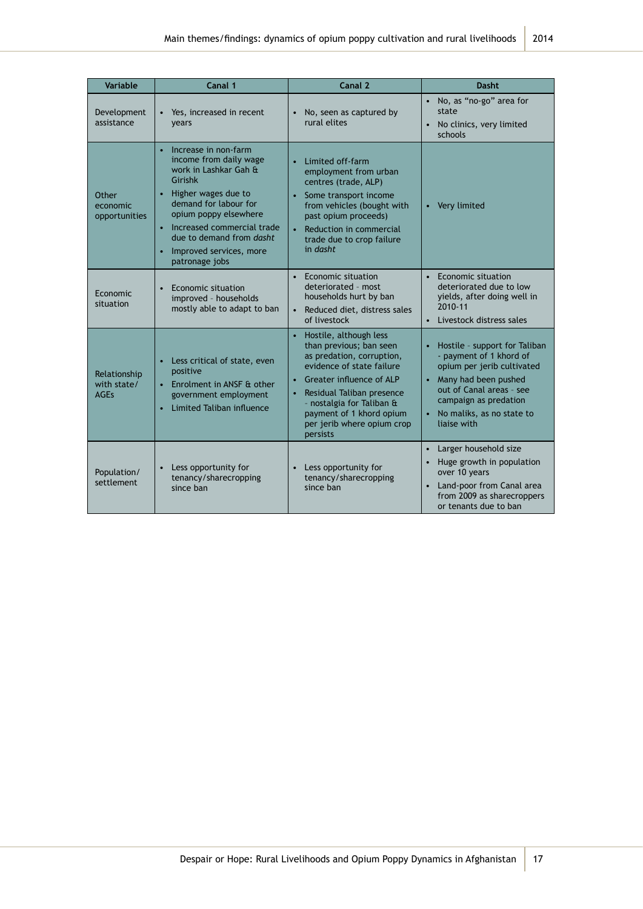| Variable                                   | Canal 1                                                                                                                                                                                                                                                                                    | Canal 2                                                                                                                                                                                                                                                                              | <b>Dasht</b>                                                                                                                                                                                                    |
|--------------------------------------------|--------------------------------------------------------------------------------------------------------------------------------------------------------------------------------------------------------------------------------------------------------------------------------------------|--------------------------------------------------------------------------------------------------------------------------------------------------------------------------------------------------------------------------------------------------------------------------------------|-----------------------------------------------------------------------------------------------------------------------------------------------------------------------------------------------------------------|
| Development<br>assistance                  | Yes, increased in recent<br>vears                                                                                                                                                                                                                                                          | No, seen as captured by<br>$\bullet$<br>rural elites                                                                                                                                                                                                                                 | No, as "no-go" area for<br>state<br>No clinics, very limited<br>$\bullet$<br>schools                                                                                                                            |
| Other<br>economic<br>opportunities         | Increase in non-farm<br>$\bullet$<br>income from daily wage<br>work in Lashkar Gah &<br>Girishk<br>• Higher wages due to<br>demand for labour for<br>opium poppy elsewhere<br>• Increased commercial trade<br>due to demand from <i>dasht</i><br>Improved services, more<br>patronage jobs | Limited off-farm<br>$\bullet$<br>employment from urban<br>centres (trade, ALP)<br>• Some transport income<br>from vehicles (bought with<br>past opium proceeds)<br>Reduction in commercial<br>$\bullet$<br>trade due to crop failure<br>in dasht                                     | Very limited<br>$\bullet$                                                                                                                                                                                       |
| Economic<br>situation                      | Economic situation<br>$\bullet$<br>improved - households<br>mostly able to adapt to ban                                                                                                                                                                                                    | $\bullet$<br>Economic situation<br>deteriorated - most<br>households hurt by ban<br>Reduced diet, distress sales<br>$\bullet$<br>of livestock                                                                                                                                        | Economic situation<br>$\bullet$<br>deteriorated due to low<br>yields, after doing well in<br>2010-11<br>Livestock distress sales                                                                                |
| Relationship<br>with state/<br><b>AGFs</b> | • Less critical of state, even<br>positive<br>Enrolment in ANSF & other<br>government employment<br>Limited Taliban influence                                                                                                                                                              | Hostile, although less<br>than previous; ban seen<br>as predation, corruption,<br>evidence of state failure<br>Greater influence of ALP<br>Residual Taliban presence<br>$\bullet$<br>- nostalgia for Taliban &<br>payment of 1 khord opium<br>per jerib where opium crop<br>persists | Hostile - support for Taliban<br>- payment of 1 khord of<br>opium per jerib cultivated<br>Many had been pushed<br>out of Canal areas - see<br>campaign as predation<br>No maliks, as no state to<br>liaise with |
| Population/<br>settlement                  | Less opportunity for<br>tenancy/sharecropping<br>since ban                                                                                                                                                                                                                                 | Less opportunity for<br>$\bullet$<br>tenancy/sharecropping<br>since ban                                                                                                                                                                                                              | Larger household size<br>$\bullet$<br>Huge growth in population<br>$\bullet$<br>over 10 years<br>Land-poor from Canal area<br>$\bullet$<br>from 2009 as sharecroppers<br>or tenants due to ban                  |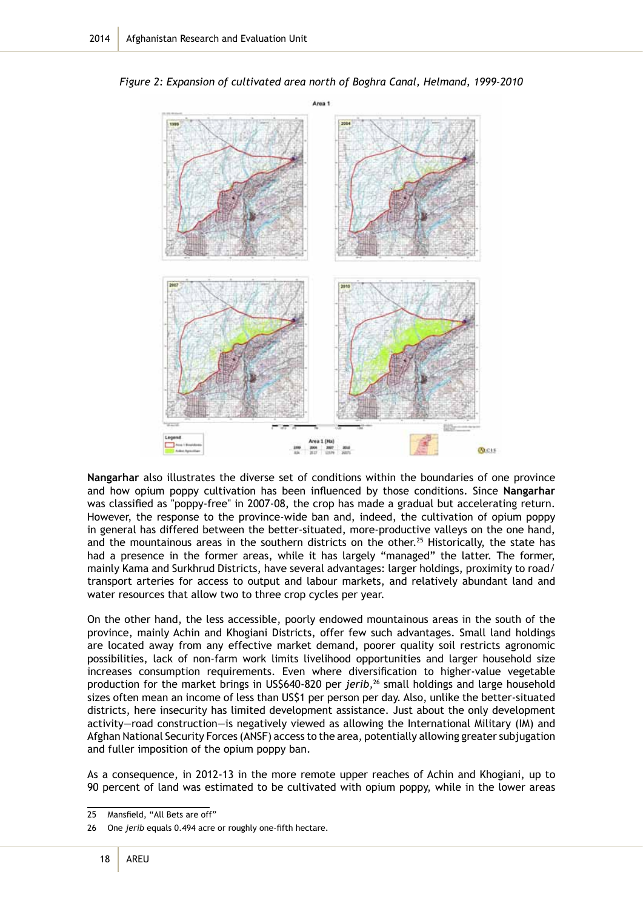

*Figure 2: Expansion of cultivated area north of Boghra Canal, Helmand, 1999-2010*

**Nangarhar** also illustrates the diverse set of conditions within the boundaries of one province and how opium poppy cultivation has been influenced by those conditions. Since **Nangarhar** was classified as "poppy-free" in 2007-08, the crop has made a gradual but accelerating return. However, the response to the province-wide ban and, indeed, the cultivation of opium poppy in general has differed between the better-situated, more-productive valleys on the one hand, and the mountainous areas in the southern districts on the other.<sup>25</sup> Historically, the state has had a presence in the former areas, while it has largely "managed" the latter. The former, mainly Kama and Surkhrud Districts, have several advantages: larger holdings, proximity to road/ transport arteries for access to output and labour markets, and relatively abundant land and water resources that allow two to three crop cycles per year.

On the other hand, the less accessible, poorly endowed mountainous areas in the south of the province, mainly Achin and Khogiani Districts, offer few such advantages. Small land holdings are located away from any effective market demand, poorer quality soil restricts agronomic possibilities, lack of non-farm work limits livelihood opportunities and larger household size increases consumption requirements. Even where diversification to higher-value vegetable production for the market brings in US\$640-820 per *jerib,*26 small holdings and large household sizes often mean an income of less than US\$1 per person per day. Also, unlike the better-situated districts, here insecurity has limited development assistance. Just about the only development activity—road construction—is negatively viewed as allowing the International Military (IM) and Afghan National Security Forces (ANSF) access to the area, potentially allowing greater subjugation and fuller imposition of the opium poppy ban.

As a consequence, in 2012-13 in the more remote upper reaches of Achin and Khogiani, up to 90 percent of land was estimated to be cultivated with opium poppy, while in the lower areas

<sup>25</sup> Mansfield, "All Bets are off"

<sup>26</sup> One *jerib* equals 0.494 acre or roughly one-fifth hectare.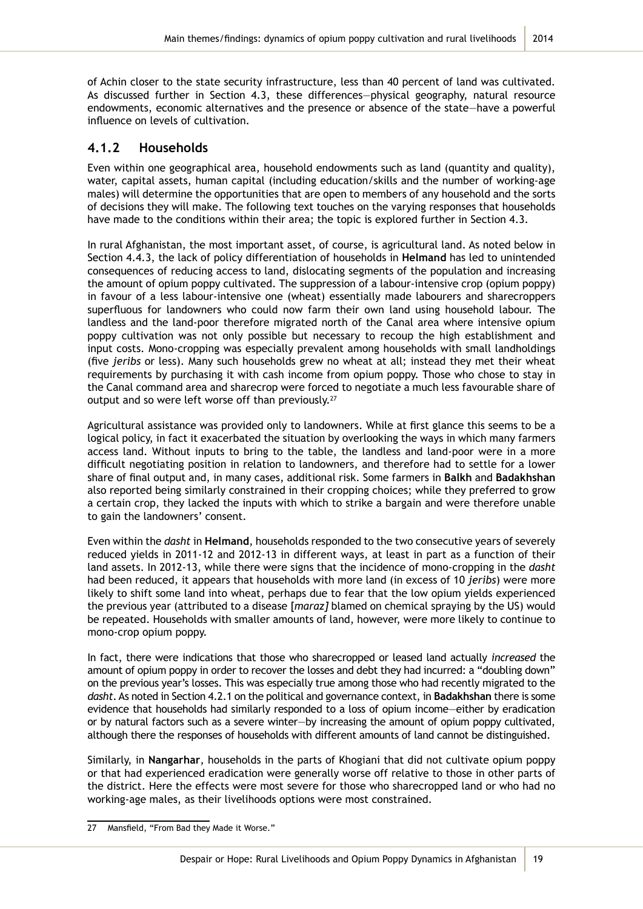of Achin closer to the state security infrastructure, less than 40 percent of land was cultivated. As discussed further in Section 4.3, these differences—physical geography, natural resource endowments, economic alternatives and the presence or absence of the state—have a powerful influence on levels of cultivation.

#### **4.1.2 Households**

Even within one geographical area, household endowments such as land (quantity and quality), water, capital assets, human capital (including education/skills and the number of working-age males) will determine the opportunities that are open to members of any household and the sorts of decisions they will make. The following text touches on the varying responses that households have made to the conditions within their area; the topic is explored further in Section 4.3.

In rural Afghanistan, the most important asset, of course, is agricultural land. As noted below in Section 4.4.3, the lack of policy differentiation of households in **Helmand** has led to unintended consequences of reducing access to land, dislocating segments of the population and increasing the amount of opium poppy cultivated. The suppression of a labour-intensive crop (opium poppy) in favour of a less labour-intensive one (wheat) essentially made labourers and sharecroppers superfluous for landowners who could now farm their own land using household labour. The landless and the land-poor therefore migrated north of the Canal area where intensive opium poppy cultivation was not only possible but necessary to recoup the high establishment and input costs. Mono-cropping was especially prevalent among households with small landholdings (five *jeribs* or less). Many such households grew no wheat at all; instead they met their wheat requirements by purchasing it with cash income from opium poppy. Those who chose to stay in the Canal command area and sharecrop were forced to negotiate a much less favourable share of output and so were left worse off than previously.<sup>27</sup>

Agricultural assistance was provided only to landowners. While at first glance this seems to be a logical policy, in fact it exacerbated the situation by overlooking the ways in which many farmers access land. Without inputs to bring to the table, the landless and land-poor were in a more difficult negotiating position in relation to landowners, and therefore had to settle for a lower share of final output and, in many cases, additional risk. Some farmers in **Balkh** and **Badakhshan** also reported being similarly constrained in their cropping choices; while they preferred to grow a certain crop, they lacked the inputs with which to strike a bargain and were therefore unable to gain the landowners' consent.

Even within the *dasht* in **Helmand**, households responded to the two consecutive years of severely reduced yields in 2011-12 and 2012-13 in different ways, at least in part as a function of their land assets. In 2012-13, while there were signs that the incidence of mono-cropping in the *dasht* had been reduced, it appears that households with more land (in excess of 10 *jeribs*) were more likely to shift some land into wheat, perhaps due to fear that the low opium yields experienced the previous year (attributed to a disease [*maraz]* blamed on chemical spraying by the US) would be repeated. Households with smaller amounts of land, however, were more likely to continue to mono-crop opium poppy.

In fact, there were indications that those who sharecropped or leased land actually *increased* the amount of opium poppy in order to recover the losses and debt they had incurred: a "doubling down" on the previous year's losses. This was especially true among those who had recently migrated to the *dasht*. As noted in Section 4.2.1 on the political and governance context, in **Badakhshan** there is some evidence that households had similarly responded to a loss of opium income—either by eradication or by natural factors such as a severe winter—by increasing the amount of opium poppy cultivated, although there the responses of households with different amounts of land cannot be distinguished.

Similarly, in **Nangarhar**, households in the parts of Khogiani that did not cultivate opium poppy or that had experienced eradication were generally worse off relative to those in other parts of the district. Here the effects were most severe for those who sharecropped land or who had no working-age males, as their livelihoods options were most constrained.

<sup>27</sup> Mansfield, "From Bad they Made it Worse."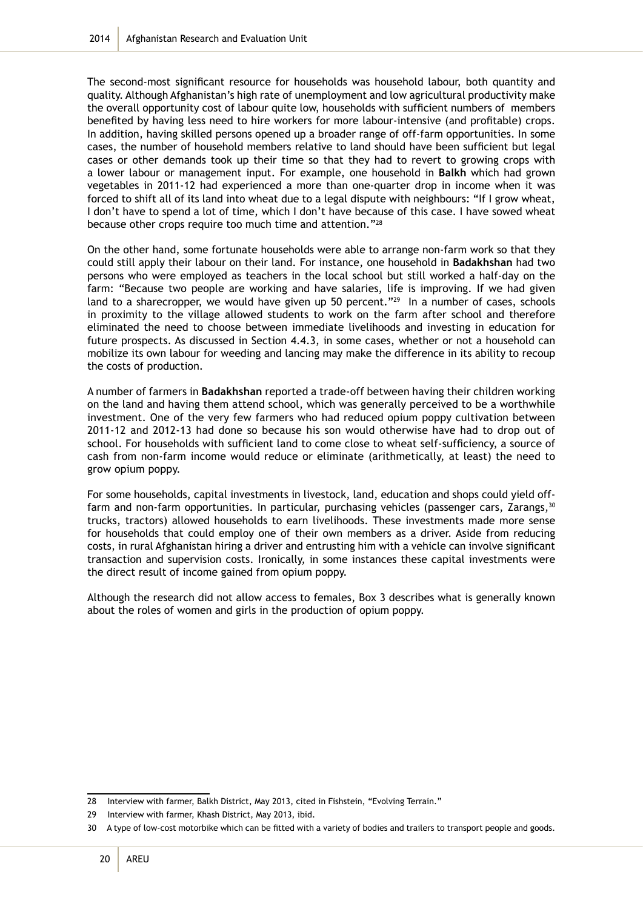The second-most significant resource for households was household labour, both quantity and quality. Although Afghanistan's high rate of unemployment and low agricultural productivity make the overall opportunity cost of labour quite low, households with sufficient numbers of members benefited by having less need to hire workers for more labour-intensive (and profitable) crops. In addition, having skilled persons opened up a broader range of off-farm opportunities. In some cases, the number of household members relative to land should have been sufficient but legal cases or other demands took up their time so that they had to revert to growing crops with a lower labour or management input. For example, one household in **Balkh** which had grown vegetables in 2011-12 had experienced a more than one-quarter drop in income when it was forced to shift all of its land into wheat due to a legal dispute with neighbours: "If I grow wheat, I don't have to spend a lot of time, which I don't have because of this case. I have sowed wheat because other crops require too much time and attention."<sup>28</sup>

On the other hand, some fortunate households were able to arrange non-farm work so that they could still apply their labour on their land. For instance, one household in **Badakhshan** had two persons who were employed as teachers in the local school but still worked a half-day on the farm: "Because two people are working and have salaries, life is improving. If we had given land to a sharecropper, we would have given up 50 percent."<sup>29</sup> In a number of cases, schools in proximity to the village allowed students to work on the farm after school and therefore eliminated the need to choose between immediate livelihoods and investing in education for future prospects. As discussed in Section 4.4.3, in some cases, whether or not a household can mobilize its own labour for weeding and lancing may make the difference in its ability to recoup the costs of production.

A number of farmers in **Badakhshan** reported a trade-off between having their children working on the land and having them attend school, which was generally perceived to be a worthwhile investment. One of the very few farmers who had reduced opium poppy cultivation between 2011-12 and 2012-13 had done so because his son would otherwise have had to drop out of school. For households with sufficient land to come close to wheat self-sufficiency, a source of cash from non-farm income would reduce or eliminate (arithmetically, at least) the need to grow opium poppy.

For some households, capital investments in livestock, land, education and shops could yield offfarm and non-farm opportunities. In particular, purchasing vehicles (passenger cars, Zarangs, 30 trucks, tractors) allowed households to earn livelihoods. These investments made more sense for households that could employ one of their own members as a driver. Aside from reducing costs, in rural Afghanistan hiring a driver and entrusting him with a vehicle can involve significant transaction and supervision costs. Ironically, in some instances these capital investments were the direct result of income gained from opium poppy.

Although the research did not allow access to females, Box 3 describes what is generally known about the roles of women and girls in the production of opium poppy.

<sup>28</sup> Interview with farmer, Balkh District, May 2013, cited in Fishstein, "Evolving Terrain."

<sup>29</sup> Interview with farmer, Khash District, May 2013, ibid.

<sup>30</sup> A type of low-cost motorbike which can be fitted with a variety of bodies and trailers to transport people and goods.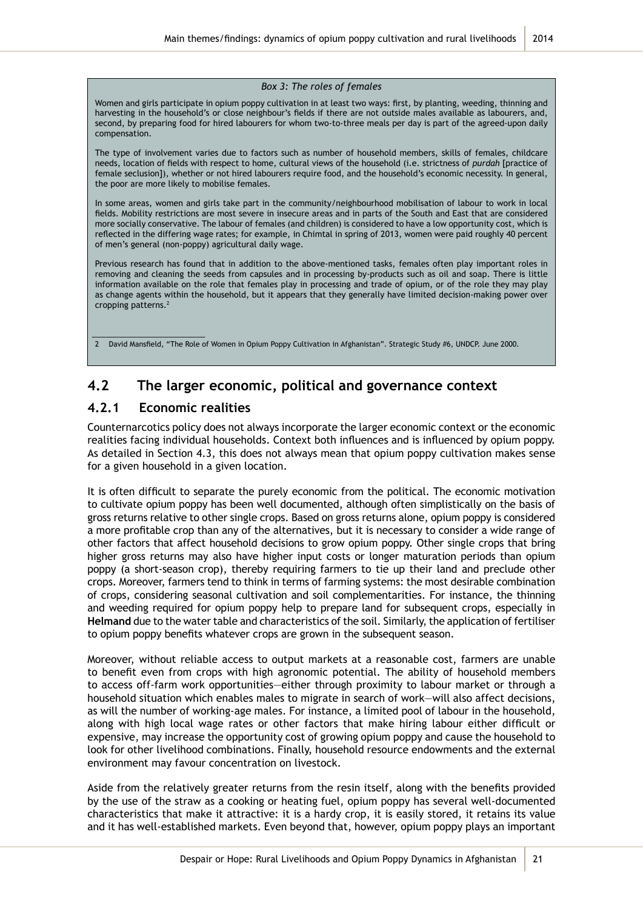#### *Box 3: The roles of females*

Women and girls participate in opium poppy cultivation in at least two ways: first, by planting, weeding, thinning and harvesting in the household's or close neighbour's fields if there are not outside males available as labourers, and, second, by preparing food for hired labourers for whom two-to-three meals per day is part of the agreed-upon daily compensation.

The type of involvement varies due to factors such as number of household members, skills of females, childcare needs, location of fields with respect to home, cultural views of the household (i.e. strictness of *purdah* [practice of female seclusion]), whether or not hired labourers require food, and the household's economic necessity. In general, the poor are more likely to mobilise females.

In some areas, women and girls take part in the community/neighbourhood mobilisation of labour to work in local fields. Mobility restrictions are most severe in insecure areas and in parts of the South and East that are considered more socially conservative. The labour of females (and children) is considered to have a low opportunity cost, which is reflected in the differing wage rates; for example, in Chimtal in spring of 2013, women were paid roughly 40 percent of men's general (non-poppy) agricultural daily wage.

Previous research has found that in addition to the above-mentioned tasks, females often play important roles in removing and cleaning the seeds from capsules and in processing by-products such as oil and soap. There is little information available on the role that females play in processing and trade of opium, or of the role they may play as change agents within the household, but it appears that they generally have limited decision-making power over cropping patterns.2

2 David Mansfield, "The Role of Women in Opium Poppy Cultivation in Afghanistan". Strategic Study #6, UNDCP. June 2000.

### **4.2 The larger economic, political and governance context**

#### **4.2.1 Economic realities**

\_\_\_\_\_\_\_\_\_\_\_\_\_\_\_\_\_\_\_\_\_\_\_\_\_

Counternarcotics policy does not always incorporate the larger economic context or the economic realities facing individual households. Context both influences and is influenced by opium poppy. As detailed in Section 4.3, this does not always mean that opium poppy cultivation makes sense for a given household in a given location.

It is often difficult to separate the purely economic from the political. The economic motivation to cultivate opium poppy has been well documented, although often simplistically on the basis of gross returns relative to other single crops. Based on gross returns alone, opium poppy is considered a more profitable crop than any of the alternatives, but it is necessary to consider a wide range of other factors that affect household decisions to grow opium poppy. Other single crops that bring higher gross returns may also have higher input costs or longer maturation periods than opium poppy (a short-season crop), thereby requiring farmers to tie up their land and preclude other crops. Moreover, farmers tend to think in terms of farming systems: the most desirable combination of crops, considering seasonal cultivation and soil complementarities. For instance, the thinning and weeding required for opium poppy help to prepare land for subsequent crops, especially in **Helmand** due to the water table and characteristics of the soil. Similarly, the application of fertiliser to opium poppy benefits whatever crops are grown in the subsequent season.

Moreover, without reliable access to output markets at a reasonable cost, farmers are unable to benefit even from crops with high agronomic potential. The ability of household members to access off-farm work opportunities—either through proximity to labour market or through a household situation which enables males to migrate in search of work—will also affect decisions, as will the number of working-age males. For instance, a limited pool of labour in the household, along with high local wage rates or other factors that make hiring labour either difficult or expensive, may increase the opportunity cost of growing opium poppy and cause the household to look for other livelihood combinations. Finally, household resource endowments and the external environment may favour concentration on livestock.

Aside from the relatively greater returns from the resin itself, along with the benefits provided by the use of the straw as a cooking or heating fuel, opium poppy has several well-documented characteristics that make it attractive: it is a hardy crop, it is easily stored, it retains its value and it has well-established markets. Even beyond that, however, opium poppy plays an important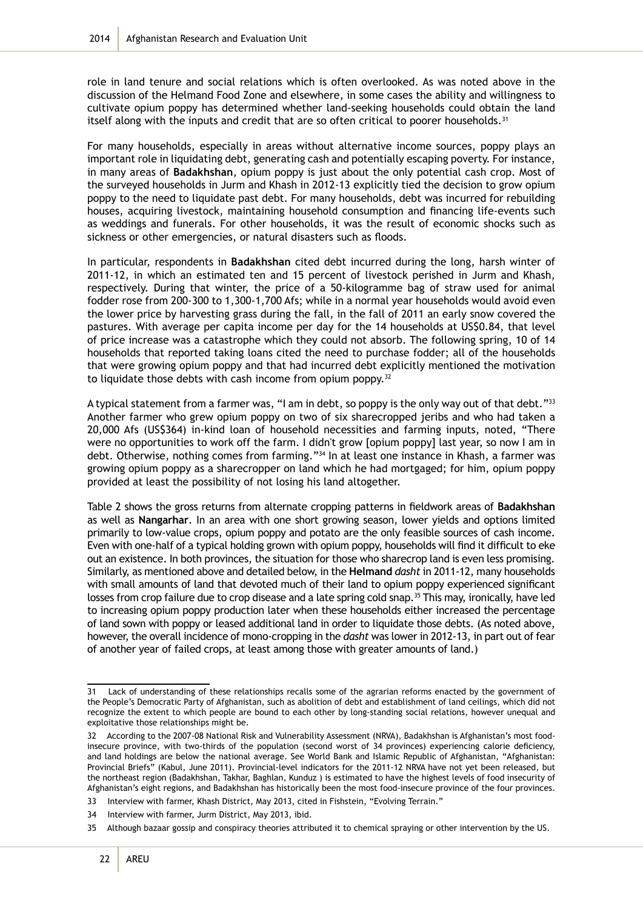role in land tenure and social relations which is often overlooked. As was noted above in the discussion of the Helmand Food Zone and elsewhere, in some cases the ability and willingness to cultivate opium poppy has determined whether land-seeking households could obtain the land itself along with the inputs and credit that are so often critical to poorer households.<sup>31</sup>

For many households, especially in areas without alternative income sources, poppy plays an important role in liquidating debt, generating cash and potentially escaping poverty. For instance, in many areas of **Badakhshan**, opium poppy is just about the only potential cash crop. Most of the surveyed households in Jurm and Khash in 2012-13 explicitly tied the decision to grow opium poppy to the need to liquidate past debt. For many households, debt was incurred for rebuilding houses, acquiring livestock, maintaining household consumption and financing life-events such as weddings and funerals. For other households, it was the result of economic shocks such as sickness or other emergencies, or natural disasters such as floods.

In particular, respondents in **Badakhshan** cited debt incurred during the long, harsh winter of 2011-12, in which an estimated ten and 15 percent of livestock perished in Jurm and Khash, respectively. During that winter, the price of a 50-kilogramme bag of straw used for animal fodder rose from 200-300 to 1,300-1,700 Afs; while in a normal year households would avoid even the lower price by harvesting grass during the fall, in the fall of 2011 an early snow covered the pastures. With average per capita income per day for the 14 households at US\$0.84, that level of price increase was a catastrophe which they could not absorb. The following spring, 10 of 14 households that reported taking loans cited the need to purchase fodder; all of the households that were growing opium poppy and that had incurred debt explicitly mentioned the motivation to liquidate those debts with cash income from opium poppy.<sup>32</sup>

A typical statement from a farmer was, "I am in debt, so poppy is the only way out of that debt."<sup>33</sup> Another farmer who grew opium poppy on two of six sharecropped jeribs and who had taken a 20,000 Afs (US\$364) in-kind loan of household necessities and farming inputs, noted, "There were no opportunities to work off the farm. I didn't grow [opium poppy] last year, so now I am in debt. Otherwise, nothing comes from farming."<sup>34</sup> In at least one instance in Khash, a farmer was growing opium poppy as a sharecropper on land which he had mortgaged; for him, opium poppy provided at least the possibility of not losing his land altogether.

Table 2 shows the gross returns from alternate cropping patterns in fieldwork areas of **Badakhshan** as well as **Nangarhar**. In an area with one short growing season, lower yields and options limited primarily to low-value crops, opium poppy and potato are the only feasible sources of cash income. Even with one-half of a typical holding grown with opium poppy, households will find it difficult to eke out an existence. In both provinces, the situation for those who sharecrop land is even less promising. Similarly, as mentioned above and detailed below, in the **Helmand** *dasht* in 2011-12, many households with small amounts of land that devoted much of their land to opium poppy experienced significant losses from crop failure due to crop disease and a late spring cold snap.<sup>35</sup> This may, ironically, have led to increasing opium poppy production later when these households either increased the percentage of land sown with poppy or leased additional land in order to liquidate those debts. (As noted above, however, the overall incidence of mono-cropping in the *dasht* was lower in 2012-13, in part out of fear of another year of failed crops, at least among those with greater amounts of land.)

<sup>31</sup> Lack of understanding of these relationships recalls some of the agrarian reforms enacted by the government of the People's Democratic Party of Afghanistan, such as abolition of debt and establishment of land ceilings, which did not recognize the extent to which people are bound to each other by long-standing social relations, however unequal and exploitative those relationships might be.

<sup>32</sup> According to the 2007-08 National Risk and Vulnerability Assessment (NRVA), Badakhshan is Afghanistan's most foodinsecure province, with two-thirds of the population (second worst of 34 provinces) experiencing calorie deficiency, and land holdings are below the national average. See World Bank and Islamic Republic of Afghanistan, "Afghanistan: Provincial Briefs" (Kabul, June 2011). Provincial-level indicators for the 2011-12 NRVA have not yet been released, but the northeast region (Badakhshan, Takhar, Baghlan, Kunduz ) is estimated to have the highest levels of food insecurity of Afghanistan's eight regions, and Badakhshan has historically been the most food-insecure province of the four provinces.

<sup>33</sup> Interview with farmer, Khash District, May 2013, cited in Fishstein, "Evolving Terrain."

<sup>34</sup> Interview with farmer, Jurm District, May 2013, ibid.

<sup>35</sup> Although bazaar gossip and conspiracy theories attributed it to chemical spraying or other intervention by the US.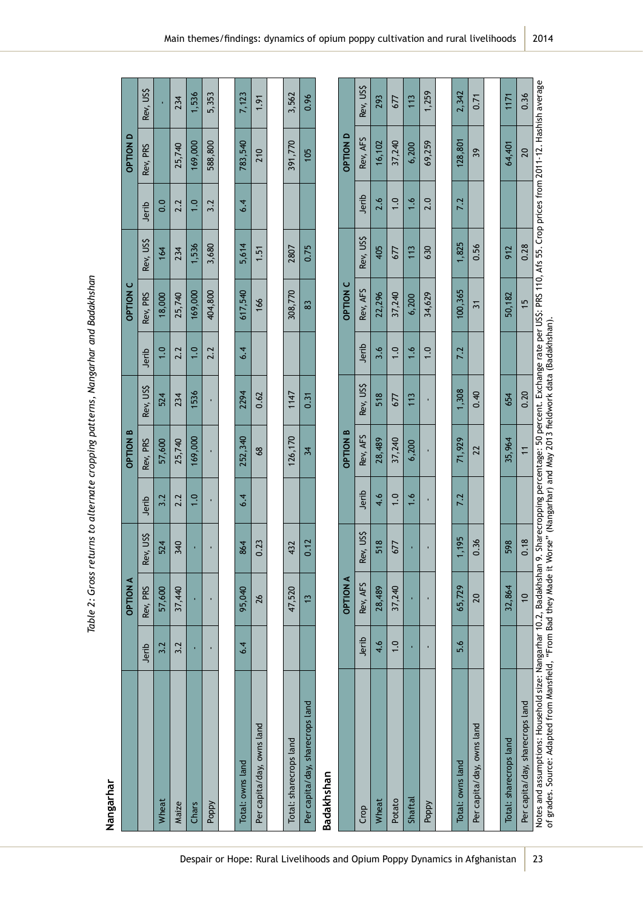| Nangarhar                                                                                                                                                                                             |       |                 |           |       |                  |           |       |                 |           |       |                                                                                                                           |           |
|-------------------------------------------------------------------------------------------------------------------------------------------------------------------------------------------------------|-------|-----------------|-----------|-------|------------------|-----------|-------|-----------------|-----------|-------|---------------------------------------------------------------------------------------------------------------------------|-----------|
|                                                                                                                                                                                                       |       | <b>OPTION A</b> |           |       | <b>OPTION B</b>  |           |       | <b>OPTION C</b> |           |       | <b>OPTION D</b>                                                                                                           |           |
|                                                                                                                                                                                                       | Jerib | Rev, PRS        | Rev, US\$ | Jerib | Rev, PRS         | Rev, US\$ | Jerib | Rev, PRS        | Rev, US\$ | Jerib | Rev, PRS                                                                                                                  | Rev, US\$ |
| Wheat                                                                                                                                                                                                 | 3.2   | 57,600          | 524       | 3.2   | 57,600           | 524       | 1.0   | 18,000          | 164       | 0.0   |                                                                                                                           |           |
| Maize                                                                                                                                                                                                 | 3.2   | 37,440          | 340       | 2.2   | 25,740           | 234       | 2.2   | 25,740          | 234       | 2.2   | 25,740                                                                                                                    | 234       |
| Chars                                                                                                                                                                                                 |       | ï               |           | 1.0   | 169,000          | 1536      | 1.0   | 169,000         | 1,536     | 1.0   | 169,000                                                                                                                   | 1,536     |
| Poppy                                                                                                                                                                                                 |       |                 |           |       | ı,               | ı         | 2.2   | 404,800         | 3,680     | 3.2   | 588,800                                                                                                                   | 5,353     |
|                                                                                                                                                                                                       |       |                 |           |       |                  |           |       |                 |           |       |                                                                                                                           |           |
| Total: owns land                                                                                                                                                                                      | 6.4   | 95,040          | 864       | 6.4   | 252,340          | 2294      | 6.4   | 617,540         | 5,614     | 6.4   | 783,540                                                                                                                   | 7,123     |
| Per capita/day, owns land                                                                                                                                                                             |       | 26              | 0.23      |       | 68               | 0.62      |       | 166             | 1.51      |       | 210                                                                                                                       | 1.91      |
|                                                                                                                                                                                                       |       |                 |           |       |                  |           |       |                 |           |       |                                                                                                                           |           |
| Total: sharecrops land                                                                                                                                                                                |       | 47,520          | 432       |       | 126,170          | 1147      |       | 308,770         | 2807      |       | 391,770                                                                                                                   | 3,562     |
| Per capita/day, sharecrops land                                                                                                                                                                       |       | $\frac{1}{2}$   | 0.12      |       | 34               | 0.31      |       | 83              | 0.75      |       | 105                                                                                                                       | 0.96      |
| Badakhshan                                                                                                                                                                                            |       |                 |           |       |                  |           |       |                 |           |       |                                                                                                                           |           |
|                                                                                                                                                                                                       |       | <b>DPTION A</b> |           |       | <b>B NOITION</b> |           |       | <b>OPTION C</b> |           |       | <b>OPTION D</b>                                                                                                           |           |
| Crop                                                                                                                                                                                                  | Jerib | Rev, AFS        | Rev, US\$ | Jerib | Rev, AFS         | Rev, US\$ | Jerib | Rev, AFS        | Rev, US\$ | Jerib | Rev, AFS                                                                                                                  | Rev, US\$ |
| Wheat                                                                                                                                                                                                 | 4.6   | 28,489          | 518       | 4.6   | 28,489           | 518       | 3.6   | 22,296          | 405       | 2.6   | 16,102                                                                                                                    | 293       |
| Potato                                                                                                                                                                                                | 1.0   | 37,240          | 677       | 1.0   | 37,240           | 677       | 1.0   | 37,240          | 677       | 1.0   | 37,240                                                                                                                    | 677       |
| Shaftal                                                                                                                                                                                               | ×,    | ×,              |           | 1.6   | 6,200            | 113       | 1.6   | 6,200           | 113       | 1.6   | 6,200                                                                                                                     | 113       |
| Poppy                                                                                                                                                                                                 |       |                 |           |       |                  |           | 1.0   | 34,629          | 630       | 2.0   | 69,259                                                                                                                    | 1,259     |
|                                                                                                                                                                                                       |       |                 |           |       |                  |           |       |                 |           |       |                                                                                                                           |           |
| Total: owns land                                                                                                                                                                                      | 5.6   | 65,729          | 1,195     | 7.2   | 71,929           | 1,308     | 7.2   | 100,365         | 1,825     | 7.2   | 128,801                                                                                                                   | 2,342     |
| Per capita/day, owns land                                                                                                                                                                             |       | 20              | 0.36      |       | 22               | 0.40      |       | $\overline{31}$ | 0.56      |       | 39                                                                                                                        | 0.71      |
|                                                                                                                                                                                                       |       |                 |           |       |                  |           |       |                 |           |       |                                                                                                                           |           |
| Total: sharecrops land                                                                                                                                                                                |       | 32,864          | 598       |       | 35,964           | 654       |       | 50,182          | 912       |       | 64,401                                                                                                                    | 1171      |
| Per capita/day, sharecrops land                                                                                                                                                                       |       | $\overline{0}$  | 0.18      |       | $\overline{1}$   | 0.20      |       | $\overline{1}$  | 0.28      |       | 20                                                                                                                        | 0.36      |
| of grades. Source: Adapted from Mansfield, "From Bad they Made it Worse" (Nangarhar) and May 2013 fieldwork data (Badakhshan).<br>Notes and assumptions: Household size: Nangarhar 10.2, Badakhshan 9 |       |                 |           |       |                  |           |       |                 |           |       | . Sharecropping percentage: 50 percent. Exchange rate per USS: PRS 110, Afs 55. Crop prices from 2011-12. Hashish average |           |

Table 2: Gross returns to alternate cropping patterns, Nangarhar and Badakhshan *Table 2: Gross returns to alternate cropping patterns, Nangarhar and Badakhshan*

2014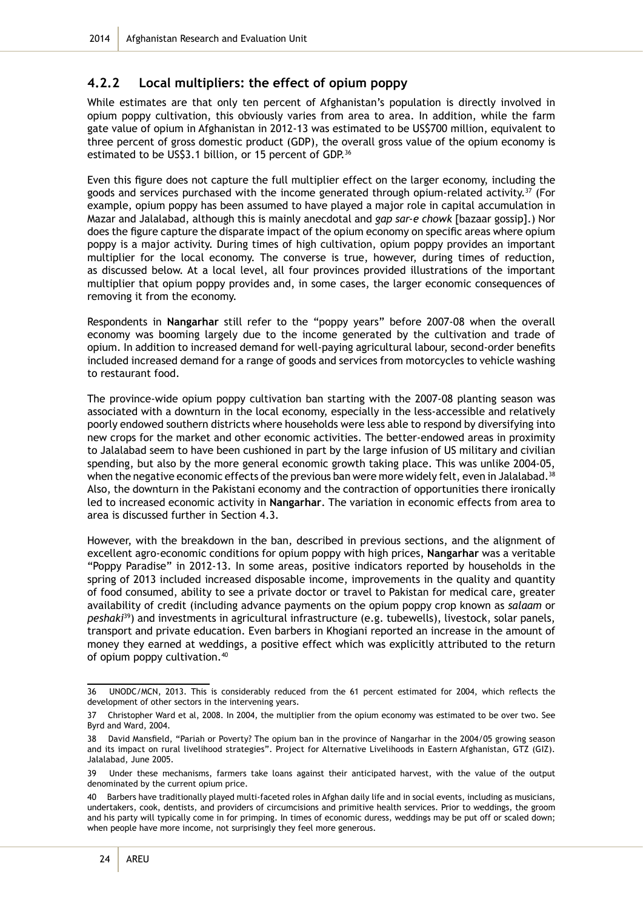#### **4.2.2 Local multipliers: the effect of opium poppy**

While estimates are that only ten percent of Afghanistan's population is directly involved in opium poppy cultivation, this obviously varies from area to area. In addition, while the farm gate value of opium in Afghanistan in 2012-13 was estimated to be US\$700 million, equivalent to three percent of gross domestic product (GDP), the overall gross value of the opium economy is estimated to be US\$3.1 billion, or 15 percent of GDP.<sup>36</sup>

Even this figure does not capture the full multiplier effect on the larger economy, including the goods and services purchased with the income generated through opium-related activity. $37$  (For example, opium poppy has been assumed to have played a major role in capital accumulation in Mazar and Jalalabad, although this is mainly anecdotal and *gap sar-e chowk* [bazaar gossip].) Nor does the figure capture the disparate impact of the opium economy on specific areas where opium poppy is a major activity. During times of high cultivation, opium poppy provides an important multiplier for the local economy. The converse is true, however, during times of reduction, as discussed below. At a local level, all four provinces provided illustrations of the important multiplier that opium poppy provides and, in some cases, the larger economic consequences of removing it from the economy.

Respondents in **Nangarhar** still refer to the "poppy years" before 2007-08 when the overall economy was booming largely due to the income generated by the cultivation and trade of opium. In addition to increased demand for well-paying agricultural labour, second-order benefits included increased demand for a range of goods and services from motorcycles to vehicle washing to restaurant food.

The province-wide opium poppy cultivation ban starting with the 2007-08 planting season was associated with a downturn in the local economy, especially in the less-accessible and relatively poorly endowed southern districts where households were less able to respond by diversifying into new crops for the market and other economic activities. The better-endowed areas in proximity to Jalalabad seem to have been cushioned in part by the large infusion of US military and civilian spending, but also by the more general economic growth taking place. This was unlike 2004-05, when the negative economic effects of the previous ban were more widely felt, even in Jalalabad.<sup>38</sup> Also, the downturn in the Pakistani economy and the contraction of opportunities there ironically led to increased economic activity in **Nangarhar**. The variation in economic effects from area to area is discussed further in Section 4.3.

However, with the breakdown in the ban, described in previous sections, and the alignment of excellent agro-economic conditions for opium poppy with high prices, **Nangarhar** was a veritable "Poppy Paradise" in 2012-13. In some areas, positive indicators reported by households in the spring of 2013 included increased disposable income, improvements in the quality and quantity of food consumed, ability to see a private doctor or travel to Pakistan for medical care, greater availability of credit (including advance payments on the opium poppy crop known as *salaam* or *peshaki*39) and investments in agricultural infrastructure (e.g. tubewells), livestock, solar panels, transport and private education. Even barbers in Khogiani reported an increase in the amount of money they earned at weddings, a positive effect which was explicitly attributed to the return of opium poppy cultivation.40

<sup>36</sup> UNODC/MCN, 2013. This is considerably reduced from the 61 percent estimated for 2004, which reflects the development of other sectors in the intervening years.

<sup>37</sup> Christopher Ward et al, 2008. In 2004, the multiplier from the opium economy was estimated to be over two. See Byrd and Ward, 2004.

<sup>38</sup> David Mansfield, "Pariah or Poverty? The opium ban in the province of Nangarhar in the 2004/05 growing season and its impact on rural livelihood strategies". Project for Alternative Livelihoods in Eastern Afghanistan, GTZ (GIZ). Jalalabad, June 2005.

<sup>39</sup> Under these mechanisms, farmers take loans against their anticipated harvest, with the value of the output denominated by the current opium price.

<sup>40</sup> Barbers have traditionally played multi-faceted roles in Afghan daily life and in social events, including as musicians, undertakers, cook, dentists, and providers of circumcisions and primitive health services. Prior to weddings, the groom and his party will typically come in for primping. In times of economic duress, weddings may be put off or scaled down; when people have more income, not surprisingly they feel more generous.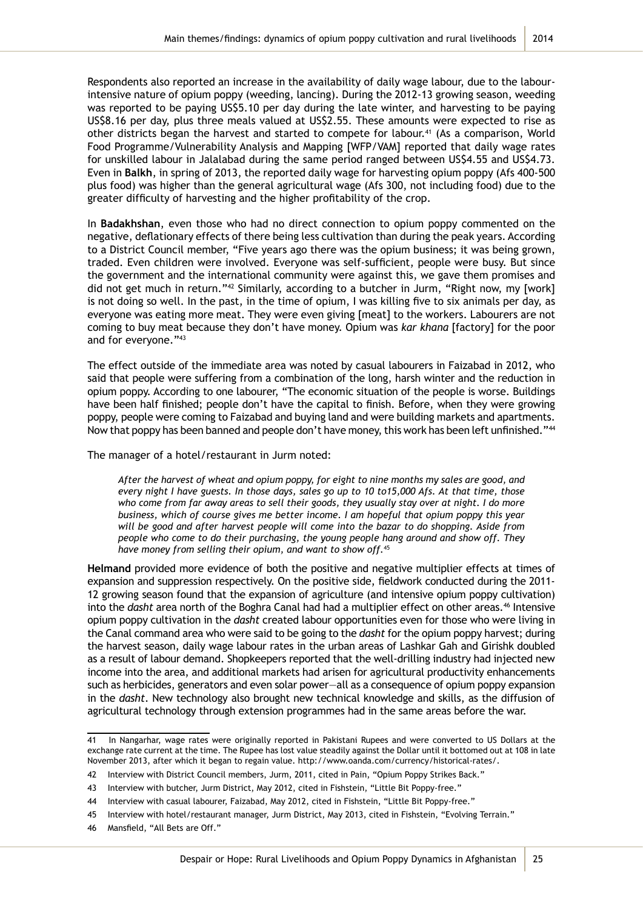Respondents also reported an increase in the availability of daily wage labour, due to the labourintensive nature of opium poppy (weeding, lancing). During the 2012-13 growing season, weeding was reported to be paying US\$5.10 per day during the late winter, and harvesting to be paying US\$8.16 per day, plus three meals valued at US\$2.55. These amounts were expected to rise as other districts began the harvest and started to compete for labour.<sup>41</sup> (As a comparison, World Food Programme/Vulnerability Analysis and Mapping [WFP/VAM] reported that daily wage rates for unskilled labour in Jalalabad during the same period ranged between US\$4.55 and US\$4.73. Even in **Balkh**, in spring of 2013, the reported daily wage for harvesting opium poppy (Afs 400-500 plus food) was higher than the general agricultural wage (Afs 300, not including food) due to the greater difficulty of harvesting and the higher profitability of the crop.

In **Badakhshan**, even those who had no direct connection to opium poppy commented on the negative, deflationary effects of there being less cultivation than during the peak years. According to a District Council member, "Five years ago there was the opium business; it was being grown, traded. Even children were involved. Everyone was self-sufficient, people were busy. But since the government and the international community were against this, we gave them promises and did not get much in return."<sup>42</sup> Similarly, according to a butcher in Jurm, "Right now, my [work] is not doing so well. In the past, in the time of opium, I was killing five to six animals per day, as everyone was eating more meat. They were even giving [meat] to the workers. Labourers are not coming to buy meat because they don't have money. Opium was *kar khana* [factory] for the poor and for everyone."<sup>43</sup>

The effect outside of the immediate area was noted by casual labourers in Faizabad in 2012, who said that people were suffering from a combination of the long, harsh winter and the reduction in opium poppy. According to one labourer, "The economic situation of the people is worse. Buildings have been half finished; people don't have the capital to finish. Before, when they were growing poppy, people were coming to Faizabad and buying land and were building markets and apartments. Now that poppy has been banned and people don't have money, this work has been left unfinished."<sup>44</sup>

The manager of a hotel/restaurant in Jurm noted:

*After the harvest of wheat and opium poppy, for eight to nine months my sales are good, and every night I have guests. In those days, sales go up to 10 to15,000 Afs. At that time, those who come from far away areas to sell their goods, they usually stay over at night. I do more business, which of course gives me better income. I am hopeful that opium poppy this year will be good and after harvest people will come into the bazar to do shopping. Aside from people who come to do their purchasing, the young people hang around and show off. They have money from selling their opium, and want to show off.*<sup>45</sup>

**Helmand** provided more evidence of both the positive and negative multiplier effects at times of expansion and suppression respectively. On the positive side, fieldwork conducted during the 2011- 12 growing season found that the expansion of agriculture (and intensive opium poppy cultivation) into the *dasht* area north of the Boghra Canal had had a multiplier effect on other areas.<sup>46</sup> Intensive opium poppy cultivation in the *dasht* created labour opportunities even for those who were living in the Canal command area who were said to be going to the *dasht* for the opium poppy harvest; during the harvest season, daily wage labour rates in the urban areas of Lashkar Gah and Girishk doubled as a result of labour demand. Shopkeepers reported that the well-drilling industry had injected new income into the area, and additional markets had arisen for agricultural productivity enhancements such as herbicides, generators and even solar power—all as a consequence of opium poppy expansion in the *dasht*. New technology also brought new technical knowledge and skills, as the diffusion of agricultural technology through extension programmes had in the same areas before the war.

<sup>41</sup> In Nangarhar, wage rates were originally reported in Pakistani Rupees and were converted to US Dollars at the exchange rate current at the time. The Rupee has lost value steadily against the Dollar until it bottomed out at 108 in late November 2013, after which it began to regain value. http://www.oanda.com/currency/historical-rates/.

<sup>42</sup> Interview with District Council members, Jurm, 2011, cited in Pain, "Opium Poppy Strikes Back."

<sup>43</sup> Interview with butcher, Jurm District, May 2012, cited in Fishstein, "Little Bit Poppy-free."

<sup>44</sup> Interview with casual labourer, Faizabad, May 2012, cited in Fishstein, "Little Bit Poppy-free."

<sup>45</sup> Interview with hotel/restaurant manager, Jurm District, May 2013, cited in Fishstein, "Evolving Terrain."

<sup>46</sup> Mansfield, "All Bets are Off."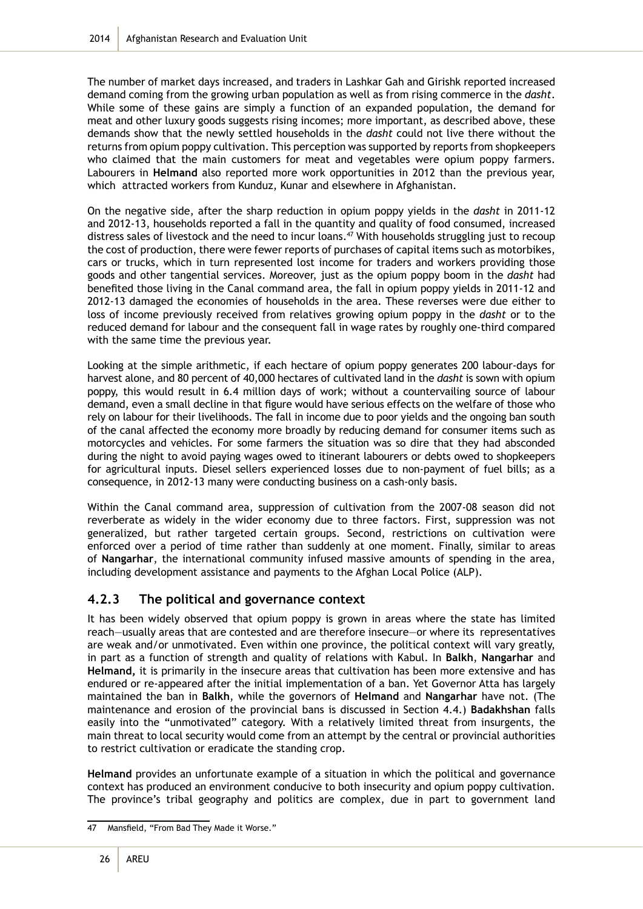The number of market days increased, and traders in Lashkar Gah and Girishk reported increased demand coming from the growing urban population as well as from rising commerce in the *dasht*. While some of these gains are simply a function of an expanded population, the demand for meat and other luxury goods suggests rising incomes; more important, as described above, these demands show that the newly settled households in the *dasht* could not live there without the returns from opium poppy cultivation. This perception was supported by reports from shopkeepers who claimed that the main customers for meat and vegetables were opium poppy farmers. Labourers in **Helmand** also reported more work opportunities in 2012 than the previous year, which attracted workers from Kunduz, Kunar and elsewhere in Afghanistan.

On the negative side, after the sharp reduction in opium poppy yields in the *dasht* in 2011-12 and 2012-13, households reported a fall in the quantity and quality of food consumed, increased distress sales of livestock and the need to incur loans.<sup>47</sup> With households struggling just to recoup the cost of production, there were fewer reports of purchases of capital items such as motorbikes, cars or trucks, which in turn represented lost income for traders and workers providing those goods and other tangential services. Moreover, just as the opium poppy boom in the *dasht* had benefited those living in the Canal command area, the fall in opium poppy yields in 2011-12 and 2012-13 damaged the economies of households in the area. These reverses were due either to loss of income previously received from relatives growing opium poppy in the *dasht* or to the reduced demand for labour and the consequent fall in wage rates by roughly one-third compared with the same time the previous year.

Looking at the simple arithmetic, if each hectare of opium poppy generates 200 labour-days for harvest alone, and 80 percent of 40,000 hectares of cultivated land in the *dasht* is sown with opium poppy, this would result in 6.4 million days of work; without a countervailing source of labour demand, even a small decline in that figure would have serious effects on the welfare of those who rely on labour for their livelihoods. The fall in income due to poor yields and the ongoing ban south of the canal affected the economy more broadly by reducing demand for consumer items such as motorcycles and vehicles. For some farmers the situation was so dire that they had absconded during the night to avoid paying wages owed to itinerant labourers or debts owed to shopkeepers for agricultural inputs. Diesel sellers experienced losses due to non-payment of fuel bills; as a consequence, in 2012-13 many were conducting business on a cash-only basis.

Within the Canal command area, suppression of cultivation from the 2007-08 season did not reverberate as widely in the wider economy due to three factors. First, suppression was not generalized, but rather targeted certain groups. Second, restrictions on cultivation were enforced over a period of time rather than suddenly at one moment. Finally, similar to areas of **Nangarhar**, the international community infused massive amounts of spending in the area, including development assistance and payments to the Afghan Local Police (ALP).

#### **4.2.3 The political and governance context**

It has been widely observed that opium poppy is grown in areas where the state has limited reach—usually areas that are contested and are therefore insecure—or where its representatives are weak and/or unmotivated. Even within one province, the political context will vary greatly, in part as a function of strength and quality of relations with Kabul. In **Balkh**, **Nangarhar** and **Helmand,** it is primarily in the insecure areas that cultivation has been more extensive and has endured or re-appeared after the initial implementation of a ban. Yet Governor Atta has largely maintained the ban in **Balkh**, while the governors of **Helmand** and **Nangarhar** have not. (The maintenance and erosion of the provincial bans is discussed in Section 4.4.) **Badakhshan** falls easily into the "unmotivated" category. With a relatively limited threat from insurgents, the main threat to local security would come from an attempt by the central or provincial authorities to restrict cultivation or eradicate the standing crop.

**Helmand** provides an unfortunate example of a situation in which the political and governance context has produced an environment conducive to both insecurity and opium poppy cultivation. The province's tribal geography and politics are complex, due in part to government land

<sup>47</sup> Mansfield, "From Bad They Made it Worse."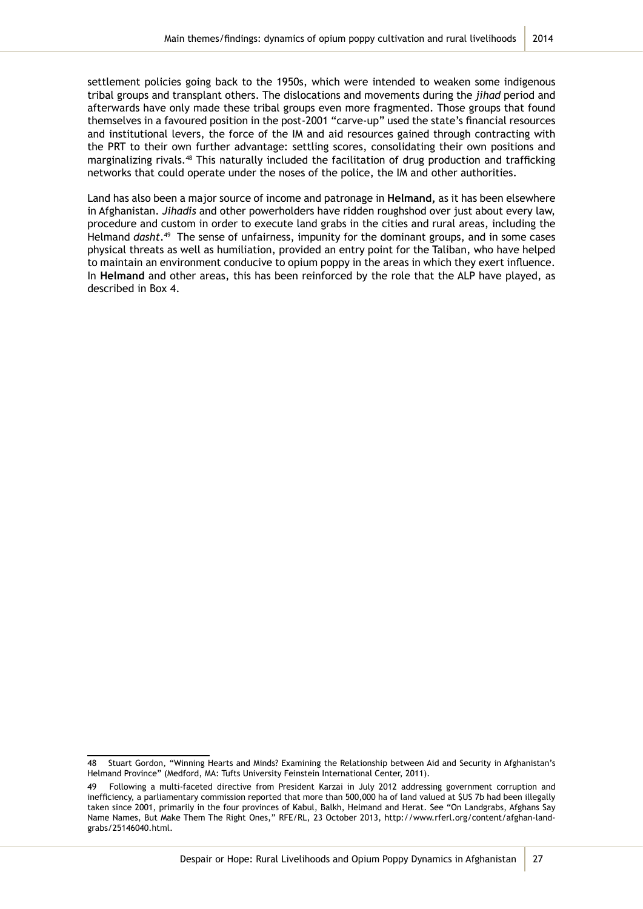settlement policies going back to the 1950s, which were intended to weaken some indigenous tribal groups and transplant others. The dislocations and movements during the *jihad* period and afterwards have only made these tribal groups even more fragmented. Those groups that found themselves in a favoured position in the post-2001 "carve-up" used the state's financial resources and institutional levers, the force of the IM and aid resources gained through contracting with the PRT to their own further advantage: settling scores, consolidating their own positions and marginalizing rivals.<sup>48</sup> This naturally included the facilitation of drug production and trafficking networks that could operate under the noses of the police, the IM and other authorities.

Land has also been a major source of income and patronage in **Helmand,** as it has been elsewhere in Afghanistan. *Jihadis* and other powerholders have ridden roughshod over just about every law, procedure and custom in order to execute land grabs in the cities and rural areas, including the Helmand *dasht*.49 The sense of unfairness, impunity for the dominant groups, and in some cases physical threats as well as humiliation, provided an entry point for the Taliban, who have helped to maintain an environment conducive to opium poppy in the areas in which they exert influence. In **Helmand** and other areas, this has been reinforced by the role that the ALP have played, as described in Box 4.

<sup>48</sup> Stuart Gordon, "Winning Hearts and Minds? Examining the Relationship between Aid and Security in Afghanistan's Helmand Province" (Medford, MA: Tufts University Feinstein International Center, 2011).

<sup>49</sup> Following a multi-faceted directive from President Karzai in July 2012 addressing government corruption and inefficiency, a parliamentary commission reported that more than 500,000 ha of land valued at \$US 7b had been illegally taken since 2001, primarily in the four provinces of Kabul, Balkh, Helmand and Herat. See "On Landgrabs, Afghans Say Name Names, But Make Them The Right Ones," RFE/RL, 23 October 2013, http://www.rferl.org/content/afghan-landgrabs/25146040.html.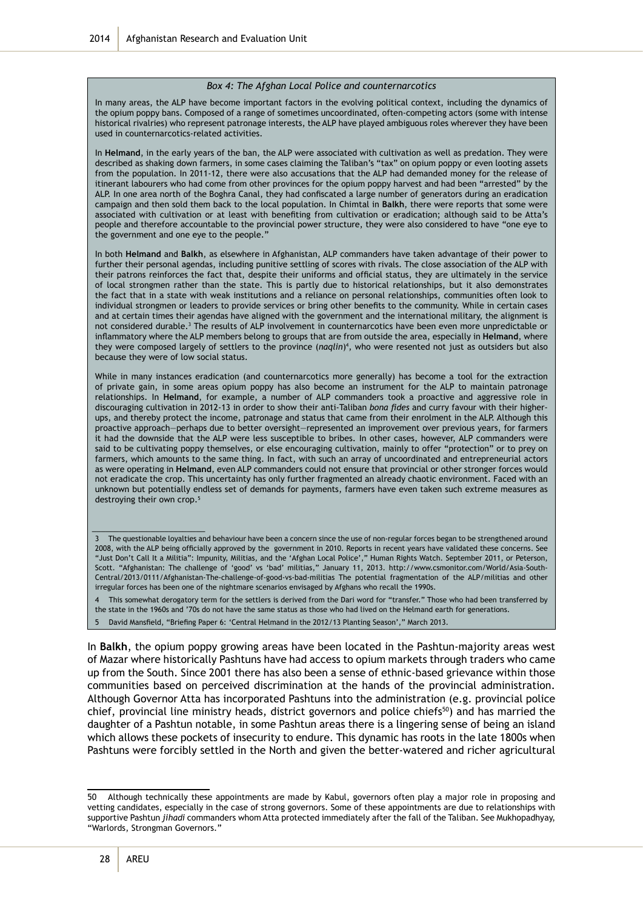#### *Box 4: The Afghan Local Police and counternarcotics*

In many areas, the ALP have become important factors in the evolving political context, including the dynamics of the opium poppy bans. Composed of a range of sometimes uncoordinated, often-competing actors (some with intense historical rivalries) who represent patronage interests, the ALP have played ambiguous roles wherever they have been used in counternarcotics-related activities.

In **Helmand**, in the early years of the ban, the ALP were associated with cultivation as well as predation. They were described as shaking down farmers, in some cases claiming the Taliban's "tax" on opium poppy or even looting assets from the population. In 2011-12, there were also accusations that the ALP had demanded money for the release of itinerant labourers who had come from other provinces for the opium poppy harvest and had been "arrested" by the ALP. In one area north of the Boghra Canal, they had confiscated a large number of generators during an eradication campaign and then sold them back to the local population. In Chimtal in **Balkh**, there were reports that some were associated with cultivation or at least with benefiting from cultivation or eradication; although said to be Atta's people and therefore accountable to the provincial power structure, they were also considered to have "one eye to the government and one eye to the people."

In both **Helmand** and **Balkh**, as elsewhere in Afghanistan, ALP commanders have taken advantage of their power to further their personal agendas, including punitive settling of scores with rivals. The close association of the ALP with their patrons reinforces the fact that, despite their uniforms and official status, they are ultimately in the service of local strongmen rather than the state. This is partly due to historical relationships, but it also demonstrates the fact that in a state with weak institutions and a reliance on personal relationships, communities often look to individual strongmen or leaders to provide services or bring other benefits to the community. While in certain cases and at certain times their agendas have aligned with the government and the international military, the alignment is not considered durable.<sup>3</sup> The results of ALP involvement in counternarcotics have been even more unpredictable or inflammatory where the ALP members belong to groups that are from outside the area, especially in **Helmand**, where they were composed largely of settlers to the province (*naqlin*)<sup>4</sup>, who were resented not just as outsiders but also because they were of low social status.

While in many instances eradication (and counternarcotics more generally) has become a tool for the extraction of private gain, in some areas opium poppy has also become an instrument for the ALP to maintain patronage relationships. In **Helmand**, for example, a number of ALP commanders took a proactive and aggressive role in discouraging cultivation in 2012-13 in order to show their anti-Taliban *bona fides* and curry favour with their higherups, and thereby protect the income, patronage and status that came from their enrolment in the ALP. Although this proactive approach—perhaps due to better oversight—represented an improvement over previous years, for farmers it had the downside that the ALP were less susceptible to bribes. In other cases, however, ALP commanders were said to be cultivating poppy themselves, or else encouraging cultivation, mainly to offer "protection" or to prey on farmers, which amounts to the same thing. In fact, with such an array of uncoordinated and entrepreneurial actors as were operating in **Helmand**, even ALP commanders could not ensure that provincial or other stronger forces would not eradicate the crop. This uncertainty has only further fragmented an already chaotic environment. Faced with an unknown but potentially endless set of demands for payments, farmers have even taken such extreme measures as destroying their own crop.<sup>5</sup>

The questionable loyalties and behaviour have been a concern since the use of non-regular forces began to be strengthened around 2008, with the ALP being officially approved by the government in 2010. Reports in recent years have validated these concerns. See "Just Don't Call It a Militia": Impunity, Militias, and the 'Afghan Local Police'," Human Rights Watch. September 2011, or Peterson, Scott. "Afghanistan: The challenge of 'good' vs 'bad' militias," January 11, 2013. http://www.csmonitor.com/World/Asia-South-Central/2013/0111/Afghanistan-The-challenge-of-good-vs-bad-militias The potential fragmentation of the ALP/militias and other irregular forces has been one of the nightmare scenarios envisaged by Afghans who recall the 1990s.

4 This somewhat derogatory term for the settlers is derived from the Dari word for "transfer." Those who had been transferred by the state in the 1960s and '70s do not have the same status as those who had lived on the Helmand earth for generations. 5 David Mansfield, "Briefing Paper 6: 'Central Helmand in the 2012/13 Planting Season'," March 2013.

In **Balkh**, the opium poppy growing areas have been located in the Pashtun-majority areas west of Mazar where historically Pashtuns have had access to opium markets through traders who came up from the South. Since 2001 there has also been a sense of ethnic-based grievance within those communities based on perceived discrimination at the hands of the provincial administration. Although Governor Atta has incorporated Pashtuns into the administration (e.g. provincial police chief, provincial line ministry heads, district governors and police chiefs<sup>50</sup>) and has married the daughter of a Pashtun notable, in some Pashtun areas there is a lingering sense of being an island which allows these pockets of insecurity to endure. This dynamic has roots in the late 1800s when Pashtuns were forcibly settled in the North and given the better-watered and richer agricultural

\_\_\_\_\_\_\_\_\_\_\_\_\_\_\_\_\_\_\_\_\_\_\_\_\_

<sup>50</sup> Although technically these appointments are made by Kabul, governors often play a major role in proposing and vetting candidates, especially in the case of strong governors. Some of these appointments are due to relationships with supportive Pashtun *jihadi* commanders whom Atta protected immediately after the fall of the Taliban. See Mukhopadhyay, "Warlords, Strongman Governors."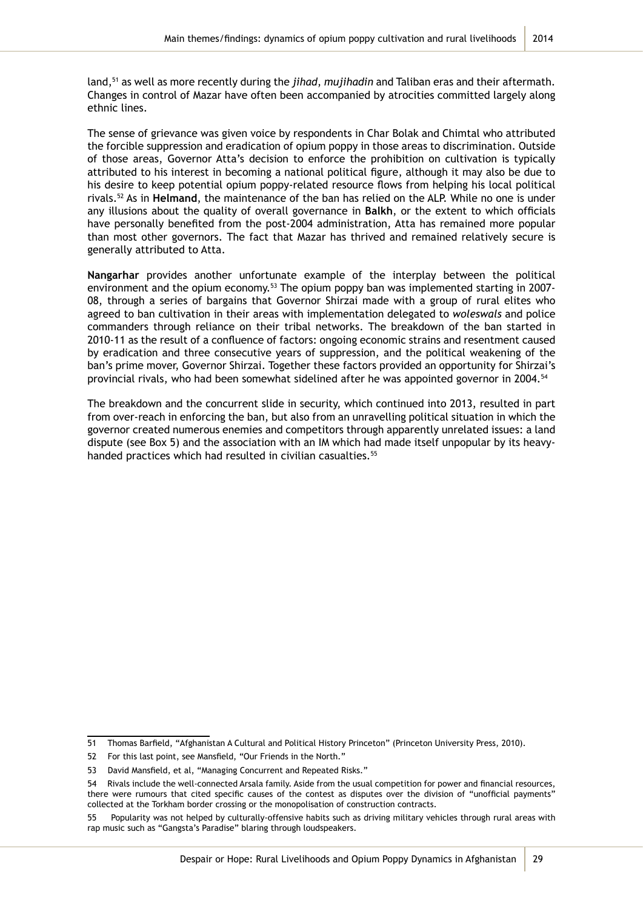land,51 as well as more recently during the *jihad*, *mujihadin* and Taliban eras and their aftermath. Changes in control of Mazar have often been accompanied by atrocities committed largely along ethnic lines.

The sense of grievance was given voice by respondents in Char Bolak and Chimtal who attributed the forcible suppression and eradication of opium poppy in those areas to discrimination. Outside of those areas, Governor Atta's decision to enforce the prohibition on cultivation is typically attributed to his interest in becoming a national political figure, although it may also be due to his desire to keep potential opium poppy-related resource flows from helping his local political rivals.52 As in **Helmand**, the maintenance of the ban has relied on the ALP. While no one is under any illusions about the quality of overall governance in **Balkh**, or the extent to which officials have personally benefited from the post-2004 administration, Atta has remained more popular than most other governors. The fact that Mazar has thrived and remained relatively secure is generally attributed to Atta.

**Nangarhar** provides another unfortunate example of the interplay between the political environment and the opium economy.<sup>53</sup> The opium poppy ban was implemented starting in 2007-08, through a series of bargains that Governor Shirzai made with a group of rural elites who agreed to ban cultivation in their areas with implementation delegated to *woleswals* and police commanders through reliance on their tribal networks. The breakdown of the ban started in 2010-11 as the result of a confluence of factors: ongoing economic strains and resentment caused by eradication and three consecutive years of suppression, and the political weakening of the ban's prime mover, Governor Shirzai. Together these factors provided an opportunity for Shirzai's provincial rivals, who had been somewhat sidelined after he was appointed governor in 2004.<sup>54</sup>

The breakdown and the concurrent slide in security, which continued into 2013, resulted in part from over-reach in enforcing the ban, but also from an unravelling political situation in which the governor created numerous enemies and competitors through apparently unrelated issues: a land dispute (see Box 5) and the association with an IM which had made itself unpopular by its heavyhanded practices which had resulted in civilian casualties.<sup>55</sup>

<sup>51</sup> Thomas Barfield, "Afghanistan A Cultural and Political History Princeton" (Princeton University Press, 2010).

<sup>52</sup> For this last point, see Mansfield, "Our Friends in the North."

<sup>53</sup> David Mansfield, et al, "Managing Concurrent and Repeated Risks."

<sup>54</sup> Rivals include the well-connected Arsala family. Aside from the usual competition for power and financial resources, there were rumours that cited specific causes of the contest as disputes over the division of "unofficial payments" collected at the Torkham border crossing or the monopolisation of construction contracts.

Popularity was not helped by culturally-offensive habits such as driving military vehicles through rural areas with rap music such as "Gangsta's Paradise" blaring through loudspeakers.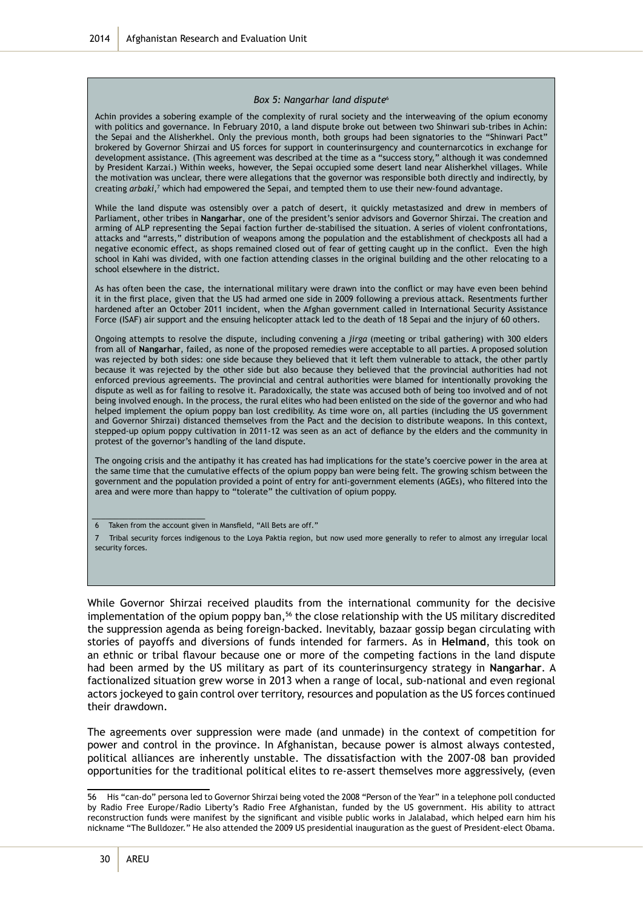Afghanistan Research and Evaluation Unit 2014

#### *Box 5: Nangarhar land dispute*<sup>6</sup>

Achin provides a sobering example of the complexity of rural society and the interweaving of the opium economy with politics and governance. In February 2010, a land dispute broke out between two Shinwari sub-tribes in Achin: the Sepai and the Alisherkhel. Only the previous month, both groups had been signatories to the "Shinwari Pact" brokered by Governor Shirzai and US forces for support in counterinsurgency and counternarcotics in exchange for development assistance. (This agreement was described at the time as a "success story," although it was condemned by President Karzai.) Within weeks, however, the Sepai occupied some desert land near Alisherkhel villages. While the motivation was unclear, there were allegations that the governor was responsible both directly and indirectly, by creating *arbaki*,<sup>7</sup> which had empowered the Sepai, and tempted them to use their new-found advantage.

While the land dispute was ostensibly over a patch of desert, it quickly metastasized and drew in members of Parliament, other tribes in **Nangarhar**, one of the president's senior advisors and Governor Shirzai. The creation and arming of ALP representing the Sepai faction further de-stabilised the situation. A series of violent confrontations, attacks and "arrests," distribution of weapons among the population and the establishment of checkposts all had a negative economic effect, as shops remained closed out of fear of getting caught up in the conflict. Even the high school in Kahi was divided, with one faction attending classes in the original building and the other relocating to a school elsewhere in the district.

As has often been the case, the international military were drawn into the conflict or may have even been behind it in the first place, given that the US had armed one side in 2009 following a previous attack. Resentments further hardened after an October 2011 incident, when the Afghan government called in International Security Assistance Force (ISAF) air support and the ensuing helicopter attack led to the death of 18 Sepai and the injury of 60 others.

Ongoing attempts to resolve the dispute, including convening a *jirga* (meeting or tribal gathering) with 300 elders from all of **Nangarhar**, failed, as none of the proposed remedies were acceptable to all parties. A proposed solution was rejected by both sides: one side because they believed that it left them vulnerable to attack, the other partly because it was rejected by the other side but also because they believed that the provincial authorities had not enforced previous agreements. The provincial and central authorities were blamed for intentionally provoking the dispute as well as for failing to resolve it. Paradoxically, the state was accused both of being too involved and of not being involved enough. In the process, the rural elites who had been enlisted on the side of the governor and who had helped implement the opium poppy ban lost credibility. As time wore on, all parties (including the US government and Governor Shirzai) distanced themselves from the Pact and the decision to distribute weapons. In this context, stepped-up opium poppy cultivation in 2011-12 was seen as an act of defiance by the elders and the community in protest of the governor's handling of the land dispute.

The ongoing crisis and the antipathy it has created has had implications for the state's coercive power in the area at the same time that the cumulative effects of the opium poppy ban were being felt. The growing schism between the government and the population provided a point of entry for anti-government elements (AGEs), who filtered into the area and were more than happy to "tolerate" the cultivation of opium poppy.

\_\_\_\_\_\_\_\_\_\_\_\_\_\_\_\_\_\_\_\_\_\_\_\_\_

While Governor Shirzai received plaudits from the international community for the decisive implementation of the opium poppy ban,<sup>56</sup> the close relationship with the US military discredited the suppression agenda as being foreign-backed. Inevitably, bazaar gossip began circulating with stories of payoffs and diversions of funds intended for farmers. As in **Helmand**, this took on an ethnic or tribal flavour because one or more of the competing factions in the land dispute had been armed by the US military as part of its counterinsurgency strategy in **Nangarhar**. A factionalized situation grew worse in 2013 when a range of local, sub-national and even regional actors jockeyed to gain control over territory, resources and population as the US forces continued their drawdown.

The agreements over suppression were made (and unmade) in the context of competition for power and control in the province. In Afghanistan, because power is almost always contested, political alliances are inherently unstable. The dissatisfaction with the 2007-08 ban provided opportunities for the traditional political elites to re-assert themselves more aggressively, (even

Taken from the account given in Mansfield, "All Bets are off."

<sup>7</sup> Tribal security forces indigenous to the Loya Paktia region, but now used more generally to refer to almost any irregular local security forces.

<sup>56</sup> His "can-do" persona led to Governor Shirzai being voted the 2008 "Person of the Year" in a telephone poll conducted by Radio Free Europe/Radio Liberty's Radio Free Afghanistan, funded by the US government. His ability to attract reconstruction funds were manifest by the significant and visible public works in Jalalabad, which helped earn him his nickname "The Bulldozer." He also attended the 2009 US presidential inauguration as the guest of President-elect Obama.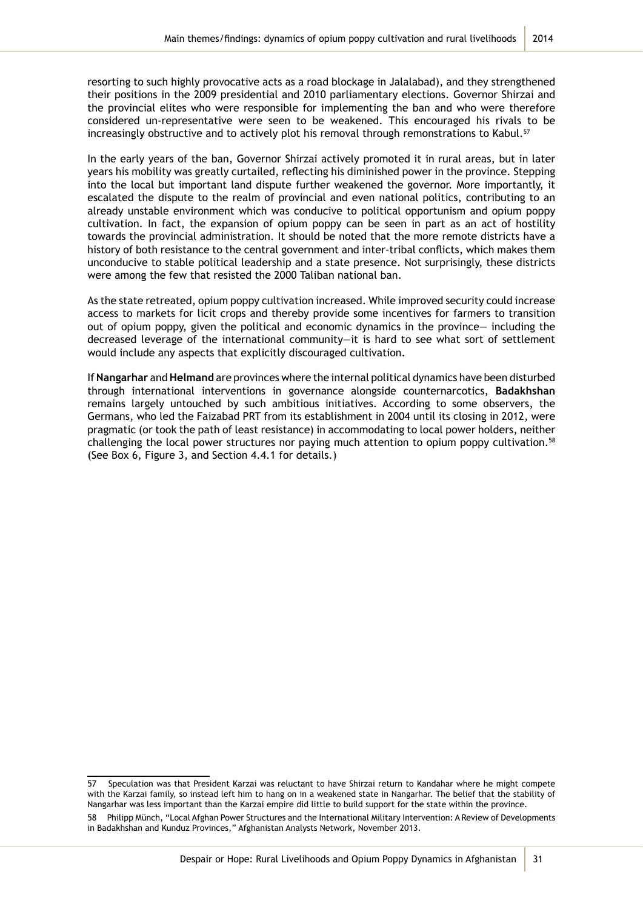resorting to such highly provocative acts as a road blockage in Jalalabad), and they strengthened their positions in the 2009 presidential and 2010 parliamentary elections. Governor Shirzai and the provincial elites who were responsible for implementing the ban and who were therefore considered un-representative were seen to be weakened. This encouraged his rivals to be increasingly obstructive and to actively plot his removal through remonstrations to Kabul.<sup>57</sup>

In the early years of the ban, Governor Shirzai actively promoted it in rural areas, but in later years his mobility was greatly curtailed, reflecting his diminished power in the province. Stepping into the local but important land dispute further weakened the governor. More importantly, it escalated the dispute to the realm of provincial and even national politics, contributing to an already unstable environment which was conducive to political opportunism and opium poppy cultivation. In fact, the expansion of opium poppy can be seen in part as an act of hostility towards the provincial administration. It should be noted that the more remote districts have a history of both resistance to the central government and inter-tribal conflicts, which makes them unconducive to stable political leadership and a state presence. Not surprisingly, these districts were among the few that resisted the 2000 Taliban national ban.

As the state retreated, opium poppy cultivation increased. While improved security could increase access to markets for licit crops and thereby provide some incentives for farmers to transition out of opium poppy, given the political and economic dynamics in the province— including the decreased leverage of the international community—it is hard to see what sort of settlement would include any aspects that explicitly discouraged cultivation.

If **Nangarhar** and **Helmand** are provinces where the internal political dynamics have been disturbed through international interventions in governance alongside counternarcotics, **Badakhshan** remains largely untouched by such ambitious initiatives. According to some observers, the Germans, who led the Faizabad PRT from its establishment in 2004 until its closing in 2012, were pragmatic (or took the path of least resistance) in accommodating to local power holders, neither challenging the local power structures nor paying much attention to opium poppy cultivation.<sup>58</sup> (See Box 6, Figure 3, and Section 4.4.1 for details.)

<sup>57</sup> Speculation was that President Karzai was reluctant to have Shirzai return to Kandahar where he might compete with the Karzai family, so instead left him to hang on in a weakened state in Nangarhar. The belief that the stability of Nangarhar was less important than the Karzai empire did little to build support for the state within the province. 58 Philipp Münch, "Local Afghan Power Structures and the International Military Intervention: A Review of Developments in Badakhshan and Kunduz Provinces," Afghanistan Analysts Network, November 2013.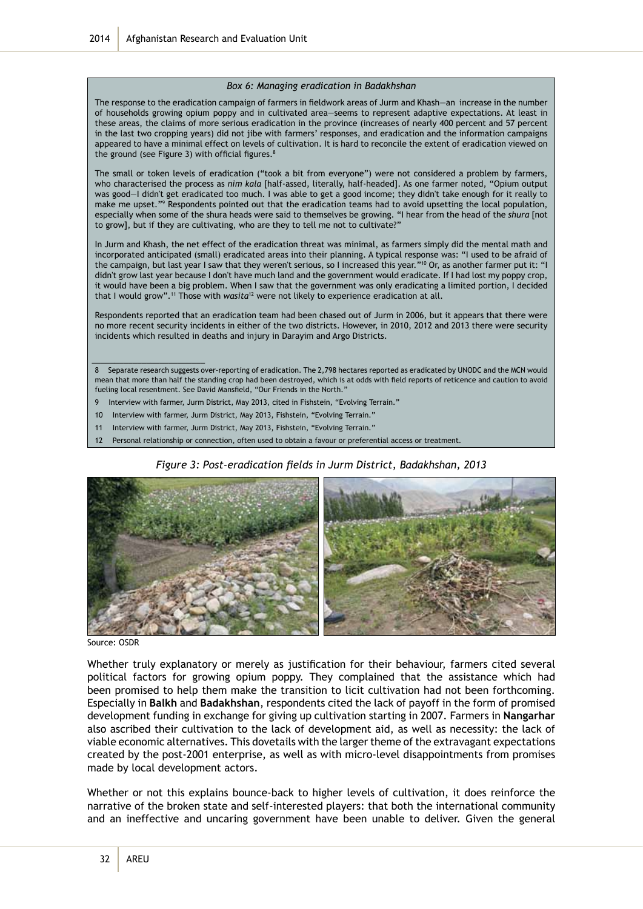#### *Box 6: Managing eradication in Badakhshan*

The response to the eradication campaign of farmers in fieldwork areas of Jurm and Khash—an increase in the number of households growing opium poppy and in cultivated area—seems to represent adaptive expectations. At least in these areas, the claims of more serious eradication in the province (increases of nearly 400 percent and 57 percent in the last two cropping years) did not jibe with farmers' responses, and eradication and the information campaigns appeared to have a minimal effect on levels of cultivation. It is hard to reconcile the extent of eradication viewed on the ground (see Figure 3) with official figures.<sup>8</sup>

The small or token levels of eradication ("took a bit from everyone") were not considered a problem by farmers, who characterised the process as *nim kala* [half-assed, literally, half-headed]. As one farmer noted, "Opium output was good—I didn't get eradicated too much. I was able to get a good income; they didn't take enough for it really to make me upset."<sup>9</sup> Respondents pointed out that the eradication teams had to avoid upsetting the local population, especially when some of the shura heads were said to themselves be growing. "I hear from the head of the *shura* [not to grow], but if they are cultivating, who are they to tell me not to cultivate?"

In Jurm and Khash, the net effect of the eradication threat was minimal, as farmers simply did the mental math and incorporated anticipated (small) eradicated areas into their planning. A typical response was: "I used to be afraid of the campaign, but last year I saw that they weren't serious, so I increased this year."<sup>10</sup> Or, as another farmer put it: "I didn't grow last year because I don't have much land and the government would eradicate. If I had lost my poppy crop, it would have been a big problem. When I saw that the government was only eradicating a limited portion, I decided that I would grow".11 Those with *wasita*12 were not likely to experience eradication at all.

Respondents reported that an eradication team had been chased out of Jurm in 2006, but it appears that there were no more recent security incidents in either of the two districts. However, in 2010, 2012 and 2013 there were security incidents which resulted in deaths and injury in Darayim and Argo Districts.

8 Separate research suggests over-reporting of eradication. The 2,798 hectares reported as eradicated by UNODC and the MCN would mean that more than half the standing crop had been destroyed, which is at odds with field reports of reticence and caution to avoid fueling local resentment. See David Mansfield, "Our Friends in the North."

- 9 Interview with farmer, Jurm District, May 2013, cited in Fishstein, "Evolving Terrain."
- 10 Interview with farmer, Jurm District, May 2013, Fishstein, "Evolving Terrain."
- 11 Interview with farmer, Jurm District, May 2013, Fishstein, "Evolving Terrain."
- 12 Personal relationship or connection, often used to obtain a favour or preferential access or treatment.

*Figure 3: Post-eradication fields in Jurm District, Badakhshan, 2013*



Source: OSDR

\_\_\_\_\_\_\_\_\_\_\_\_\_\_\_\_\_\_\_\_\_\_\_\_\_

Whether truly explanatory or merely as justification for their behaviour, farmers cited several political factors for growing opium poppy. They complained that the assistance which had been promised to help them make the transition to licit cultivation had not been forthcoming. Especially in **Balkh** and **Badakhshan**, respondents cited the lack of payoff in the form of promised development funding in exchange for giving up cultivation starting in 2007. Farmers in **Nangarhar** also ascribed their cultivation to the lack of development aid, as well as necessity: the lack of viable economic alternatives. This dovetails with the larger theme of the extravagant expectations created by the post-2001 enterprise, as well as with micro-level disappointments from promises made by local development actors.

Whether or not this explains bounce-back to higher levels of cultivation, it does reinforce the narrative of the broken state and self-interested players: that both the international community and an ineffective and uncaring government have been unable to deliver. Given the general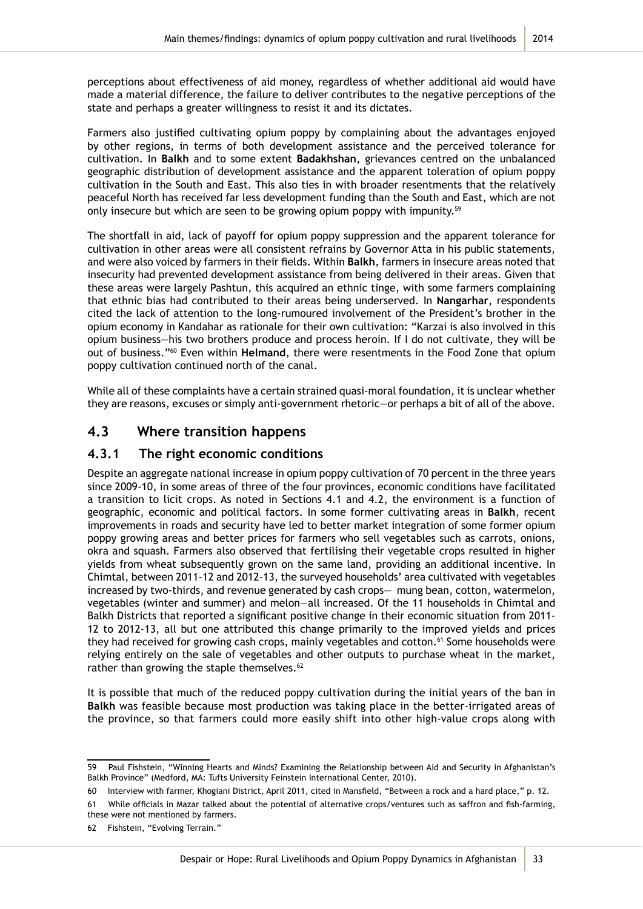perceptions about effectiveness of aid money, regardless of whether additional aid would have made a material difference, the failure to deliver contributes to the negative perceptions of the state and perhaps a greater willingness to resist it and its dictates.

Farmers also justified cultivating opium poppy by complaining about the advantages enjoyed by other regions, in terms of both development assistance and the perceived tolerance for cultivation. In **Balkh** and to some extent **Badakhshan**, grievances centred on the unbalanced geographic distribution of development assistance and the apparent toleration of opium poppy cultivation in the South and East. This also ties in with broader resentments that the relatively peaceful North has received far less development funding than the South and East, which are not only insecure but which are seen to be growing opium poppy with impunity.<sup>59</sup>

The shortfall in aid, lack of payoff for opium poppy suppression and the apparent tolerance for cultivation in other areas were all consistent refrains by Governor Atta in his public statements, and were also voiced by farmers in their fields. Within **Balkh**, farmers in insecure areas noted that insecurity had prevented development assistance from being delivered in their areas. Given that these areas were largely Pashtun, this acquired an ethnic tinge, with some farmers complaining that ethnic bias had contributed to their areas being underserved. In **Nangarhar**, respondents cited the lack of attention to the long-rumoured involvement of the President's brother in the opium economy in Kandahar as rationale for their own cultivation: "Karzai is also involved in this opium business—his two brothers produce and process heroin. If I do not cultivate, they will be out of business."60 Even within **Helmand**, there were resentments in the Food Zone that opium poppy cultivation continued north of the canal.

While all of these complaints have a certain strained quasi-moral foundation, it is unclear whether they are reasons, excuses or simply anti-government rhetoric—or perhaps a bit of all of the above.

# **4.3 Where transition happens**

### **4.3.1 The right economic conditions**

Despite an aggregate national increase in opium poppy cultivation of 70 percent in the three years since 2009-10, in some areas of three of the four provinces, economic conditions have facilitated a transition to licit crops. As noted in Sections 4.1 and 4.2, the environment is a function of geographic, economic and political factors. In some former cultivating areas in **Balkh**, recent improvements in roads and security have led to better market integration of some former opium poppy growing areas and better prices for farmers who sell vegetables such as carrots, onions, okra and squash. Farmers also observed that fertilising their vegetable crops resulted in higher yields from wheat subsequently grown on the same land, providing an additional incentive. In Chimtal, between 2011-12 and 2012-13, the surveyed households' area cultivated with vegetables increased by two-thirds, and revenue generated by cash crops— mung bean, cotton, watermelon, vegetables (winter and summer) and melon—all increased. Of the 11 households in Chimtal and Balkh Districts that reported a significant positive change in their economic situation from 2011- 12 to 2012-13, all but one attributed this change primarily to the improved yields and prices they had received for growing cash crops, mainly vegetables and cotton.<sup>61</sup> Some households were relying entirely on the sale of vegetables and other outputs to purchase wheat in the market, rather than growing the staple themselves.<sup>62</sup>

It is possible that much of the reduced poppy cultivation during the initial years of the ban in **Balkh** was feasible because most production was taking place in the better-irrigated areas of the province, so that farmers could more easily shift into other high-value crops along with

<sup>59</sup> Paul Fishstein, "Winning Hearts and Minds? Examining the Relationship between Aid and Security in Afghanistan's Balkh Province" (Medford, MA: Tufts University Feinstein International Center, 2010).

<sup>60</sup> Interview with farmer, Khogiani District, April 2011, cited in Mansfield, "Between a rock and a hard place," p. 12.

<sup>61</sup> While officials in Mazar talked about the potential of alternative crops/ventures such as saffron and fish-farming, these were not mentioned by farmers.

<sup>62</sup> Fishstein, "Evolving Terrain."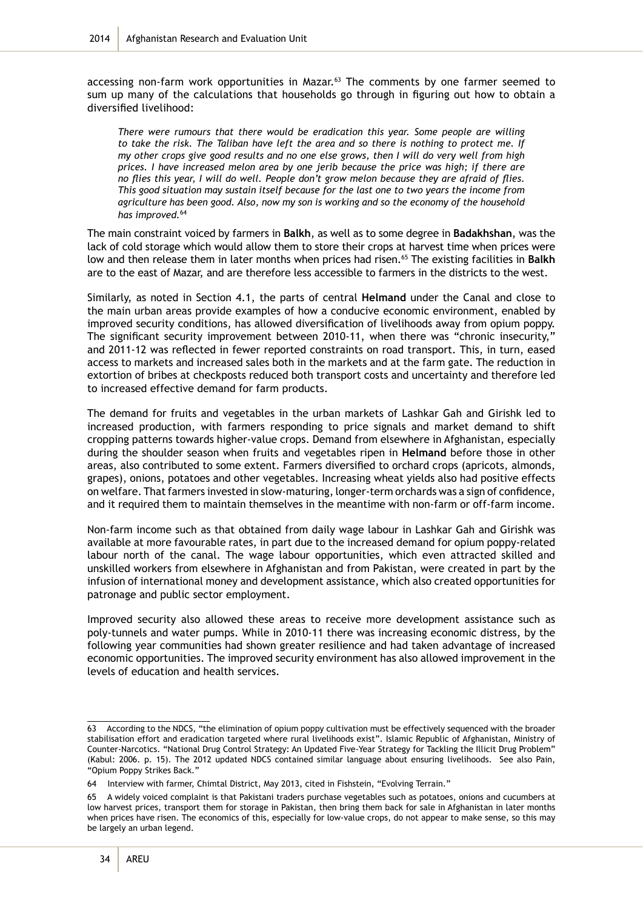accessing non-farm work opportunities in Mazar.<sup>63</sup> The comments by one farmer seemed to sum up many of the calculations that households go through in figuring out how to obtain a diversified livelihood:

*There were rumours that there would be eradication this year. Some people are willing to take the risk. The Taliban have left the area and so there is nothing to protect me. If my other crops give good results and no one else grows, then I will do very well from high prices. I have increased melon area by one jerib because the price was high; if there are no flies this year, I will do well. People don't grow melon because they are afraid of flies. This good situation may sustain itself because for the last one to two years the income from agriculture has been good. Also, now my son is working and so the economy of the household has improved.*<sup>64</sup>

The main constraint voiced by farmers in **Balkh**, as well as to some degree in **Badakhshan**, was the lack of cold storage which would allow them to store their crops at harvest time when prices were low and then release them in later months when prices had risen.65 The existing facilities in **Balkh** are to the east of Mazar, and are therefore less accessible to farmers in the districts to the west.

Similarly, as noted in Section 4.1, the parts of central **Helmand** under the Canal and close to the main urban areas provide examples of how a conducive economic environment, enabled by improved security conditions, has allowed diversification of livelihoods away from opium poppy. The significant security improvement between 2010-11, when there was "chronic insecurity," and 2011-12 was reflected in fewer reported constraints on road transport. This, in turn, eased access to markets and increased sales both in the markets and at the farm gate. The reduction in extortion of bribes at checkposts reduced both transport costs and uncertainty and therefore led to increased effective demand for farm products.

The demand for fruits and vegetables in the urban markets of Lashkar Gah and Girishk led to increased production, with farmers responding to price signals and market demand to shift cropping patterns towards higher-value crops. Demand from elsewhere in Afghanistan, especially during the shoulder season when fruits and vegetables ripen in **Helmand** before those in other areas, also contributed to some extent. Farmers diversified to orchard crops (apricots, almonds, grapes), onions, potatoes and other vegetables. Increasing wheat yields also had positive effects on welfare. That farmers invested in slow-maturing, longer-term orchards was a sign of confidence, and it required them to maintain themselves in the meantime with non-farm or off-farm income.

Non-farm income such as that obtained from daily wage labour in Lashkar Gah and Girishk was available at more favourable rates, in part due to the increased demand for opium poppy-related labour north of the canal. The wage labour opportunities, which even attracted skilled and unskilled workers from elsewhere in Afghanistan and from Pakistan, were created in part by the infusion of international money and development assistance, which also created opportunities for patronage and public sector employment.

Improved security also allowed these areas to receive more development assistance such as poly-tunnels and water pumps. While in 2010-11 there was increasing economic distress, by the following year communities had shown greater resilience and had taken advantage of increased economic opportunities. The improved security environment has also allowed improvement in the levels of education and health services.

<sup>63</sup> According to the NDCS, "the elimination of opium poppy cultivation must be effectively sequenced with the broader stabilisation effort and eradication targeted where rural livelihoods exist". Islamic Republic of Afghanistan, Ministry of Counter-Narcotics. "National Drug Control Strategy: An Updated Five-Year Strategy for Tackling the Illicit Drug Problem" (Kabul: 2006. p. 15). The 2012 updated NDCS contained similar language about ensuring livelihoods. See also Pain, "Opium Poppy Strikes Back."

<sup>64</sup> Interview with farmer, Chimtal District, May 2013, cited in Fishstein, "Evolving Terrain."

<sup>65</sup> A widely voiced complaint is that Pakistani traders purchase vegetables such as potatoes, onions and cucumbers at low harvest prices, transport them for storage in Pakistan, then bring them back for sale in Afghanistan in later months when prices have risen. The economics of this, especially for low-value crops, do not appear to make sense, so this may be largely an urban legend.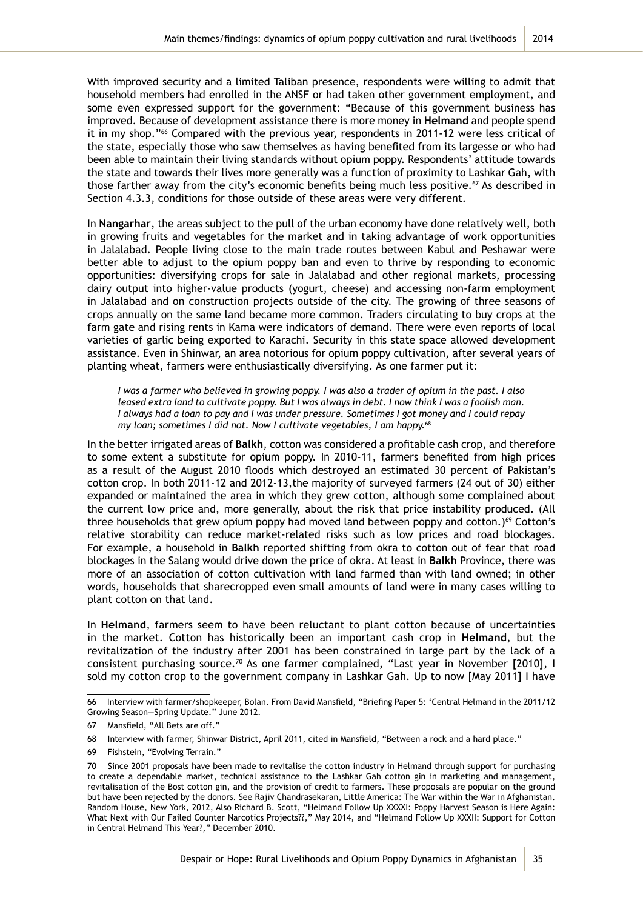With improved security and a limited Taliban presence, respondents were willing to admit that household members had enrolled in the ANSF or had taken other government employment, and some even expressed support for the government: "Because of this government business has improved. Because of development assistance there is more money in **Helmand** and people spend it in my shop."<sup>66</sup> Compared with the previous year, respondents in 2011-12 were less critical of the state, especially those who saw themselves as having benefited from its largesse or who had been able to maintain their living standards without opium poppy. Respondents' attitude towards the state and towards their lives more generally was a function of proximity to Lashkar Gah, with those farther away from the city's economic benefits being much less positive.<sup>67</sup> As described in Section 4.3.3, conditions for those outside of these areas were very different.

In **Nangarhar**, the areas subject to the pull of the urban economy have done relatively well, both in growing fruits and vegetables for the market and in taking advantage of work opportunities in Jalalabad. People living close to the main trade routes between Kabul and Peshawar were better able to adjust to the opium poppy ban and even to thrive by responding to economic opportunities: diversifying crops for sale in Jalalabad and other regional markets, processing dairy output into higher-value products (yogurt, cheese) and accessing non-farm employment in Jalalabad and on construction projects outside of the city. The growing of three seasons of crops annually on the same land became more common. Traders circulating to buy crops at the farm gate and rising rents in Kama were indicators of demand. There were even reports of local varieties of garlic being exported to Karachi. Security in this state space allowed development assistance. Even in Shinwar, an area notorious for opium poppy cultivation, after several years of planting wheat, farmers were enthusiastically diversifying. As one farmer put it:

*I was a farmer who believed in growing poppy. I was also a trader of opium in the past. I also leased extra land to cultivate poppy. But I was always in debt. I now think I was a foolish man. I always had a loan to pay and I was under pressure. Sometimes I got money and I could repay my loan; sometimes I did not. Now I cultivate vegetables, I am happy.*<sup>68</sup>

In the better irrigated areas of **Balkh**, cotton was considered a profitable cash crop, and therefore to some extent a substitute for opium poppy. In 2010-11, farmers benefited from high prices as a result of the August 2010 floods which destroyed an estimated 30 percent of Pakistan's cotton crop. In both 2011-12 and 2012-13,the majority of surveyed farmers (24 out of 30) either expanded or maintained the area in which they grew cotton, although some complained about the current low price and, more generally, about the risk that price instability produced. (All three households that grew opium poppy had moved land between poppy and cotton.)<sup>69</sup> Cotton's relative storability can reduce market-related risks such as low prices and road blockages. For example, a household in **Balkh** reported shifting from okra to cotton out of fear that road blockages in the Salang would drive down the price of okra. At least in **Balkh** Province, there was more of an association of cotton cultivation with land farmed than with land owned; in other words, households that sharecropped even small amounts of land were in many cases willing to plant cotton on that land.

In **Helmand**, farmers seem to have been reluctant to plant cotton because of uncertainties in the market. Cotton has historically been an important cash crop in **Helmand**, but the revitalization of the industry after 2001 has been constrained in large part by the lack of a consistent purchasing source.70 As one farmer complained, "Last year in November [2010], I sold my cotton crop to the government company in Lashkar Gah. Up to now [May 2011] I have

<sup>66</sup> Interview with farmer/shopkeeper, Bolan. From David Mansfield, "Briefing Paper 5: 'Central Helmand in the 2011/12 Growing Season—Spring Update." June 2012.

<sup>67</sup> Mansfield, "All Bets are off."

<sup>68</sup> Interview with farmer, Shinwar District, April 2011, cited in Mansfield, "Between a rock and a hard place."

<sup>69</sup> Fishstein, "Evolving Terrain."

<sup>70</sup> Since 2001 proposals have been made to revitalise the cotton industry in Helmand through support for purchasing to create a dependable market, technical assistance to the Lashkar Gah cotton gin in marketing and management, revitalisation of the Bost cotton gin, and the provision of credit to farmers. These proposals are popular on the ground but have been rejected by the donors. See Rajiv Chandrasekaran, Little America: The War within the War in Afghanistan. Random House, New York, 2012, Also Richard B. Scott, "Helmand Follow Up XXXXI: Poppy Harvest Season is Here Again: What Next with Our Failed Counter Narcotics Projects??," May 2014, and "Helmand Follow Up XXXII: Support for Cotton in Central Helmand This Year?," December 2010.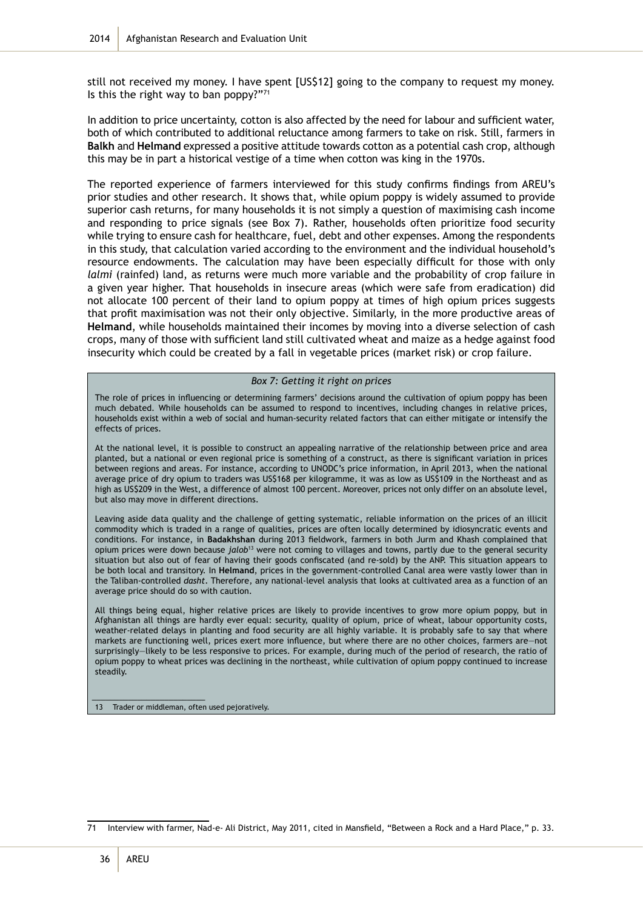still not received my money. I have spent [US\$12] going to the company to request my money. Is this the right way to ban poppy?"71

In addition to price uncertainty, cotton is also affected by the need for labour and sufficient water, both of which contributed to additional reluctance among farmers to take on risk. Still, farmers in **Balkh** and **Helmand** expressed a positive attitude towards cotton as a potential cash crop, although this may be in part a historical vestige of a time when cotton was king in the 1970s.

The reported experience of farmers interviewed for this study confirms findings from AREU's prior studies and other research. It shows that, while opium poppy is widely assumed to provide superior cash returns, for many households it is not simply a question of maximising cash income and responding to price signals (see Box 7). Rather, households often prioritize food security while trying to ensure cash for healthcare, fuel, debt and other expenses. Among the respondents in this study, that calculation varied according to the environment and the individual household's resource endowments. The calculation may have been especially difficult for those with only *lalmi* (rainfed) land, as returns were much more variable and the probability of crop failure in a given year higher. That households in insecure areas (which were safe from eradication) did not allocate 100 percent of their land to opium poppy at times of high opium prices suggests that profit maximisation was not their only objective. Similarly, in the more productive areas of **Helmand**, while households maintained their incomes by moving into a diverse selection of cash crops, many of those with sufficient land still cultivated wheat and maize as a hedge against food insecurity which could be created by a fall in vegetable prices (market risk) or crop failure.

#### *Box 7: Getting it right on prices*

The role of prices in influencing or determining farmers' decisions around the cultivation of opium poppy has been much debated. While households can be assumed to respond to incentives, including changes in relative prices, households exist within a web of social and human-security related factors that can either mitigate or intensify the effects of prices.

At the national level, it is possible to construct an appealing narrative of the relationship between price and area planted, but a national or even regional price is something of a construct, as there is significant variation in prices between regions and areas. For instance, according to UNODC's price information, in April 2013, when the national average price of dry opium to traders was US\$168 per kilogramme, it was as low as US\$109 in the Northeast and as high as US\$209 in the West, a difference of almost 100 percent. Moreover, prices not only differ on an absolute level, but also may move in different directions.

Leaving aside data quality and the challenge of getting systematic, reliable information on the prices of an illicit commodity which is traded in a range of qualities, prices are often locally determined by idiosyncratic events and conditions. For instance, in **Badakhshan** during 2013 fieldwork, farmers in both Jurm and Khash complained that opium prices were down because *jalob*13 were not coming to villages and towns, partly due to the general security situation but also out of fear of having their goods confiscated (and re-sold) by the ANP. This situation appears to be both local and transitory. In **Helmand**, prices in the government-controlled Canal area were vastly lower than in the Taliban-controlled *dasht*. Therefore, any national-level analysis that looks at cultivated area as a function of an average price should do so with caution.

All things being equal, higher relative prices are likely to provide incentives to grow more opium poppy, but in Afghanistan all things are hardly ever equal: security, quality of opium, price of wheat, labour opportunity costs, weather-related delays in planting and food security are all highly variable. It is probably safe to say that where markets are functioning well, prices exert more influence, but where there are no other choices, farmers are—not surprisingly—likely to be less responsive to prices. For example, during much of the period of research, the ratio of opium poppy to wheat prices was declining in the northeast, while cultivation of opium poppy continued to increase steadily.

13 Trader or middleman, often used pejoratively.

\_\_\_\_\_\_\_\_\_\_\_\_\_\_\_\_\_\_\_\_\_\_\_\_\_

<sup>71</sup> Interview with farmer, Nad-e- Ali District, May 2011, cited in Mansfield, "Between a Rock and a Hard Place," p. 33.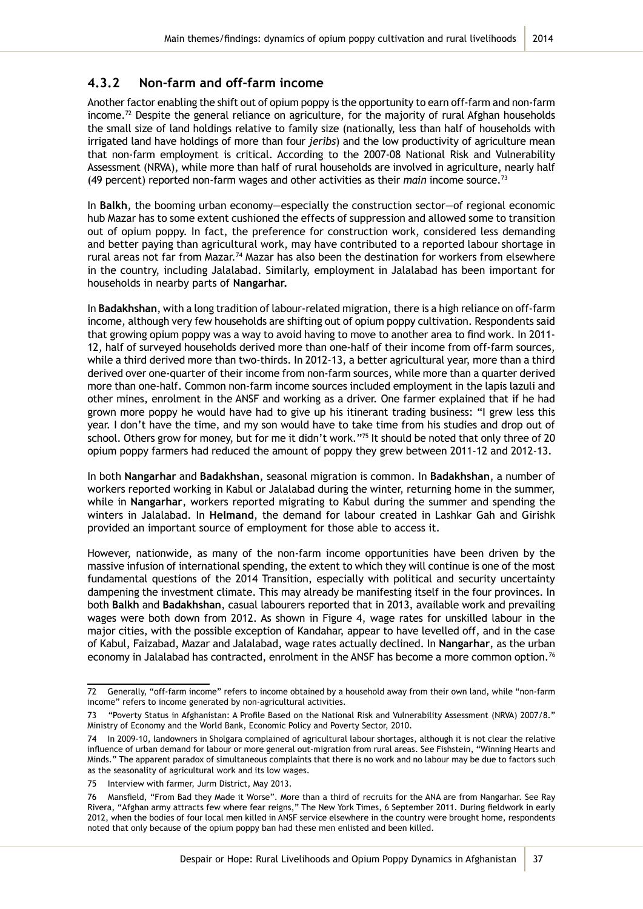### **4.3.2 Non-farm and off-farm income**

Another factor enabling the shift out of opium poppy is the opportunity to earn off-farm and non-farm income.<sup>72</sup> Despite the general reliance on agriculture, for the majority of rural Afghan households the small size of land holdings relative to family size (nationally, less than half of households with irrigated land have holdings of more than four *jeribs*) and the low productivity of agriculture mean that non-farm employment is critical. According to the 2007-08 National Risk and Vulnerability Assessment (NRVA), while more than half of rural households are involved in agriculture, nearly half (49 percent) reported non-farm wages and other activities as their *main* income source.73

In **Balkh**, the booming urban economy—especially the construction sector—of regional economic hub Mazar has to some extent cushioned the effects of suppression and allowed some to transition out of opium poppy. In fact, the preference for construction work, considered less demanding and better paying than agricultural work, may have contributed to a reported labour shortage in rural areas not far from Mazar.<sup>74</sup> Mazar has also been the destination for workers from elsewhere in the country, including Jalalabad. Similarly, employment in Jalalabad has been important for households in nearby parts of **Nangarhar.** 

In **Badakhshan**, with a long tradition of labour-related migration, there is a high reliance on off-farm income, although very few households are shifting out of opium poppy cultivation. Respondents said that growing opium poppy was a way to avoid having to move to another area to find work. In 2011- 12, half of surveyed households derived more than one-half of their income from off-farm sources, while a third derived more than two-thirds. In 2012-13, a better agricultural year, more than a third derived over one-quarter of their income from non-farm sources, while more than a quarter derived more than one-half. Common non-farm income sources included employment in the lapis lazuli and other mines, enrolment in the ANSF and working as a driver. One farmer explained that if he had grown more poppy he would have had to give up his itinerant trading business: "I grew less this year. I don't have the time, and my son would have to take time from his studies and drop out of school. Others grow for money, but for me it didn't work."<sup>75</sup> It should be noted that only three of 20 opium poppy farmers had reduced the amount of poppy they grew between 2011-12 and 2012-13.

In both **Nangarhar** and **Badakhshan**, seasonal migration is common. In **Badakhshan**, a number of workers reported working in Kabul or Jalalabad during the winter, returning home in the summer, while in **Nangarhar**, workers reported migrating to Kabul during the summer and spending the winters in Jalalabad. In **Helmand**, the demand for labour created in Lashkar Gah and Girishk provided an important source of employment for those able to access it.

However, nationwide, as many of the non-farm income opportunities have been driven by the massive infusion of international spending, the extent to which they will continue is one of the most fundamental questions of the 2014 Transition, especially with political and security uncertainty dampening the investment climate. This may already be manifesting itself in the four provinces. In both **Balkh** and **Badakhshan**, casual labourers reported that in 2013, available work and prevailing wages were both down from 2012. As shown in Figure 4, wage rates for unskilled labour in the major cities, with the possible exception of Kandahar, appear to have levelled off, and in the case of Kabul, Faizabad, Mazar and Jalalabad, wage rates actually declined. In **Nangarhar**, as the urban economy in Jalalabad has contracted, enrolment in the ANSF has become a more common option.<sup>76</sup>

<sup>72</sup> Generally, "off-farm income" refers to income obtained by a household away from their own land, while "non-farm income" refers to income generated by non-agricultural activities.

<sup>73</sup> "Poverty Status in Afghanistan: A Profile Based on the National Risk and Vulnerability Assessment (NRVA) 2007/8." Ministry of Economy and the World Bank, Economic Policy and Poverty Sector, 2010.

In 2009-10, landowners in Sholgara complained of agricultural labour shortages, although it is not clear the relative influence of urban demand for labour or more general out-migration from rural areas. See Fishstein, "Winning Hearts and Minds." The apparent paradox of simultaneous complaints that there is no work and no labour may be due to factors such as the seasonality of agricultural work and its low wages.

<sup>75</sup> Interview with farmer, Jurm District, May 2013.

<sup>76</sup> Mansfield, "From Bad they Made it Worse". More than a third of recruits for the ANA are from Nangarhar. See Ray Rivera, "Afghan army attracts few where fear reigns," The New York Times, 6 September 2011. During fieldwork in early 2012, when the bodies of four local men killed in ANSF service elsewhere in the country were brought home, respondents noted that only because of the opium poppy ban had these men enlisted and been killed.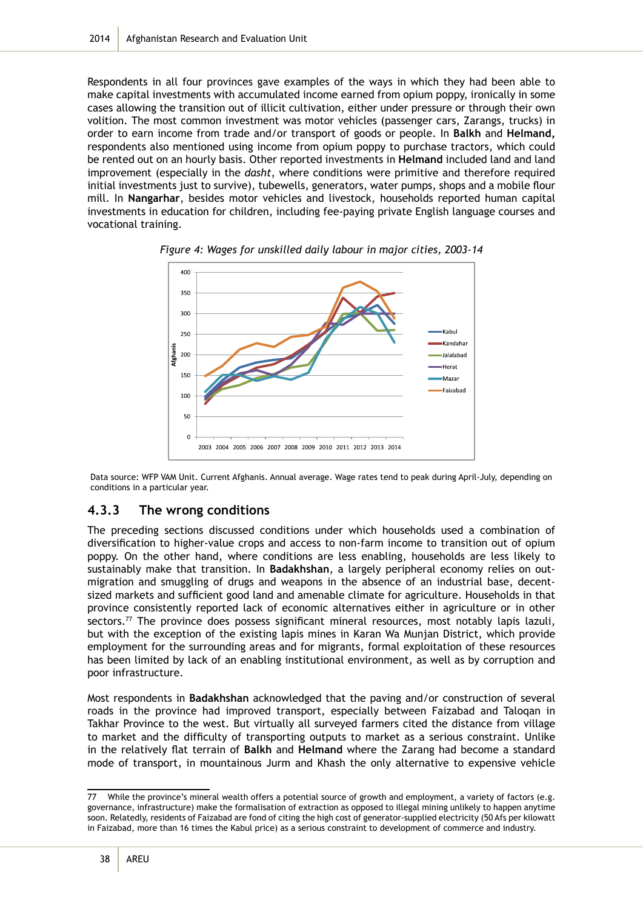Respondents in all four provinces gave examples of the ways in which they had been able to make capital investments with accumulated income earned from opium poppy, ironically in some cases allowing the transition out of illicit cultivation, either under pressure or through their own volition. The most common investment was motor vehicles (passenger cars, Zarangs, trucks) in order to earn income from trade and/or transport of goods or people. In **Balkh** and **Helmand,** respondents also mentioned using income from opium poppy to purchase tractors, which could be rented out on an hourly basis. Other reported investments in **Helmand** included land and land improvement (especially in the *dasht*, where conditions were primitive and therefore required initial investments just to survive), tubewells, generators, water pumps, shops and a mobile flour mill. In **Nangarhar**, besides motor vehicles and livestock, households reported human capital investments in education for children, including fee-paying private English language courses and vocational training.



*Figure 4: Wages for unskilled daily labour in major cities, 2003-14*

Data source: WFP VAM Unit. Current Afghanis. Annual average. Wage rates tend to peak during April-July, depending on conditions in a particular year.

## **4.3.3 The wrong conditions**

The preceding sections discussed conditions under which households used a combination of diversification to higher-value crops and access to non-farm income to transition out of opium poppy. On the other hand, where conditions are less enabling, households are less likely to sustainably make that transition. In **Badakhshan**, a largely peripheral economy relies on outmigration and smuggling of drugs and weapons in the absence of an industrial base, decentsized markets and sufficient good land and amenable climate for agriculture. Households in that province consistently reported lack of economic alternatives either in agriculture or in other sectors.<sup>77</sup> The province does possess significant mineral resources, most notably lapis lazuli, but with the exception of the existing lapis mines in Karan Wa Munjan District, which provide employment for the surrounding areas and for migrants, formal exploitation of these resources has been limited by lack of an enabling institutional environment, as well as by corruption and poor infrastructure.

Most respondents in **Badakhshan** acknowledged that the paving and/or construction of several roads in the province had improved transport, especially between Faizabad and Taloqan in Takhar Province to the west. But virtually all surveyed farmers cited the distance from village to market and the difficulty of transporting outputs to market as a serious constraint. Unlike in the relatively flat terrain of **Balkh** and **Helmand** where the Zarang had become a standard mode of transport, in mountainous Jurm and Khash the only alternative to expensive vehicle

<sup>77</sup> While the province's mineral wealth offers a potential source of growth and employment, a variety of factors (e.g. governance, infrastructure) make the formalisation of extraction as opposed to illegal mining unlikely to happen anytime soon. Relatedly, residents of Faizabad are fond of citing the high cost of generator-supplied electricity (50 Afs per kilowatt in Faizabad, more than 16 times the Kabul price) as a serious constraint to development of commerce and industry.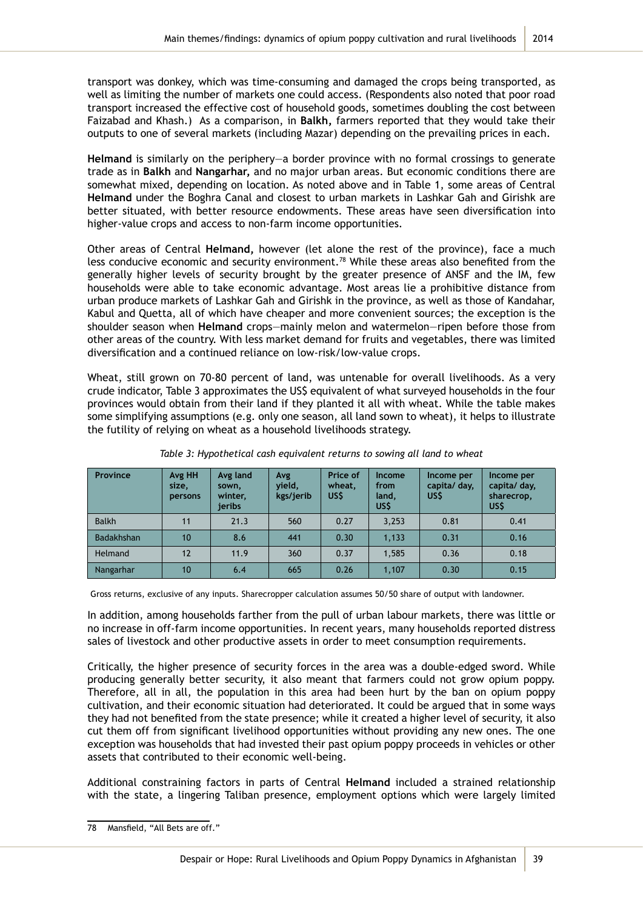transport was donkey, which was time-consuming and damaged the crops being transported, as well as limiting the number of markets one could access. (Respondents also noted that poor road transport increased the effective cost of household goods, sometimes doubling the cost between Faizabad and Khash.) As a comparison, in **Balkh,** farmers reported that they would take their outputs to one of several markets (including Mazar) depending on the prevailing prices in each.

**Helmand** is similarly on the periphery—a border province with no formal crossings to generate trade as in **Balkh** and **Nangarhar,** and no major urban areas. But economic conditions there are somewhat mixed, depending on location. As noted above and in Table 1, some areas of Central **Helmand** under the Boghra Canal and closest to urban markets in Lashkar Gah and Girishk are better situated, with better resource endowments. These areas have seen diversification into higher-value crops and access to non-farm income opportunities.

Other areas of Central **Helmand,** however (let alone the rest of the province), face a much less conducive economic and security environment.78 While these areas also benefited from the generally higher levels of security brought by the greater presence of ANSF and the IM, few households were able to take economic advantage. Most areas lie a prohibitive distance from urban produce markets of Lashkar Gah and Girishk in the province, as well as those of Kandahar, Kabul and Quetta, all of which have cheaper and more convenient sources; the exception is the shoulder season when **Helmand** crops—mainly melon and watermelon—ripen before those from other areas of the country. With less market demand for fruits and vegetables, there was limited diversification and a continued reliance on low-risk/low-value crops.

Wheat, still grown on 70-80 percent of land, was untenable for overall livelihoods. As a very crude indicator, Table 3 approximates the US\$ equivalent of what surveyed households in the four provinces would obtain from their land if they planted it all with wheat. While the table makes some simplifying assumptions (e.g. only one season, all land sown to wheat), it helps to illustrate the futility of relying on wheat as a household livelihoods strategy.

| <b>Province</b>   | Avg HH<br>size,<br><b>persons</b> | Avg land<br>sown,<br>winter,<br>ieribs | Avg<br>vield,<br>kgs/jerib | Price of<br>wheat,<br>US\$ | <b>Income</b><br>from<br>land,<br>US\$ | Income per<br>capita/ day,<br>US\$ | Income per<br>capita/ day,<br>sharecrop,<br><b>USS</b> |
|-------------------|-----------------------------------|----------------------------------------|----------------------------|----------------------------|----------------------------------------|------------------------------------|--------------------------------------------------------|
| <b>Balkh</b>      | 11                                | 21.3                                   | 560                        | 0.27                       | 3,253                                  | 0.81                               | 0.41                                                   |
| <b>Badakhshan</b> | 10                                | 8.6                                    | 441                        | 0.30                       | 1,133                                  | 0.31                               | 0.16                                                   |
| <b>Helmand</b>    | 12                                | 11.9                                   | 360                        | 0.37                       | 1,585                                  | 0.36                               | 0.18                                                   |
| Nangarhar         | 10                                | 6.4                                    | 665                        | 0.26                       | 1,107                                  | 0.30                               | 0.15                                                   |

*Table 3: Hypothetical cash equivalent returns to sowing all land to wheat* 

Gross returns, exclusive of any inputs. Sharecropper calculation assumes 50/50 share of output with landowner.

In addition, among households farther from the pull of urban labour markets, there was little or no increase in off-farm income opportunities. In recent years, many households reported distress sales of livestock and other productive assets in order to meet consumption requirements.

Critically, the higher presence of security forces in the area was a double-edged sword. While producing generally better security, it also meant that farmers could not grow opium poppy. Therefore, all in all, the population in this area had been hurt by the ban on opium poppy cultivation, and their economic situation had deteriorated. It could be argued that in some ways they had not benefited from the state presence; while it created a higher level of security, it also cut them off from significant livelihood opportunities without providing any new ones. The one exception was households that had invested their past opium poppy proceeds in vehicles or other assets that contributed to their economic well-being.

Additional constraining factors in parts of Central **Helmand** included a strained relationship with the state, a lingering Taliban presence, employment options which were largely limited

<sup>78</sup> Mansfield, "All Bets are off."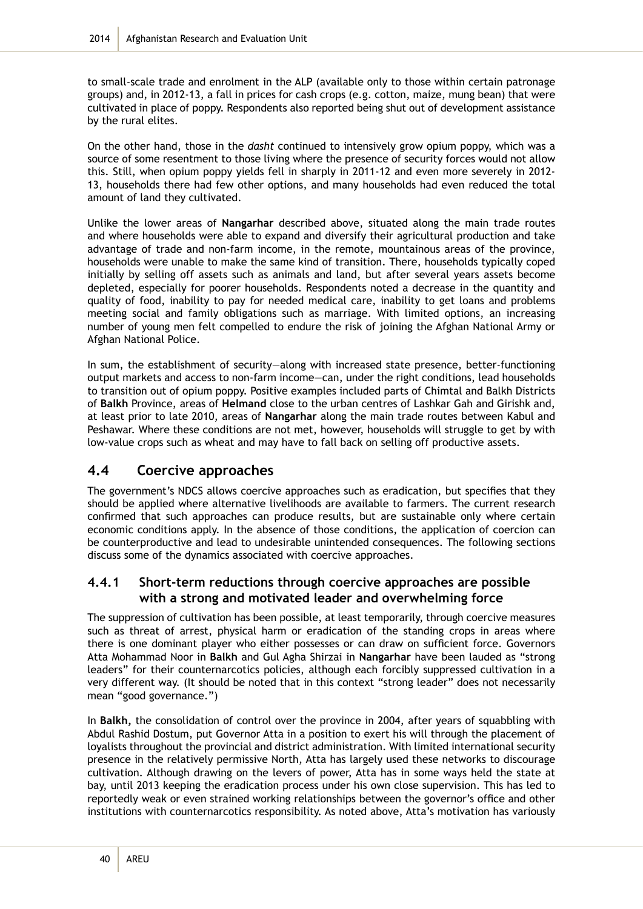to small-scale trade and enrolment in the ALP (available only to those within certain patronage groups) and, in 2012-13, a fall in prices for cash crops (e.g. cotton, maize, mung bean) that were cultivated in place of poppy. Respondents also reported being shut out of development assistance by the rural elites.

On the other hand, those in the *dasht* continued to intensively grow opium poppy, which was a source of some resentment to those living where the presence of security forces would not allow this. Still, when opium poppy yields fell in sharply in 2011-12 and even more severely in 2012- 13, households there had few other options, and many households had even reduced the total amount of land they cultivated.

Unlike the lower areas of **Nangarhar** described above, situated along the main trade routes and where households were able to expand and diversify their agricultural production and take advantage of trade and non-farm income, in the remote, mountainous areas of the province, households were unable to make the same kind of transition. There, households typically coped initially by selling off assets such as animals and land, but after several years assets become depleted, especially for poorer households. Respondents noted a decrease in the quantity and quality of food, inability to pay for needed medical care, inability to get loans and problems meeting social and family obligations such as marriage. With limited options, an increasing number of young men felt compelled to endure the risk of joining the Afghan National Army or Afghan National Police.

In sum, the establishment of security—along with increased state presence, better-functioning output markets and access to non-farm income—can, under the right conditions, lead households to transition out of opium poppy. Positive examples included parts of Chimtal and Balkh Districts of **Balkh** Province, areas of **Helmand** close to the urban centres of Lashkar Gah and Girishk and, at least prior to late 2010, areas of **Nangarhar** along the main trade routes between Kabul and Peshawar. Where these conditions are not met, however, households will struggle to get by with low-value crops such as wheat and may have to fall back on selling off productive assets.

# **4.4 Coercive approaches**

The government's NDCS allows coercive approaches such as eradication, but specifies that they should be applied where alternative livelihoods are available to farmers. The current research confirmed that such approaches can produce results, but are sustainable only where certain economic conditions apply. In the absence of those conditions, the application of coercion can be counterproductive and lead to undesirable unintended consequences. The following sections discuss some of the dynamics associated with coercive approaches.

### **4.4.1 Short-term reductions through coercive approaches are possible with a strong and motivated leader and overwhelming force**

The suppression of cultivation has been possible, at least temporarily, through coercive measures such as threat of arrest, physical harm or eradication of the standing crops in areas where there is one dominant player who either possesses or can draw on sufficient force. Governors Atta Mohammad Noor in **Balkh** and Gul Agha Shirzai in **Nangarhar** have been lauded as "strong leaders" for their counternarcotics policies, although each forcibly suppressed cultivation in a very different way. (It should be noted that in this context "strong leader" does not necessarily mean "good governance.")

In **Balkh,** the consolidation of control over the province in 2004, after years of squabbling with Abdul Rashid Dostum, put Governor Atta in a position to exert his will through the placement of loyalists throughout the provincial and district administration. With limited international security presence in the relatively permissive North, Atta has largely used these networks to discourage cultivation. Although drawing on the levers of power, Atta has in some ways held the state at bay, until 2013 keeping the eradication process under his own close supervision. This has led to reportedly weak or even strained working relationships between the governor's office and other institutions with counternarcotics responsibility. As noted above, Atta's motivation has variously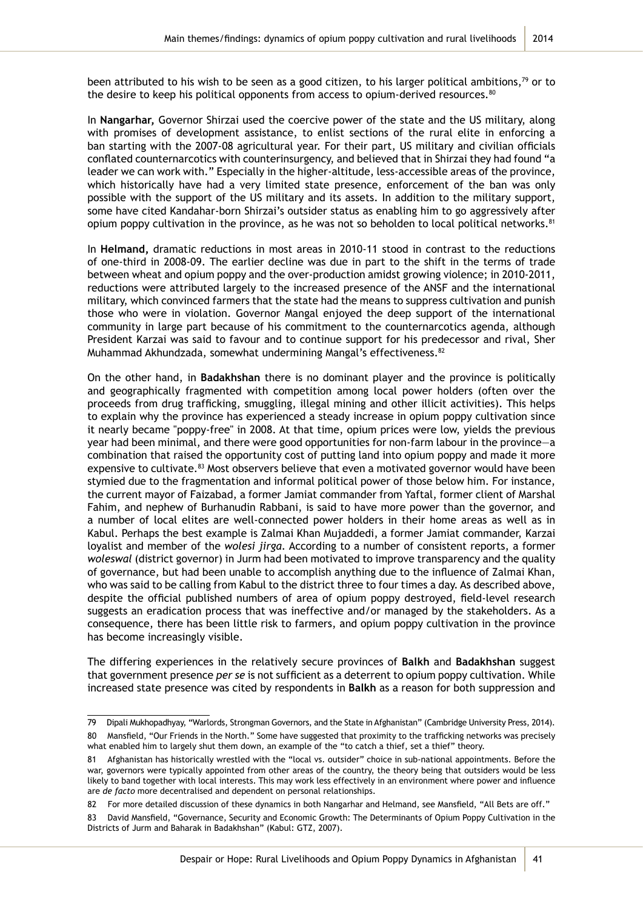been attributed to his wish to be seen as a good citizen, to his larger political ambitions,<sup>79</sup> or to the desire to keep his political opponents from access to opium-derived resources.<sup>80</sup>

In **Nangarhar,** Governor Shirzai used the coercive power of the state and the US military, along with promises of development assistance, to enlist sections of the rural elite in enforcing a ban starting with the 2007-08 agricultural year. For their part, US military and civilian officials conflated counternarcotics with counterinsurgency, and believed that in Shirzai they had found "a leader we can work with." Especially in the higher-altitude, less-accessible areas of the province, which historically have had a very limited state presence, enforcement of the ban was only possible with the support of the US military and its assets. In addition to the military support, some have cited Kandahar-born Shirzai's outsider status as enabling him to go aggressively after opium poppy cultivation in the province, as he was not so beholden to local political networks.<sup>81</sup>

In **Helmand,** dramatic reductions in most areas in 2010-11 stood in contrast to the reductions of one-third in 2008-09. The earlier decline was due in part to the shift in the terms of trade between wheat and opium poppy and the over-production amidst growing violence; in 2010-2011, reductions were attributed largely to the increased presence of the ANSF and the international military, which convinced farmers that the state had the means to suppress cultivation and punish those who were in violation. Governor Mangal enjoyed the deep support of the international community in large part because of his commitment to the counternarcotics agenda, although President Karzai was said to favour and to continue support for his predecessor and rival, Sher Muhammad Akhundzada, somewhat undermining Mangal's effectiveness.<sup>82</sup>

On the other hand, in **Badakhshan** there is no dominant player and the province is politically and geographically fragmented with competition among local power holders (often over the proceeds from drug trafficking, smuggling, illegal mining and other illicit activities). This helps to explain why the province has experienced a steady increase in opium poppy cultivation since it nearly became "poppy-free" in 2008. At that time, opium prices were low, yields the previous year had been minimal, and there were good opportunities for non-farm labour in the province—a combination that raised the opportunity cost of putting land into opium poppy and made it more expensive to cultivate.<sup>83</sup> Most observers believe that even a motivated governor would have been stymied due to the fragmentation and informal political power of those below him. For instance, the current mayor of Faizabad, a former Jamiat commander from Yaftal, former client of Marshal Fahim, and nephew of Burhanudin Rabbani, is said to have more power than the governor, and a number of local elites are well-connected power holders in their home areas as well as in Kabul. Perhaps the best example is Zalmai Khan Mujaddedi, a former Jamiat commander, Karzai loyalist and member of the *wolesi jirga.* According to a number of consistent reports, a former *woleswal* (district governor) in Jurm had been motivated to improve transparency and the quality of governance, but had been unable to accomplish anything due to the influence of Zalmai Khan, who was said to be calling from Kabul to the district three to four times a day. As described above, despite the official published numbers of area of opium poppy destroyed, field-level research suggests an eradication process that was ineffective and/or managed by the stakeholders. As a consequence, there has been little risk to farmers, and opium poppy cultivation in the province has become increasingly visible.

The differing experiences in the relatively secure provinces of **Balkh** and **Badakhshan** suggest that government presence *per se* is not sufficient as a deterrent to opium poppy cultivation. While increased state presence was cited by respondents in **Balkh** as a reason for both suppression and

<sup>79</sup> Dipali Mukhopadhyay, "Warlords, Strongman Governors, and the State in Afghanistan" (Cambridge University Press, 2014). 80 Mansfield, "Our Friends in the North." Some have suggested that proximity to the trafficking networks was precisely what enabled him to largely shut them down, an example of the "to catch a thief, set a thief" theory.

Afghanistan has historically wrestled with the "local vs. outsider" choice in sub-national appointments. Before the war, governors were typically appointed from other areas of the country, the theory being that outsiders would be less likely to band together with local interests. This may work less effectively in an environment where power and influence are *de facto* more decentralised and dependent on personal relationships.

<sup>82</sup> For more detailed discussion of these dynamics in both Nangarhar and Helmand, see Mansfield, "All Bets are off."

<sup>83</sup> David Mansfield, "Governance, Security and Economic Growth: The Determinants of Opium Poppy Cultivation in the Districts of Jurm and Baharak in Badakhshan" (Kabul: GTZ, 2007).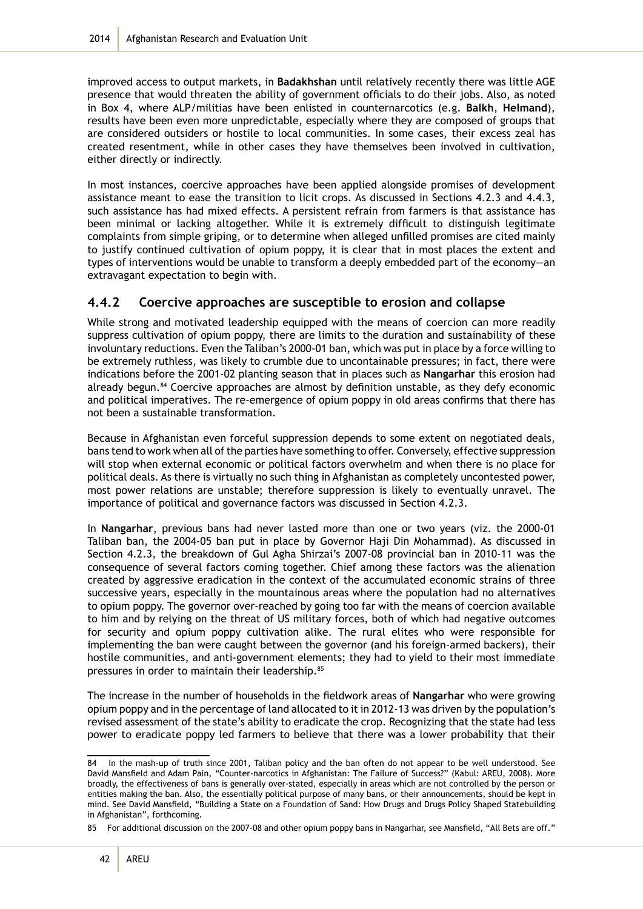improved access to output markets, in **Badakhshan** until relatively recently there was little AGE presence that would threaten the ability of government officials to do their jobs. Also, as noted in Box 4, where ALP/militias have been enlisted in counternarcotics (e.g. **Balkh**, **Helmand**), results have been even more unpredictable, especially where they are composed of groups that are considered outsiders or hostile to local communities. In some cases, their excess zeal has created resentment, while in other cases they have themselves been involved in cultivation, either directly or indirectly.

In most instances, coercive approaches have been applied alongside promises of development assistance meant to ease the transition to licit crops. As discussed in Sections 4.2.3 and 4.4.3, such assistance has had mixed effects. A persistent refrain from farmers is that assistance has been minimal or lacking altogether. While it is extremely difficult to distinguish legitimate complaints from simple griping, or to determine when alleged unfilled promises are cited mainly to justify continued cultivation of opium poppy, it is clear that in most places the extent and types of interventions would be unable to transform a deeply embedded part of the economy—an extravagant expectation to begin with.

### **4.4.2 Coercive approaches are susceptible to erosion and collapse**

While strong and motivated leadership equipped with the means of coercion can more readily suppress cultivation of opium poppy, there are limits to the duration and sustainability of these involuntary reductions. Even the Taliban's 2000-01 ban, which was put in place by a force willing to be extremely ruthless, was likely to crumble due to uncontainable pressures; in fact, there were indications before the 2001-02 planting season that in places such as **Nangarhar** this erosion had already begun.<sup>84</sup> Coercive approaches are almost by definition unstable, as they defy economic and political imperatives. The re-emergence of opium poppy in old areas confirms that there has not been a sustainable transformation.

Because in Afghanistan even forceful suppression depends to some extent on negotiated deals, bans tend to work when all of the parties have something to offer. Conversely, effective suppression will stop when external economic or political factors overwhelm and when there is no place for political deals. As there is virtually no such thing in Afghanistan as completely uncontested power, most power relations are unstable; therefore suppression is likely to eventually unravel. The importance of political and governance factors was discussed in Section 4.2.3.

In **Nangarhar**, previous bans had never lasted more than one or two years (viz. the 2000-01 Taliban ban, the 2004-05 ban put in place by Governor Haji Din Mohammad). As discussed in Section 4.2.3, the breakdown of Gul Agha Shirzai's 2007-08 provincial ban in 2010-11 was the consequence of several factors coming together. Chief among these factors was the alienation created by aggressive eradication in the context of the accumulated economic strains of three successive years, especially in the mountainous areas where the population had no alternatives to opium poppy. The governor over-reached by going too far with the means of coercion available to him and by relying on the threat of US military forces, both of which had negative outcomes for security and opium poppy cultivation alike. The rural elites who were responsible for implementing the ban were caught between the governor (and his foreign-armed backers), their hostile communities, and anti-government elements; they had to yield to their most immediate pressures in order to maintain their leadership.<sup>85</sup>

The increase in the number of households in the fieldwork areas of **Nangarhar** who were growing opium poppy and in the percentage of land allocated to it in 2012-13 was driven by the population's revised assessment of the state's ability to eradicate the crop. Recognizing that the state had less power to eradicate poppy led farmers to believe that there was a lower probability that their

<sup>84</sup> In the mash-up of truth since 2001, Taliban policy and the ban often do not appear to be well understood. See David Mansfield and Adam Pain, "Counter-narcotics in Afghanistan: The Failure of Success?" (Kabul: AREU, 2008). More broadly, the effectiveness of bans is generally over-stated, especially in areas which are not controlled by the person or entities making the ban. Also, the essentially political purpose of many bans, or their announcements, should be kept in mind. See David Mansfield, "Building a State on a Foundation of Sand: How Drugs and Drugs Policy Shaped Statebuilding in Afghanistan", forthcoming.

<sup>85</sup> For additional discussion on the 2007-08 and other opium poppy bans in Nangarhar, see Mansfield, "All Bets are off."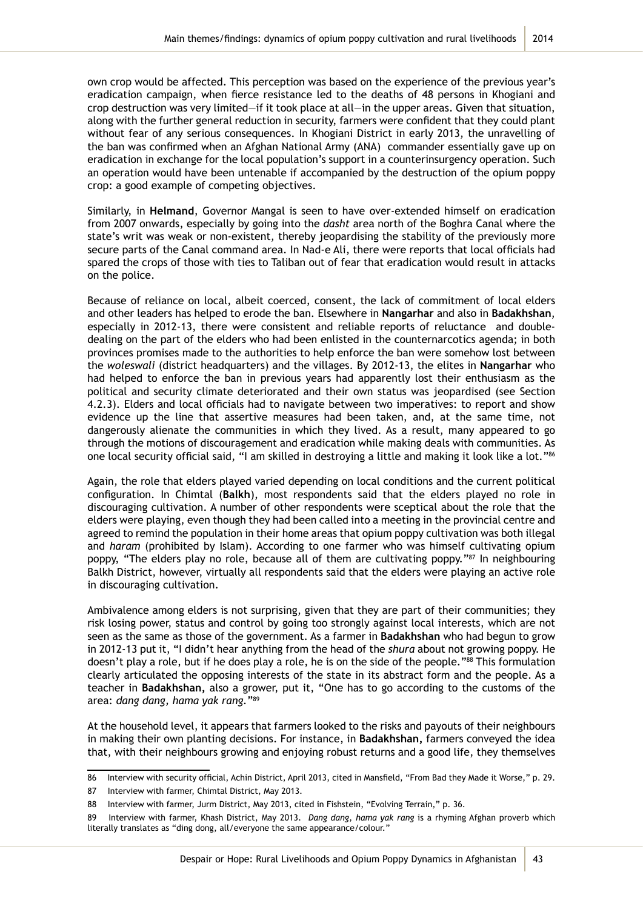own crop would be affected. This perception was based on the experience of the previous year's eradication campaign, when fierce resistance led to the deaths of 48 persons in Khogiani and crop destruction was very limited—if it took place at all—in the upper areas. Given that situation, along with the further general reduction in security, farmers were confident that they could plant without fear of any serious consequences. In Khogiani District in early 2013, the unravelling of the ban was confirmed when an Afghan National Army (ANA) commander essentially gave up on eradication in exchange for the local population's support in a counterinsurgency operation. Such an operation would have been untenable if accompanied by the destruction of the opium poppy crop: a good example of competing objectives.

Similarly, in **Helmand**, Governor Mangal is seen to have over-extended himself on eradication from 2007 onwards, especially by going into the *dasht* area north of the Boghra Canal where the state's writ was weak or non-existent, thereby jeopardising the stability of the previously more secure parts of the Canal command area. In Nad-e Ali, there were reports that local officials had spared the crops of those with ties to Taliban out of fear that eradication would result in attacks on the police.

Because of reliance on local, albeit coerced, consent, the lack of commitment of local elders and other leaders has helped to erode the ban. Elsewhere in **Nangarhar** and also in **Badakhshan**, especially in 2012-13, there were consistent and reliable reports of reluctance and doubledealing on the part of the elders who had been enlisted in the counternarcotics agenda; in both provinces promises made to the authorities to help enforce the ban were somehow lost between the *woleswali* (district headquarters) and the villages. By 2012-13, the elites in **Nangarhar** who had helped to enforce the ban in previous years had apparently lost their enthusiasm as the political and security climate deteriorated and their own status was jeopardised (see Section 4.2.3). Elders and local officials had to navigate between two imperatives: to report and show evidence up the line that assertive measures had been taken, and, at the same time, not dangerously alienate the communities in which they lived. As a result, many appeared to go through the motions of discouragement and eradication while making deals with communities. As one local security official said, "I am skilled in destroying a little and making it look like a lot."<sup>86</sup>

Again, the role that elders played varied depending on local conditions and the current political configuration. In Chimtal (**Balkh**), most respondents said that the elders played no role in discouraging cultivation. A number of other respondents were sceptical about the role that the elders were playing, even though they had been called into a meeting in the provincial centre and agreed to remind the population in their home areas that opium poppy cultivation was both illegal and *haram* (prohibited by Islam). According to one farmer who was himself cultivating opium poppy, "The elders play no role, because all of them are cultivating poppy."87 In neighbouring Balkh District, however, virtually all respondents said that the elders were playing an active role in discouraging cultivation.

Ambivalence among elders is not surprising, given that they are part of their communities; they risk losing power, status and control by going too strongly against local interests, which are not seen as the same as those of the government. As a farmer in **Badakhshan** who had begun to grow in 2012-13 put it, "I didn't hear anything from the head of the *shura* about not growing poppy. He doesn't play a role, but if he does play a role, he is on the side of the people."<sup>88</sup> This formulation clearly articulated the opposing interests of the state in its abstract form and the people. As a teacher in **Badakhshan,** also a grower, put it, "One has to go according to the customs of the area: *dang dang, hama yak rang.*"89

At the household level, it appears that farmers looked to the risks and payouts of their neighbours in making their own planting decisions. For instance, in **Badakhshan,** farmers conveyed the idea that, with their neighbours growing and enjoying robust returns and a good life, they themselves

<sup>86</sup> Interview with security official, Achin District, April 2013, cited in Mansfield, "From Bad they Made it Worse," p. 29.

<sup>87</sup> Interview with farmer, Chimtal District, May 2013.

<sup>88</sup> Interview with farmer, Jurm District, May 2013, cited in Fishstein, "Evolving Terrain," p. 36.

<sup>89</sup> Interview with farmer, Khash District, May 2013. *Dang dang*, *hama yak rang* is a rhyming Afghan proverb which literally translates as "ding dong, all/everyone the same appearance/colour."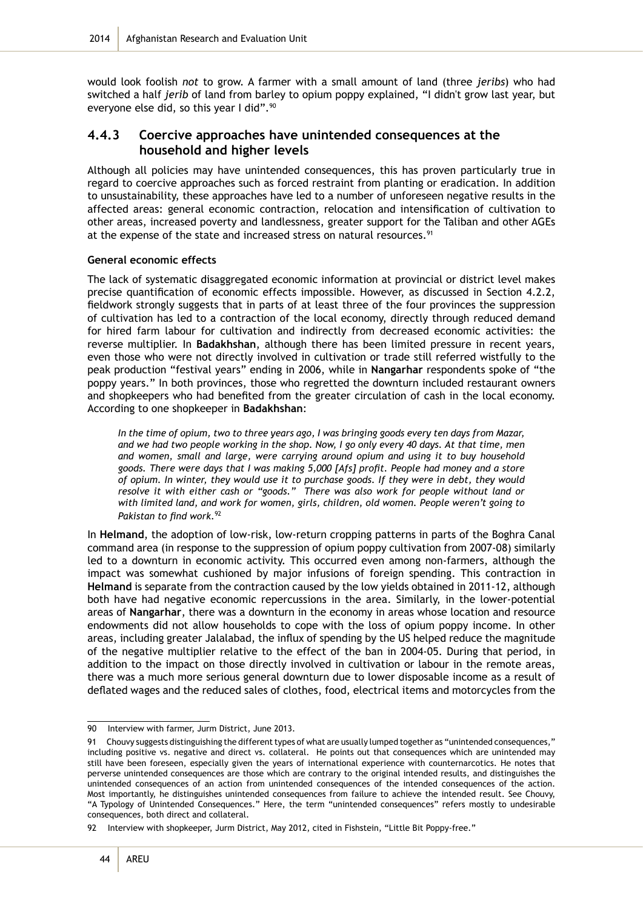would look foolish *not* to grow. A farmer with a small amount of land (three *jeribs*) who had switched a half *jerib* of land from barley to opium poppy explained, "I didn't grow last year, but everyone else did, so this year I did".<sup>90</sup>

### **4.4.3 Coercive approaches have unintended consequences at the household and higher levels**

Although all policies may have unintended consequences, this has proven particularly true in regard to coercive approaches such as forced restraint from planting or eradication. In addition to unsustainability, these approaches have led to a number of unforeseen negative results in the affected areas: general economic contraction, relocation and intensification of cultivation to other areas, increased poverty and landlessness, greater support for the Taliban and other AGEs at the expense of the state and increased stress on natural resources.<sup>91</sup>

#### **General economic effects**

The lack of systematic disaggregated economic information at provincial or district level makes precise quantification of economic effects impossible. However, as discussed in Section 4.2.2, fieldwork strongly suggests that in parts of at least three of the four provinces the suppression of cultivation has led to a contraction of the local economy, directly through reduced demand for hired farm labour for cultivation and indirectly from decreased economic activities: the reverse multiplier. In **Badakhshan**, although there has been limited pressure in recent years, even those who were not directly involved in cultivation or trade still referred wistfully to the peak production "festival years" ending in 2006, while in **Nangarhar** respondents spoke of "the poppy years." In both provinces, those who regretted the downturn included restaurant owners and shopkeepers who had benefited from the greater circulation of cash in the local economy. According to one shopkeeper in **Badakhshan**:

*In the time of opium, two to three years ago, I was bringing goods every ten days from Mazar, and we had two people working in the shop. Now, I go only every 40 days. At that time, men and women, small and large, were carrying around opium and using it to buy household goods. There were days that I was making 5,000 [Afs] profit. People had money and a store of opium. In winter, they would use it to purchase goods. If they were in debt, they would resolve it with either cash or "goods." There was also work for people without land or with limited land, and work for women, girls, children, old women. People weren't going to Pakistan to find work.*<sup>92</sup>

In **Helmand**, the adoption of low-risk, low-return cropping patterns in parts of the Boghra Canal command area (in response to the suppression of opium poppy cultivation from 2007-08) similarly led to a downturn in economic activity. This occurred even among non-farmers, although the impact was somewhat cushioned by major infusions of foreign spending. This contraction in **Helmand** is separate from the contraction caused by the low yields obtained in 2011-12, although both have had negative economic repercussions in the area. Similarly, in the lower-potential areas of **Nangarhar**, there was a downturn in the economy in areas whose location and resource endowments did not allow households to cope with the loss of opium poppy income. In other areas, including greater Jalalabad, the influx of spending by the US helped reduce the magnitude of the negative multiplier relative to the effect of the ban in 2004-05. During that period, in addition to the impact on those directly involved in cultivation or labour in the remote areas, there was a much more serious general downturn due to lower disposable income as a result of deflated wages and the reduced sales of clothes, food, electrical items and motorcycles from the

<sup>90</sup> Interview with farmer, Jurm District, June 2013.

<sup>91</sup> Chouvy suggests distinguishing the different types of what are usually lumped together as "unintended consequences," including positive vs. negative and direct vs. collateral. He points out that consequences which are unintended may still have been foreseen, especially given the years of international experience with counternarcotics. He notes that perverse unintended consequences are those which are contrary to the original intended results, and distinguishes the unintended consequences of an action from unintended consequences of the intended consequences of the action. Most importantly, he distinguishes unintended consequences from failure to achieve the intended result. See Chouvy, "A Typology of Unintended Consequences." Here, the term "unintended consequences" refers mostly to undesirable consequences, both direct and collateral.

<sup>92</sup> Interview with shopkeeper, Jurm District, May 2012, cited in Fishstein, "Little Bit Poppy-free."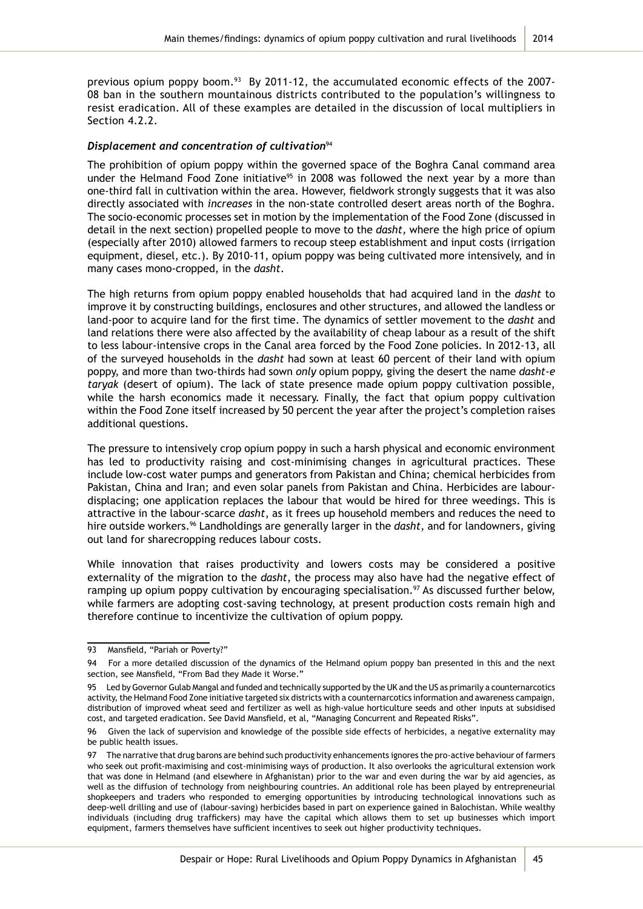previous opium poppy boom.<sup>93</sup> By 2011-12, the accumulated economic effects of the 2007-08 ban in the southern mountainous districts contributed to the population's willingness to resist eradication. All of these examples are detailed in the discussion of local multipliers in Section 4.2.2.

#### *Displacement and concentration of cultivation*94

The prohibition of opium poppy within the governed space of the Boghra Canal command area under the Helmand Food Zone initiative<sup>95</sup> in 2008 was followed the next year by a more than one-third fall in cultivation within the area. However, fieldwork strongly suggests that it was also directly associated with *increases* in the non-state controlled desert areas north of the Boghra. The socio-economic processes set in motion by the implementation of the Food Zone (discussed in detail in the next section) propelled people to move to the *dasht,* where the high price of opium (especially after 2010) allowed farmers to recoup steep establishment and input costs (irrigation equipment, diesel, etc.). By 2010-11, opium poppy was being cultivated more intensively, and in many cases mono-cropped, in the *dasht*.

The high returns from opium poppy enabled households that had acquired land in the *dasht* to improve it by constructing buildings, enclosures and other structures, and allowed the landless or land-poor to acquire land for the first time. The dynamics of settler movement to the *dasht* and land relations there were also affected by the availability of cheap labour as a result of the shift to less labour-intensive crops in the Canal area forced by the Food Zone policies. In 2012-13, all of the surveyed households in the *dasht* had sown at least 60 percent of their land with opium poppy, and more than two-thirds had sown *only* opium poppy, giving the desert the name *dasht-e taryak* (desert of opium). The lack of state presence made opium poppy cultivation possible, while the harsh economics made it necessary. Finally, the fact that opium poppy cultivation within the Food Zone itself increased by 50 percent the year after the project's completion raises additional questions.

The pressure to intensively crop opium poppy in such a harsh physical and economic environment has led to productivity raising and cost-minimising changes in agricultural practices. These include low-cost water pumps and generators from Pakistan and China; chemical herbicides from Pakistan, China and Iran; and even solar panels from Pakistan and China. Herbicides are labourdisplacing; one application replaces the labour that would be hired for three weedings. This is attractive in the labour-scarce *dasht*, as it frees up household members and reduces the need to hire outside workers.96 Landholdings are generally larger in the *dasht*, and for landowners, giving out land for sharecropping reduces labour costs.

While innovation that raises productivity and lowers costs may be considered a positive externality of the migration to the *dasht*, the process may also have had the negative effect of ramping up opium poppy cultivation by encouraging specialisation.<sup>97</sup> As discussed further below, while farmers are adopting cost-saving technology, at present production costs remain high and therefore continue to incentivize the cultivation of opium poppy.

<sup>93</sup> Mansfield, "Pariah or Poverty?"

<sup>94</sup> For a more detailed discussion of the dynamics of the Helmand opium poppy ban presented in this and the next section, see Mansfield, "From Bad they Made it Worse."

<sup>95</sup> Led by Governor Gulab Mangal and funded and technically supported by the UK and the US as primarily a counternarcotics activity, the Helmand Food Zone initiative targeted six districts with a counternarcotics information and awareness campaign, distribution of improved wheat seed and fertilizer as well as high-value horticulture seeds and other inputs at subsidised cost, and targeted eradication. See David Mansfield, et al, "Managing Concurrent and Repeated Risks".

<sup>96</sup> Given the lack of supervision and knowledge of the possible side effects of herbicides, a negative externality may be public health issues.

<sup>97</sup> The narrative that drug barons are behind such productivity enhancements ignores the pro-active behaviour of farmers who seek out profit-maximising and cost-minimising ways of production. It also overlooks the agricultural extension work that was done in Helmand (and elsewhere in Afghanistan) prior to the war and even during the war by aid agencies, as well as the diffusion of technology from neighbouring countries. An additional role has been played by entrepreneurial shopkeepers and traders who responded to emerging opportunities by introducing technological innovations such as deep-well drilling and use of (labour-saving) herbicides based in part on experience gained in Balochistan. While wealthy individuals (including drug traffickers) may have the capital which allows them to set up businesses which import equipment, farmers themselves have sufficient incentives to seek out higher productivity techniques.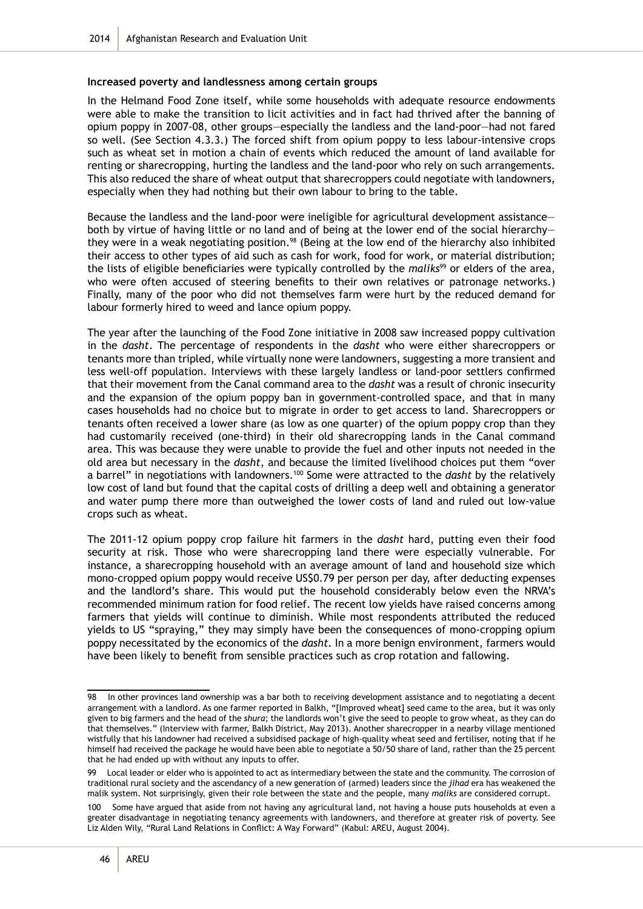#### **Increased poverty and landlessness among certain groups**

In the Helmand Food Zone itself, while some households with adequate resource endowments were able to make the transition to licit activities and in fact had thrived after the banning of opium poppy in 2007-08, other groups—especially the landless and the land-poor—had not fared so well. (See Section 4.3.3.) The forced shift from opium poppy to less labour-intensive crops such as wheat set in motion a chain of events which reduced the amount of land available for renting or sharecropping, hurting the landless and the land-poor who rely on such arrangements. This also reduced the share of wheat output that sharecroppers could negotiate with landowners, especially when they had nothing but their own labour to bring to the table.

Because the landless and the land-poor were ineligible for agricultural development assistance both by virtue of having little or no land and of being at the lower end of the social hierarchy they were in a weak negotiating position.<sup>98</sup> (Being at the low end of the hierarchy also inhibited their access to other types of aid such as cash for work, food for work, or material distribution; the lists of eligible beneficiaries were typically controlled by the *maliks*99 or elders of the area, who were often accused of steering benefits to their own relatives or patronage networks.) Finally, many of the poor who did not themselves farm were hurt by the reduced demand for labour formerly hired to weed and lance opium poppy.

The year after the launching of the Food Zone initiative in 2008 saw increased poppy cultivation in the *dasht*. The percentage of respondents in the *dasht* who were either sharecroppers or tenants more than tripled, while virtually none were landowners, suggesting a more transient and less well-off population. Interviews with these largely landless or land-poor settlers confirmed that their movement from the Canal command area to the *dasht* was a result of chronic insecurity and the expansion of the opium poppy ban in government-controlled space, and that in many cases households had no choice but to migrate in order to get access to land. Sharecroppers or tenants often received a lower share (as low as one quarter) of the opium poppy crop than they had customarily received (one-third) in their old sharecropping lands in the Canal command area. This was because they were unable to provide the fuel and other inputs not needed in the old area but necessary in the *dasht*, and because the limited livelihood choices put them "over a barrel" in negotiations with landowners.<sup>100</sup> Some were attracted to the *dasht* by the relatively low cost of land but found that the capital costs of drilling a deep well and obtaining a generator and water pump there more than outweighed the lower costs of land and ruled out low-value crops such as wheat.

The 2011-12 opium poppy crop failure hit farmers in the *dasht* hard, putting even their food security at risk. Those who were sharecropping land there were especially vulnerable. For instance, a sharecropping household with an average amount of land and household size which mono-cropped opium poppy would receive US\$0.79 per person per day, after deducting expenses and the landlord's share. This would put the household considerably below even the NRVA's recommended minimum ration for food relief. The recent low yields have raised concerns among farmers that yields will continue to diminish. While most respondents attributed the reduced yields to US "spraying," they may simply have been the consequences of mono-cropping opium poppy necessitated by the economics of the *dasht.* In a more benign environment, farmers would have been likely to benefit from sensible practices such as crop rotation and fallowing.

In other provinces land ownership was a bar both to receiving development assistance and to negotiating a decent arrangement with a landlord. As one farmer reported in Balkh, "[Improved wheat] seed came to the area, but it was only given to big farmers and the head of the *shura*; the landlords won't give the seed to people to grow wheat, as they can do that themselves." (Interview with farmer, Balkh District, May 2013). Another sharecropper in a nearby village mentioned wistfully that his landowner had received a subsidised package of high-quality wheat seed and fertiliser, noting that if he himself had received the package he would have been able to negotiate a 50/50 share of land, rather than the 25 percent that he had ended up with without any inputs to offer.

<sup>99</sup> Local leader or elder who is appointed to act as intermediary between the state and the community. The corrosion of traditional rural society and the ascendancy of a new generation of (armed) leaders since the *jihad* era has weakened the malik system. Not surprisingly, given their role between the state and the people, many *maliks* are considered corrupt.

<sup>100</sup> Some have argued that aside from not having any agricultural land, not having a house puts households at even a greater disadvantage in negotiating tenancy agreements with landowners, and therefore at greater risk of poverty. See Liz Alden Wily, "Rural Land Relations in Conflict: A Way Forward" (Kabul: AREU, August 2004).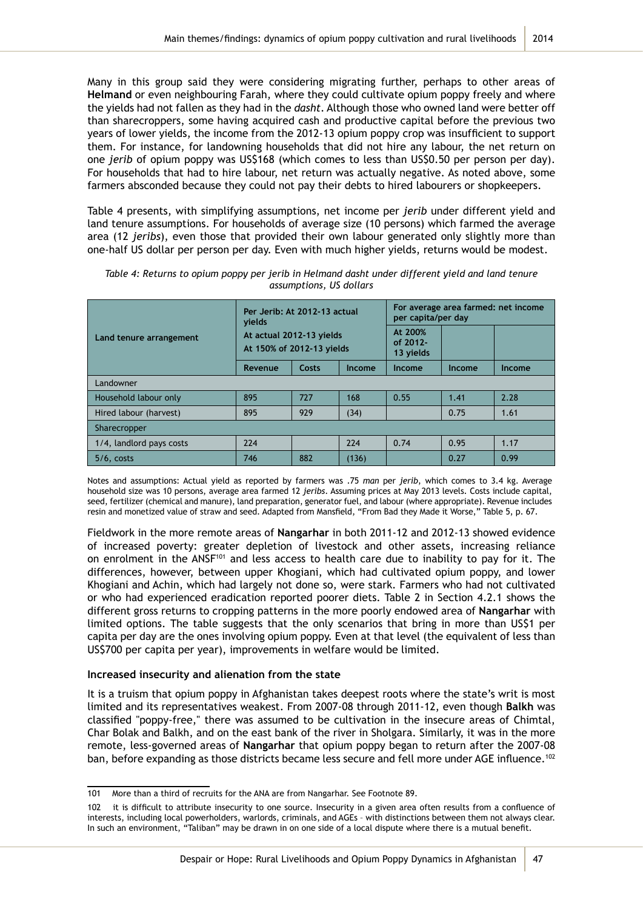Many in this group said they were considering migrating further, perhaps to other areas of **Helmand** or even neighbouring Farah, where they could cultivate opium poppy freely and where the yields had not fallen as they had in the *dasht*. Although those who owned land were better off than sharecroppers, some having acquired cash and productive capital before the previous two years of lower yields, the income from the 2012-13 opium poppy crop was insufficient to support them. For instance, for landowning households that did not hire any labour, the net return on one *jerib* of opium poppy was US\$168 (which comes to less than US\$0.50 per person per day). For households that had to hire labour, net return was actually negative. As noted above, some farmers absconded because they could not pay their debts to hired labourers or shopkeepers.

Table 4 presents, with simplifying assumptions, net income per *jerib* under different yield and land tenure assumptions. For households of average size (10 persons) which farmed the average area (12 *jeribs*), even those that provided their own labour generated only slightly more than one-half US dollar per person per day. Even with much higher yields, returns would be modest.

|                          | Per Jerib: At 2012-13 actual<br>vields                |       |        | For average area farmed; net income<br>per capita/per day |               |        |  |  |  |  |  |
|--------------------------|-------------------------------------------------------|-------|--------|-----------------------------------------------------------|---------------|--------|--|--|--|--|--|
| Land tenure arrangement  | At actual 2012-13 yields<br>At 150% of 2012-13 yields |       |        | At 200%<br>of $2012 -$<br>13 yields                       |               |        |  |  |  |  |  |
|                          | Revenue                                               | Costs | Income | Income                                                    | <b>Income</b> | Income |  |  |  |  |  |
| Landowner                |                                                       |       |        |                                                           |               |        |  |  |  |  |  |
| Household labour only    | 895                                                   | 727   | 168    | 0.55                                                      | 1.41          | 2.28   |  |  |  |  |  |
| Hired labour (harvest)   | 895                                                   | 929   | (34)   |                                                           | 0.75          | 1.61   |  |  |  |  |  |
| Sharecropper             |                                                       |       |        |                                                           |               |        |  |  |  |  |  |
| 1/4, landlord pays costs | 224                                                   |       | 224    | 0.74                                                      | 0.95          | 1.17   |  |  |  |  |  |
| $5/6$ , costs            | 746                                                   | 882   | (136)  |                                                           | 0.27          | 0.99   |  |  |  |  |  |

*Table 4: Returns to opium poppy per jerib in Helmand dasht under different yield and land tenure assumptions, US dollars* 

Notes and assumptions: Actual yield as reported by farmers was .75 *man* per *jerib*, which comes to 3.4 kg. Average household size was 10 persons, average area farmed 12 *jeribs*. Assuming prices at May 2013 levels. Costs include capital, seed, fertilizer (chemical and manure), land preparation, generator fuel, and labour (where appropriate). Revenue includes resin and monetized value of straw and seed. Adapted from Mansfield, "From Bad they Made it Worse," Table 5, p. 67.

Fieldwork in the more remote areas of **Nangarhar** in both 2011-12 and 2012-13 showed evidence of increased poverty: greater depletion of livestock and other assets, increasing reliance on enrolment in the ANSF<sup>101</sup> and less access to health care due to inability to pay for it. The differences, however, between upper Khogiani, which had cultivated opium poppy, and lower Khogiani and Achin, which had largely not done so, were stark. Farmers who had not cultivated or who had experienced eradication reported poorer diets. Table 2 in Section 4.2.1 shows the different gross returns to cropping patterns in the more poorly endowed area of **Nangarhar** with limited options. The table suggests that the only scenarios that bring in more than US\$1 per capita per day are the ones involving opium poppy. Even at that level (the equivalent of less than US\$700 per capita per year), improvements in welfare would be limited.

#### **Increased insecurity and alienation from the state**

It is a truism that opium poppy in Afghanistan takes deepest roots where the state's writ is most limited and its representatives weakest. From 2007-08 through 2011-12, even though **Balkh** was classified "poppy-free," there was assumed to be cultivation in the insecure areas of Chimtal, Char Bolak and Balkh, and on the east bank of the river in Sholgara. Similarly, it was in the more remote, less-governed areas of **Nangarhar** that opium poppy began to return after the 2007-08 ban, before expanding as those districts became less secure and fell more under AGE influence.<sup>102</sup>

<sup>101</sup> More than a third of recruits for the ANA are from Nangarhar. See Footnote 89.

<sup>102</sup> it is difficult to attribute insecurity to one source. Insecurity in a given area often results from a confluence of interests, including local powerholders, warlords, criminals, and AGEs – with distinctions between them not always clear. In such an environment, "Taliban" may be drawn in on one side of a local dispute where there is a mutual benefit.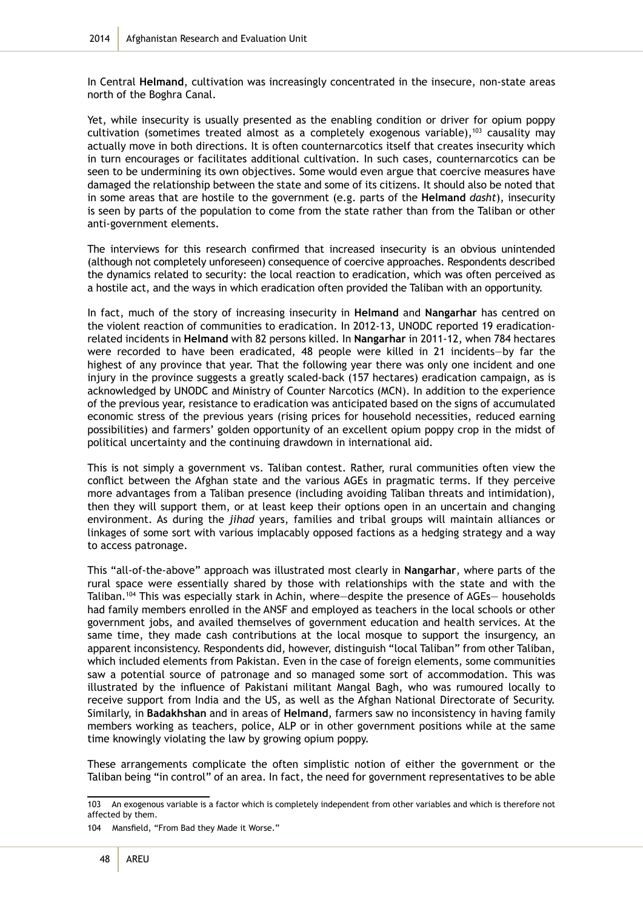In Central **Helmand**, cultivation was increasingly concentrated in the insecure, non-state areas north of the Boghra Canal.

Yet, while insecurity is usually presented as the enabling condition or driver for opium poppy cultivation (sometimes treated almost as a completely exogenous variable), $103$  causality may actually move in both directions. It is often counternarcotics itself that creates insecurity which in turn encourages or facilitates additional cultivation. In such cases, counternarcotics can be seen to be undermining its own objectives. Some would even argue that coercive measures have damaged the relationship between the state and some of its citizens. It should also be noted that in some areas that are hostile to the government (e.g. parts of the **Helmand** *dasht*), insecurity is seen by parts of the population to come from the state rather than from the Taliban or other anti-government elements.

The interviews for this research confirmed that increased insecurity is an obvious unintended (although not completely unforeseen) consequence of coercive approaches. Respondents described the dynamics related to security: the local reaction to eradication, which was often perceived as a hostile act, and the ways in which eradication often provided the Taliban with an opportunity.

In fact, much of the story of increasing insecurity in **Helmand** and **Nangarhar** has centred on the violent reaction of communities to eradication. In 2012-13, UNODC reported 19 eradicationrelated incidents in **Helmand** with 82 persons killed. In **Nangarhar** in 2011-12, when 784 hectares were recorded to have been eradicated, 48 people were killed in 21 incidents—by far the highest of any province that year. That the following year there was only one incident and one injury in the province suggests a greatly scaled-back (157 hectares) eradication campaign, as is acknowledged by UNODC and Ministry of Counter Narcotics (MCN). In addition to the experience of the previous year, resistance to eradication was anticipated based on the signs of accumulated economic stress of the previous years (rising prices for household necessities, reduced earning possibilities) and farmers' golden opportunity of an excellent opium poppy crop in the midst of political uncertainty and the continuing drawdown in international aid.

This is not simply a government vs. Taliban contest. Rather, rural communities often view the conflict between the Afghan state and the various AGEs in pragmatic terms. If they perceive more advantages from a Taliban presence (including avoiding Taliban threats and intimidation), then they will support them, or at least keep their options open in an uncertain and changing environment. As during the *jihad* years, families and tribal groups will maintain alliances or linkages of some sort with various implacably opposed factions as a hedging strategy and a way to access patronage.

This "all-of-the-above" approach was illustrated most clearly in **Nangarhar**, where parts of the rural space were essentially shared by those with relationships with the state and with the Taliban.<sup>104</sup> This was especially stark in Achin, where—despite the presence of AGEs— households had family members enrolled in the ANSF and employed as teachers in the local schools or other government jobs, and availed themselves of government education and health services. At the same time, they made cash contributions at the local mosque to support the insurgency, an apparent inconsistency. Respondents did, however, distinguish "local Taliban" from other Taliban, which included elements from Pakistan. Even in the case of foreign elements, some communities saw a potential source of patronage and so managed some sort of accommodation. This was illustrated by the influence of Pakistani militant Mangal Bagh, who was rumoured locally to receive support from India and the US, as well as the Afghan National Directorate of Security. Similarly, in **Badakhshan** and in areas of **Helmand**, farmers saw no inconsistency in having family members working as teachers, police, ALP or in other government positions while at the same time knowingly violating the law by growing opium poppy.

These arrangements complicate the often simplistic notion of either the government or the Taliban being "in control" of an area. In fact, the need for government representatives to be able

<sup>103</sup> An exogenous variable is a factor which is completely independent from other variables and which is therefore not affected by them.

<sup>104</sup> Mansfield, "From Bad they Made it Worse."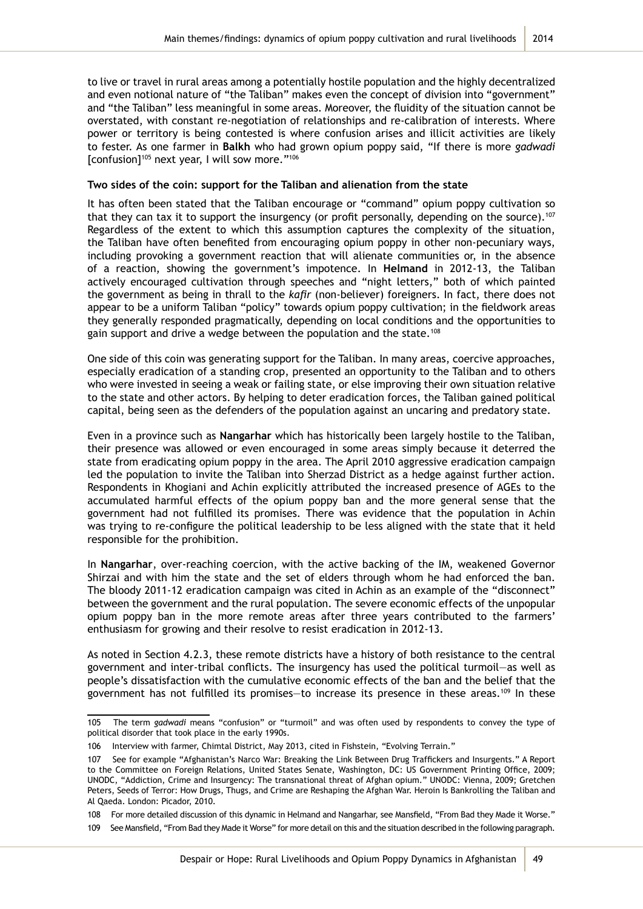to live or travel in rural areas among a potentially hostile population and the highly decentralized and even notional nature of "the Taliban" makes even the concept of division into "government" and "the Taliban" less meaningful in some areas. Moreover, the fluidity of the situation cannot be overstated, with constant re-negotiation of relationships and re-calibration of interests. Where power or territory is being contested is where confusion arises and illicit activities are likely to fester. As one farmer in **Balkh** who had grown opium poppy said, "If there is more *gadwadi* [confusion]105 next year, I will sow more."<sup>106</sup>

#### **Two sides of the coin: support for the Taliban and alienation from the state**

It has often been stated that the Taliban encourage or "command" opium poppy cultivation so that they can tax it to support the insurgency (or profit personally, depending on the source).<sup>107</sup> Regardless of the extent to which this assumption captures the complexity of the situation, the Taliban have often benefited from encouraging opium poppy in other non-pecuniary ways, including provoking a government reaction that will alienate communities or, in the absence of a reaction, showing the government's impotence. In **Helmand** in 2012-13, the Taliban actively encouraged cultivation through speeches and "night letters," both of which painted the government as being in thrall to the *kafir* (non-believer) foreigners. In fact, there does not appear to be a uniform Taliban "policy" towards opium poppy cultivation; in the fieldwork areas they generally responded pragmatically, depending on local conditions and the opportunities to gain support and drive a wedge between the population and the state.<sup>108</sup>

One side of this coin was generating support for the Taliban. In many areas, coercive approaches, especially eradication of a standing crop, presented an opportunity to the Taliban and to others who were invested in seeing a weak or failing state, or else improving their own situation relative to the state and other actors. By helping to deter eradication forces, the Taliban gained political capital, being seen as the defenders of the population against an uncaring and predatory state.

Even in a province such as **Nangarhar** which has historically been largely hostile to the Taliban, their presence was allowed or even encouraged in some areas simply because it deterred the state from eradicating opium poppy in the area. The April 2010 aggressive eradication campaign led the population to invite the Taliban into Sherzad District as a hedge against further action. Respondents in Khogiani and Achin explicitly attributed the increased presence of AGEs to the accumulated harmful effects of the opium poppy ban and the more general sense that the government had not fulfilled its promises. There was evidence that the population in Achin was trying to re-configure the political leadership to be less aligned with the state that it held responsible for the prohibition.

In **Nangarhar**, over-reaching coercion, with the active backing of the IM, weakened Governor Shirzai and with him the state and the set of elders through whom he had enforced the ban. The bloody 2011-12 eradication campaign was cited in Achin as an example of the "disconnect" between the government and the rural population. The severe economic effects of the unpopular opium poppy ban in the more remote areas after three years contributed to the farmers' enthusiasm for growing and their resolve to resist eradication in 2012-13.

As noted in Section 4.2.3, these remote districts have a history of both resistance to the central government and inter-tribal conflicts. The insurgency has used the political turmoil—as well as people's dissatisfaction with the cumulative economic effects of the ban and the belief that the government has not fulfilled its promises—to increase its presence in these areas.<sup>109</sup> In these

<sup>105</sup> The term *gadwadi* means "confusion" or "turmoil" and was often used by respondents to convey the type of political disorder that took place in the early 1990s.

<sup>106</sup> Interview with farmer, Chimtal District, May 2013, cited in Fishstein, "Evolving Terrain."

<sup>107</sup> See for example "Afghanistan's Narco War: Breaking the Link Between Drug Traffickers and Insurgents." A Report to the Committee on Foreign Relations, United States Senate, Washington, DC: US Government Printing Office, 2009; UNODC, "Addiction, Crime and Insurgency: The transnational threat of Afghan opium." UNODC: Vienna, 2009; Gretchen Peters, Seeds of Terror: How Drugs, Thugs, and Crime are Reshaping the Afghan War. Heroin Is Bankrolling the Taliban and Al Qaeda. London: Picador, 2010.

<sup>108</sup> For more detailed discussion of this dynamic in Helmand and Nangarhar, see Mansfield, "From Bad they Made it Worse."

<sup>109</sup> See Mansfield, "From Bad they Made it Worse" for more detail on this and the situation described in the following paragraph.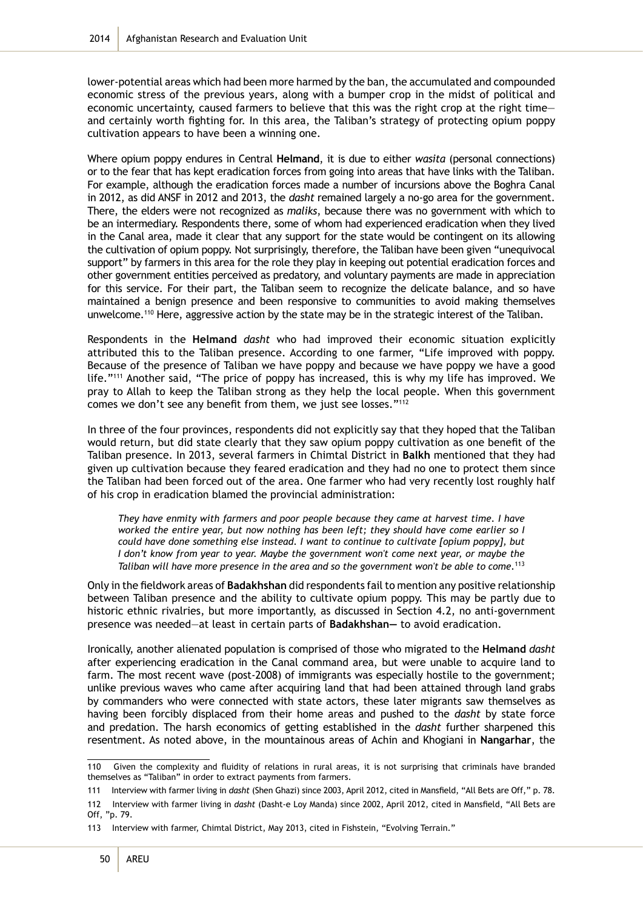lower-potential areas which had been more harmed by the ban, the accumulated and compounded economic stress of the previous years, along with a bumper crop in the midst of political and economic uncertainty, caused farmers to believe that this was the right crop at the right time and certainly worth fighting for. In this area, the Taliban's strategy of protecting opium poppy cultivation appears to have been a winning one.

Where opium poppy endures in Central **Helmand**, it is due to either *wasita* (personal connections) or to the fear that has kept eradication forces from going into areas that have links with the Taliban. For example, although the eradication forces made a number of incursions above the Boghra Canal in 2012, as did ANSF in 2012 and 2013, the *dasht* remained largely a no-go area for the government. There, the elders were not recognized as *maliks*, because there was no government with which to be an intermediary. Respondents there, some of whom had experienced eradication when they lived in the Canal area, made it clear that any support for the state would be contingent on its allowing the cultivation of opium poppy. Not surprisingly, therefore, the Taliban have been given "unequivocal support" by farmers in this area for the role they play in keeping out potential eradication forces and other government entities perceived as predatory, and voluntary payments are made in appreciation for this service. For their part, the Taliban seem to recognize the delicate balance, and so have maintained a benign presence and been responsive to communities to avoid making themselves unwelcome.110 Here, aggressive action by the state may be in the strategic interest of the Taliban.

Respondents in the **Helmand** *dasht* who had improved their economic situation explicitly attributed this to the Taliban presence. According to one farmer, "Life improved with poppy. Because of the presence of Taliban we have poppy and because we have poppy we have a good life."<sup>111</sup> Another said, "The price of poppy has increased, this is why my life has improved. We pray to Allah to keep the Taliban strong as they help the local people. When this government comes we don't see any benefit from them, we just see losses."112

In three of the four provinces, respondents did not explicitly say that they hoped that the Taliban would return, but did state clearly that they saw opium poppy cultivation as one benefit of the Taliban presence. In 2013, several farmers in Chimtal District in **Balkh** mentioned that they had given up cultivation because they feared eradication and they had no one to protect them since the Taliban had been forced out of the area. One farmer who had very recently lost roughly half of his crop in eradication blamed the provincial administration:

*They have enmity with farmers and poor people because they came at harvest time. I have worked the entire year, but now nothing has been left; they should have come earlier so I could have done something else instead. I want to continue to cultivate [opium poppy], but I don't know from year to year. Maybe the government won't come next year, or maybe the Taliban will have more presence in the area and so the government won't be able to come.*<sup>113</sup>

Only in the fieldwork areas of **Badakhshan** did respondents fail to mention any positive relationship between Taliban presence and the ability to cultivate opium poppy. This may be partly due to historic ethnic rivalries, but more importantly, as discussed in Section 4.2, no anti-government presence was needed—at least in certain parts of **Badakhshan—** to avoid eradication.

Ironically, another alienated population is comprised of those who migrated to the **Helmand** *dasht* after experiencing eradication in the Canal command area, but were unable to acquire land to farm. The most recent wave (post-2008) of immigrants was especially hostile to the government; unlike previous waves who came after acquiring land that had been attained through land grabs by commanders who were connected with state actors, these later migrants saw themselves as having been forcibly displaced from their home areas and pushed to the *dasht* by state force and predation. The harsh economics of getting established in the *dasht* further sharpened this resentment. As noted above, in the mountainous areas of Achin and Khogiani in **Nangarhar**, the

<sup>110</sup> Given the complexity and fluidity of relations in rural areas, it is not surprising that criminals have branded themselves as "Taliban" in order to extract payments from farmers.

<sup>111</sup> Interview with farmer living in *dasht* (Shen Ghazi) since 2003, April 2012, cited in Mansfield, "All Bets are Off," p. 78.

<sup>112</sup> Interview with farmer living in *dasht* (Dasht-e Loy Manda) since 2002, April 2012, cited in Mansfield, "All Bets are Off, "p. 79.

<sup>113</sup> Interview with farmer, Chimtal District, May 2013, cited in Fishstein, "Evolving Terrain."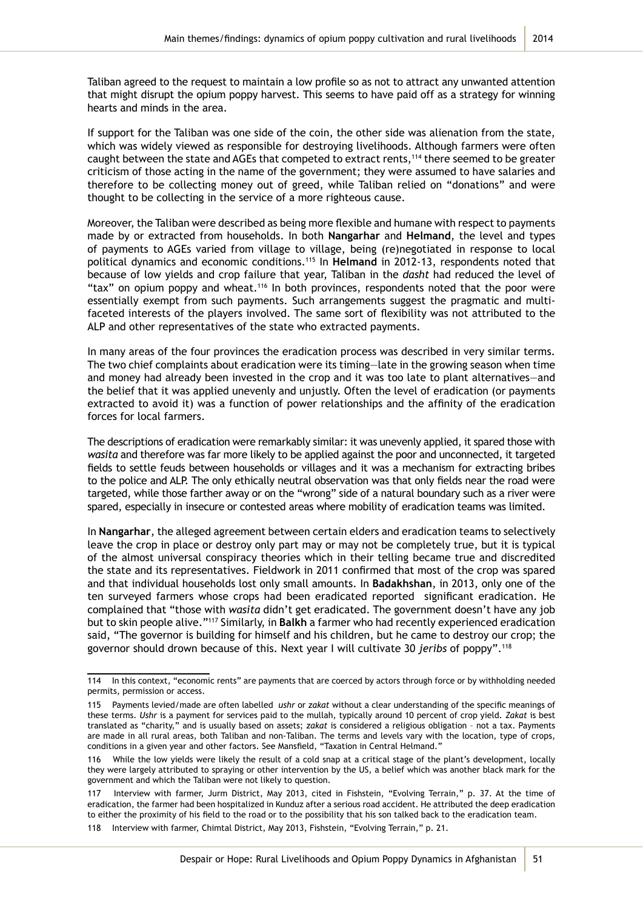Taliban agreed to the request to maintain a low profile so as not to attract any unwanted attention that might disrupt the opium poppy harvest. This seems to have paid off as a strategy for winning hearts and minds in the area.

If support for the Taliban was one side of the coin, the other side was alienation from the state, which was widely viewed as responsible for destroying livelihoods. Although farmers were often caught between the state and AGEs that competed to extract rents,<sup>114</sup> there seemed to be greater criticism of those acting in the name of the government; they were assumed to have salaries and therefore to be collecting money out of greed, while Taliban relied on "donations" and were thought to be collecting in the service of a more righteous cause.

Moreover, the Taliban were described as being more flexible and humane with respect to payments made by or extracted from households. In both **Nangarhar** and **Helmand**, the level and types of payments to AGEs varied from village to village, being (re)negotiated in response to local political dynamics and economic conditions.115 In **Helmand** in 2012-13, respondents noted that because of low yields and crop failure that year, Taliban in the *dasht* had reduced the level of "tax" on opium poppy and wheat.<sup>116</sup> In both provinces, respondents noted that the poor were essentially exempt from such payments. Such arrangements suggest the pragmatic and multifaceted interests of the players involved. The same sort of flexibility was not attributed to the ALP and other representatives of the state who extracted payments.

In many areas of the four provinces the eradication process was described in very similar terms. The two chief complaints about eradication were its timing—late in the growing season when time and money had already been invested in the crop and it was too late to plant alternatives—and the belief that it was applied unevenly and unjustly. Often the level of eradication (or payments extracted to avoid it) was a function of power relationships and the affinity of the eradication forces for local farmers.

The descriptions of eradication were remarkably similar: it was unevenly applied, it spared those with *wasita* and therefore was far more likely to be applied against the poor and unconnected, it targeted fields to settle feuds between households or villages and it was a mechanism for extracting bribes to the police and ALP. The only ethically neutral observation was that only fields near the road were targeted, while those farther away or on the "wrong" side of a natural boundary such as a river were spared, especially in insecure or contested areas where mobility of eradication teams was limited.

In **Nangarhar**, the alleged agreement between certain elders and eradication teams to selectively leave the crop in place or destroy only part may or may not be completely true, but it is typical of the almost universal conspiracy theories which in their telling became true and discredited the state and its representatives. Fieldwork in 2011 confirmed that most of the crop was spared and that individual households lost only small amounts. In **Badakhshan**, in 2013, only one of the ten surveyed farmers whose crops had been eradicated reported significant eradication. He complained that "those with *wasita* didn't get eradicated. The government doesn't have any job but to skin people alive."<sup>117</sup> Similarly, in **Balkh** a farmer who had recently experienced eradication said, "The governor is building for himself and his children, but he came to destroy our crop; the governor should drown because of this. Next year I will cultivate 30 *jeribs* of poppy".<sup>118</sup>

<sup>114</sup> In this context, "economic rents" are payments that are coerced by actors through force or by withholding needed permits, permission or access.

<sup>115</sup> Payments levied/made are often labelled *ushr* or *zakat* without a clear understanding of the specific meanings of these terms. *Ushr* is a payment for services paid to the mullah, typically around 10 percent of crop yield. *Zakat* is best translated as "charity," and is usually based on assets; *zakat* is considered a religious obligation – not a tax. Payments are made in all rural areas, both Taliban and non-Taliban. The terms and levels vary with the location, type of crops, conditions in a given year and other factors. See Mansfield, "Taxation in Central Helmand."

<sup>116</sup> While the low yields were likely the result of a cold snap at a critical stage of the plant's development, locally they were largely attributed to spraying or other intervention by the US, a belief which was another black mark for the government and which the Taliban were not likely to question.

Interview with farmer, Jurm District, May 2013, cited in Fishstein, "Evolving Terrain," p. 37. At the time of eradication, the farmer had been hospitalized in Kunduz after a serious road accident. He attributed the deep eradication to either the proximity of his field to the road or to the possibility that his son talked back to the eradication team.

<sup>118</sup> Interview with farmer, Chimtal District, May 2013, Fishstein, "Evolving Terrain," p. 21.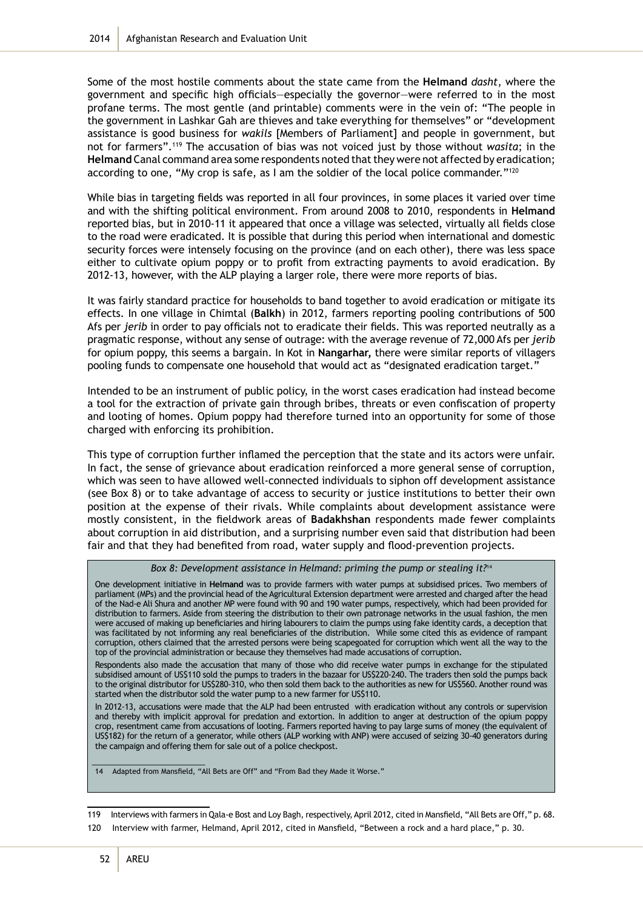Some of the most hostile comments about the state came from the **Helmand** *dasht*, where the government and specific high officials—especially the governor—were referred to in the most profane terms. The most gentle (and printable) comments were in the vein of: "The people in the government in Lashkar Gah are thieves and take everything for themselves" or "development assistance is good business for *wakils* [Members of Parliament] and people in government, but not for farmers".<sup>119</sup> The accusation of bias was not voiced just by those without *wasita*; in the **Helmand** Canal command area some respondents noted that they were not affected by eradication; according to one, "My crop is safe, as I am the soldier of the local police commander."<sup>120</sup>

While bias in targeting fields was reported in all four provinces, in some places it varied over time and with the shifting political environment. From around 2008 to 2010, respondents in **Helmand** reported bias, but in 2010-11 it appeared that once a village was selected, virtually all fields close to the road were eradicated. It is possible that during this period when international and domestic security forces were intensely focusing on the province (and on each other), there was less space either to cultivate opium poppy or to profit from extracting payments to avoid eradication. By 2012-13, however, with the ALP playing a larger role, there were more reports of bias.

It was fairly standard practice for households to band together to avoid eradication or mitigate its effects. In one village in Chimtal (**Balkh**) in 2012, farmers reporting pooling contributions of 500 Afs per *jerib* in order to pay officials not to eradicate their fields. This was reported neutrally as a pragmatic response, without any sense of outrage: with the average revenue of 72,000 Afs per *jerib* for opium poppy, this seems a bargain. In Kot in **Nangarhar,** there were similar reports of villagers pooling funds to compensate one household that would act as "designated eradication target."

Intended to be an instrument of public policy, in the worst cases eradication had instead become a tool for the extraction of private gain through bribes, threats or even confiscation of property and looting of homes. Opium poppy had therefore turned into an opportunity for some of those charged with enforcing its prohibition.

This type of corruption further inflamed the perception that the state and its actors were unfair. In fact, the sense of grievance about eradication reinforced a more general sense of corruption, which was seen to have allowed well-connected individuals to siphon off development assistance (see Box 8) or to take advantage of access to security or justice institutions to better their own position at the expense of their rivals. While complaints about development assistance were mostly consistent, in the fieldwork areas of **Badakhshan** respondents made fewer complaints about corruption in aid distribution, and a surprising number even said that distribution had been fair and that they had benefited from road, water supply and flood-prevention projects.

#### *Box 8: Development assistance in Helmand: priming the pump or stealing it?*<sup>14</sup>

One development initiative in **Helmand** was to provide farmers with water pumps at subsidised prices. Two members of parliament (MPs) and the provincial head of the Agricultural Extension department were arrested and charged after the head of the Nad-e Ali Shura and another MP were found with 90 and 190 water pumps, respectively, which had been provided for distribution to farmers. Aside from steering the distribution to their own patronage networks in the usual fashion, the men were accused of making up beneficiaries and hiring labourers to claim the pumps using fake identity cards, a deception that was facilitated by not informing any real beneficiaries of the distribution. While some cited this as evidence of rampant corruption, others claimed that the arrested persons were being scapegoated for corruption which went all the way to the top of the provincial administration or because they themselves had made accusations of corruption.

Respondents also made the accusation that many of those who did receive water pumps in exchange for the stipulated subsidised amount of US\$110 sold the pumps to traders in the bazaar for US\$220-240. The traders then sold the pumps back to the original distributor for US\$280-310, who then sold them back to the authorities as new for US\$560. Another round was started when the distributor sold the water pump to a new farmer for US\$110.

In 2012-13, accusations were made that the ALP had been entrusted with eradication without any controls or supervision and thereby with implicit approval for predation and extortion. In addition to anger at destruction of the opium poppy crop, resentment came from accusations of looting. Farmers reported having to pay large sums of money (the equivalent of US\$182) for the return of a generator, while others (ALP working with ANP) were accused of seizing 30-40 generators during the campaign and offering them for sale out of a police checkpost.

14 Adapted from Mansfield, "All Bets are Off" and "From Bad they Made it Worse."

119 Interviews with farmers in Qala-e Bost and Loy Bagh, respectively, April 2012, cited in Mansfield, "All Bets are Off," p. 68.

120 Interview with farmer, Helmand, April 2012, cited in Mansfield, "Between a rock and a hard place," p. 30.

\_\_\_\_\_\_\_\_\_\_\_\_\_\_\_\_\_\_\_\_\_\_\_\_\_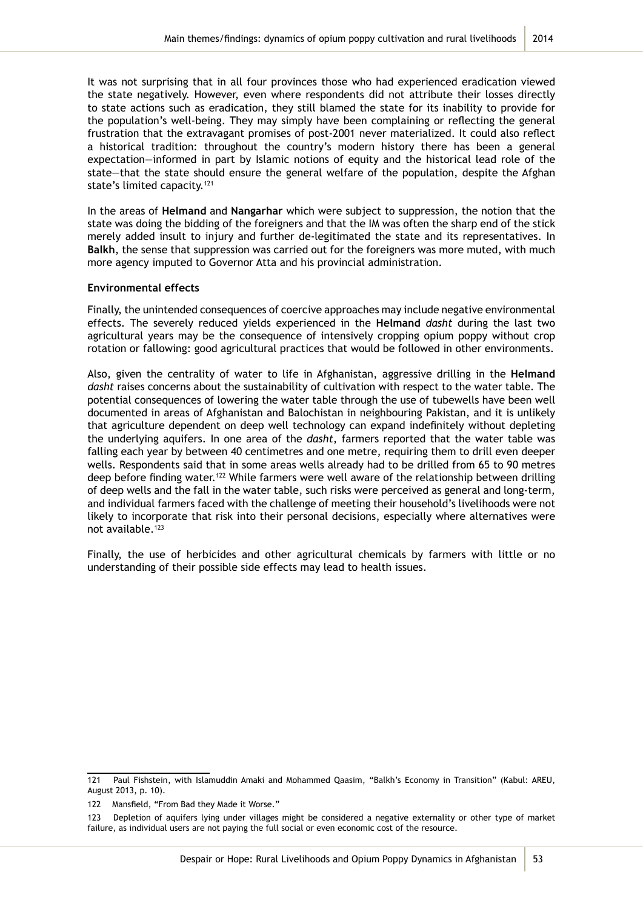It was not surprising that in all four provinces those who had experienced eradication viewed the state negatively. However, even where respondents did not attribute their losses directly to state actions such as eradication, they still blamed the state for its inability to provide for the population's well-being. They may simply have been complaining or reflecting the general frustration that the extravagant promises of post-2001 never materialized. It could also reflect a historical tradition: throughout the country's modern history there has been a general expectation—informed in part by Islamic notions of equity and the historical lead role of the state—that the state should ensure the general welfare of the population, despite the Afghan state's limited capacity.<sup>121</sup>

In the areas of **Helmand** and **Nangarhar** which were subject to suppression, the notion that the state was doing the bidding of the foreigners and that the IM was often the sharp end of the stick merely added insult to injury and further de-legitimated the state and its representatives. In **Balkh**, the sense that suppression was carried out for the foreigners was more muted, with much more agency imputed to Governor Atta and his provincial administration.

#### **Environmental effects**

Finally, the unintended consequences of coercive approaches may include negative environmental effects. The severely reduced yields experienced in the **Helmand** *dasht* during the last two agricultural years may be the consequence of intensively cropping opium poppy without crop rotation or fallowing: good agricultural practices that would be followed in other environments.

Also, given the centrality of water to life in Afghanistan, aggressive drilling in the **Helmand** *dasht* raises concerns about the sustainability of cultivation with respect to the water table. The potential consequences of lowering the water table through the use of tubewells have been well documented in areas of Afghanistan and Balochistan in neighbouring Pakistan, and it is unlikely that agriculture dependent on deep well technology can expand indefinitely without depleting the underlying aquifers. In one area of the *dasht*, farmers reported that the water table was falling each year by between 40 centimetres and one metre, requiring them to drill even deeper wells. Respondents said that in some areas wells already had to be drilled from 65 to 90 metres deep before finding water.<sup>122</sup> While farmers were well aware of the relationship between drilling of deep wells and the fall in the water table, such risks were perceived as general and long-term, and individual farmers faced with the challenge of meeting their household's livelihoods were not likely to incorporate that risk into their personal decisions, especially where alternatives were not available.<sup>123</sup>

Finally, the use of herbicides and other agricultural chemicals by farmers with little or no understanding of their possible side effects may lead to health issues.

<sup>121</sup> Paul Fishstein, with Islamuddin Amaki and Mohammed Qaasim, "Balkh's Economy in Transition" (Kabul: AREU, August 2013, p. 10).

<sup>122</sup> Mansfield, "From Bad they Made it Worse."

<sup>123</sup> Depletion of aquifers lying under villages might be considered a negative externality or other type of market failure, as individual users are not paying the full social or even economic cost of the resource.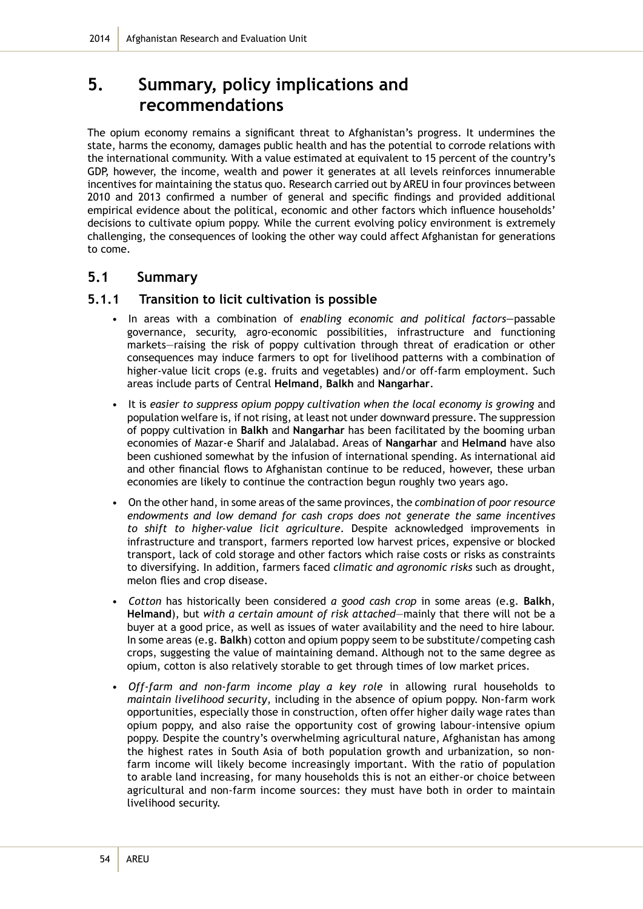# **5. Summary, policy implications and recommendations**

The opium economy remains a significant threat to Afghanistan's progress. It undermines the state, harms the economy, damages public health and has the potential to corrode relations with the international community. With a value estimated at equivalent to 15 percent of the country's GDP, however, the income, wealth and power it generates at all levels reinforces innumerable incentives for maintaining the status quo. Research carried out by AREU in four provinces between 2010 and 2013 confirmed a number of general and specific findings and provided additional empirical evidence about the political, economic and other factors which influence households' decisions to cultivate opium poppy. While the current evolving policy environment is extremely challenging, the consequences of looking the other way could affect Afghanistan for generations to come.

# **5.1 Summary**

### **5.1.1 Transition to licit cultivation is possible**

- In areas with a combination of *enabling economic and political factors—*passable governance, security, agro-economic possibilities, infrastructure and functioning markets—raising the risk of poppy cultivation through threat of eradication or other consequences may induce farmers to opt for livelihood patterns with a combination of higher-value licit crops (e.g. fruits and vegetables) and/or off-farm employment. Such areas include parts of Central **Helmand**, **Balkh** and **Nangarhar**.
- It is *easier to suppress opium poppy cultivation when the local economy is growing* and population welfare is, if not rising, at least not under downward pressure. The suppression of poppy cultivation in **Balkh** and **Nangarhar** has been facilitated by the booming urban economies of Mazar-e Sharif and Jalalabad. Areas of **Nangarhar** and **Helmand** have also been cushioned somewhat by the infusion of international spending. As international aid and other financial flows to Afghanistan continue to be reduced, however, these urban economies are likely to continue the contraction begun roughly two years ago.
- On the other hand, in some areas of the same provinces, the *combination o*f *poor resource endowments and low demand for cash crops does not generate the same incentives to shift to higher-value licit agriculture*. Despite acknowledged improvements in infrastructure and transport, farmers reported low harvest prices, expensive or blocked transport, lack of cold storage and other factors which raise costs or risks as constraints to diversifying. In addition, farmers faced *climatic and agronomic risks* such as drought, melon flies and crop disease.
- *• Cotton* has historically been considered *a good cash crop* in some areas (e.g. **Balkh**, **Helmand**), but *with a certain amount of risk attached*—mainly that there will not be a buyer at a good price, as well as issues of water availability and the need to hire labour. In some areas (e.g. **Balkh**) cotton and opium poppy seem to be substitute/competing cash crops, suggesting the value of maintaining demand. Although not to the same degree as opium, cotton is also relatively storable to get through times of low market prices.
- *• Off-farm and non-farm income play a key role* in allowing rural households to *maintain livelihood security*, including in the absence of opium poppy. Non-farm work opportunities, especially those in construction, often offer higher daily wage rates than opium poppy, and also raise the opportunity cost of growing labour-intensive opium poppy. Despite the country's overwhelming agricultural nature, Afghanistan has among the highest rates in South Asia of both population growth and urbanization, so nonfarm income will likely become increasingly important. With the ratio of population to arable land increasing, for many households this is not an either-or choice between agricultural and non-farm income sources: they must have both in order to maintain livelihood security.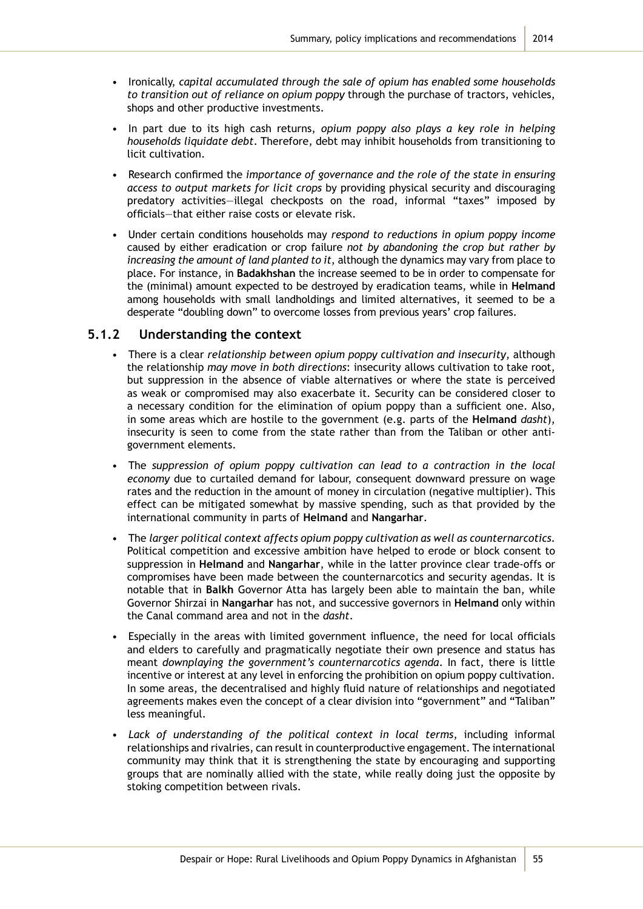- Ironically, *capital accumulated through the sale of opium has enabled some households to transition out of reliance on opium poppy* through the purchase of tractors, vehicles, shops and other productive investments.
- In part due to its high cash returns, *opium poppy also plays a key role in helping households liquidate debt*. Therefore, debt may inhibit households from transitioning to licit cultivation.
- Research confirmed the *importance of governance and the role of the state in ensuring access to output markets for licit crops* by providing physical security and discouraging predatory activities—illegal checkposts on the road, informal "taxes" imposed by officials—that either raise costs or elevate risk.
- Under certain conditions households may *respond to reductions in opium poppy income*  caused by either eradication or crop failure *not by abandoning the crop but rather by increasing the amount of land planted to it*, although the dynamics may vary from place to place. For instance, in **Badakhshan** the increase seemed to be in order to compensate for the (minimal) amount expected to be destroyed by eradication teams, while in **Helmand** among households with small landholdings and limited alternatives, it seemed to be a desperate "doubling down" to overcome losses from previous years' crop failures.

### **5.1.2 Understanding the context**

- There is a clear *relationship between opium poppy cultivation and insecurity*, although the relationship *may move in both directions*: insecurity allows cultivation to take root, but suppression in the absence of viable alternatives or where the state is perceived as weak or compromised may also exacerbate it. Security can be considered closer to a necessary condition for the elimination of opium poppy than a sufficient one. Also, in some areas which are hostile to the government (e.g. parts of the **Helmand** *dasht*), insecurity is seen to come from the state rather than from the Taliban or other antigovernment elements.
- The *suppression of opium poppy cultivation can lead to a contraction in the local economy* due to curtailed demand for labour, consequent downward pressure on wage rates and the reduction in the amount of money in circulation (negative multiplier). This effect can be mitigated somewhat by massive spending, such as that provided by the international community in parts of **Helmand** and **Nangarhar**.
- The *larger political context affects opium poppy cultivation as well as counternarcotics*. Political competition and excessive ambition have helped to erode or block consent to suppression in **Helmand** and **Nangarhar**, while in the latter province clear trade-offs or compromises have been made between the counternarcotics and security agendas. It is notable that in **Balkh** Governor Atta has largely been able to maintain the ban, while Governor Shirzai in **Nangarhar** has not, and successive governors in **Helmand** only within the Canal command area and not in the *dasht*.
- Especially in the areas with limited government influence, the need for local officials and elders to carefully and pragmatically negotiate their own presence and status has meant *downplaying the government's counternarcotics agenda*. In fact, there is little incentive or interest at any level in enforcing the prohibition on opium poppy cultivation. In some areas, the decentralised and highly fluid nature of relationships and negotiated agreements makes even the concept of a clear division into "government" and "Taliban" less meaningful.
- *• Lack of understanding of the political context in local terms*, including informal relationships and rivalries, can result in counterproductive engagement. The international community may think that it is strengthening the state by encouraging and supporting groups that are nominally allied with the state, while really doing just the opposite by stoking competition between rivals.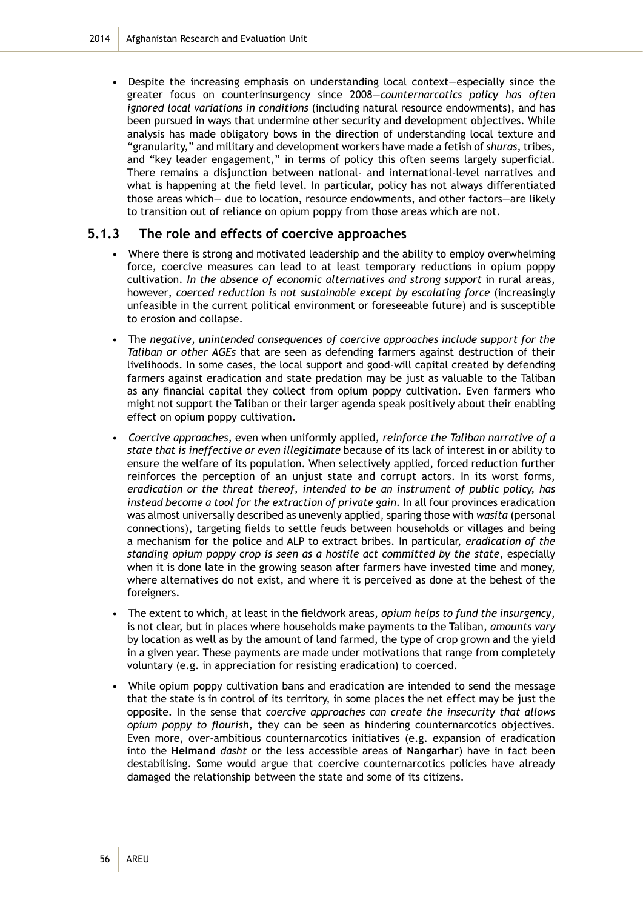• Despite the increasing emphasis on understanding local context—especially since the greater focus on counterinsurgency since 2008—*counternarcotics policy has often ignored local variations in conditions* (including natural resource endowments), and has been pursued in ways that undermine other security and development objectives. While analysis has made obligatory bows in the direction of understanding local texture and "granularity," and military and development workers have made a fetish of *shuras*, tribes, and "key leader engagement," in terms of policy this often seems largely superficial. There remains a disjunction between national- and international-level narratives and what is happening at the field level. In particular, policy has not always differentiated those areas which— due to location, resource endowments, and other factors—are likely to transition out of reliance on opium poppy from those areas which are not.

### **5.1.3 The role and effects of coercive approaches**

- Where there is strong and motivated leadership and the ability to employ overwhelming force, coercive measures can lead to at least temporary reductions in opium poppy cultivation. *In the absence of economic alternatives and strong support* in rural areas, however*, coerced reduction is not sustainable except by escalating force* (increasingly unfeasible in the current political environment or foreseeable future) and is susceptible to erosion and collapse.
- The *negative, unintended consequences of coercive approaches include support for the Taliban or other AGEs* that are seen as defending farmers against destruction of their livelihoods. In some cases, the local support and good-will capital created by defending farmers against eradication and state predation may be just as valuable to the Taliban as any financial capital they collect from opium poppy cultivation. Even farmers who might not support the Taliban or their larger agenda speak positively about their enabling effect on opium poppy cultivation.
- *• Coercive approaches*, even when uniformly applied, *reinforce the Taliban narrative of a state that is ineffective or even illegitimate* because of its lack of interest in or ability to ensure the welfare of its population. When selectively applied, forced reduction further reinforces the perception of an unjust state and corrupt actors. In its worst forms, *eradication or the threat thereof, intended to be an instrument of public policy, has instead become a tool for the extraction of private gain*. In all four provinces eradication was almost universally described as unevenly applied, sparing those with *wasita* (personal connections), targeting fields to settle feuds between households or villages and being a mechanism for the police and ALP to extract bribes. In particular, *eradication of the standing opium poppy crop is seen as a hostile act committed by the state*, especially when it is done late in the growing season after farmers have invested time and money, where alternatives do not exist, and where it is perceived as done at the behest of the foreigners.
- The extent to which, at least in the fieldwork areas, *opium helps to fund the insurgency*, is not clear, but in places where households make payments to the Taliban, *amounts vary* by location as well as by the amount of land farmed, the type of crop grown and the yield in a given year. These payments are made under motivations that range from completely voluntary (e.g. in appreciation for resisting eradication) to coerced.
- While opium poppy cultivation bans and eradication are intended to send the message that the state is in control of its territory, in some places the net effect may be just the opposite. In the sense that *coercive approaches can create the insecurity that allows opium poppy to flourish*, they can be seen as hindering counternarcotics objectives. Even more, over-ambitious counternarcotics initiatives (e.g. expansion of eradication into the **Helmand** *dasht* or the less accessible areas of **Nangarhar**) have in fact been destabilising. Some would argue that coercive counternarcotics policies have already damaged the relationship between the state and some of its citizens.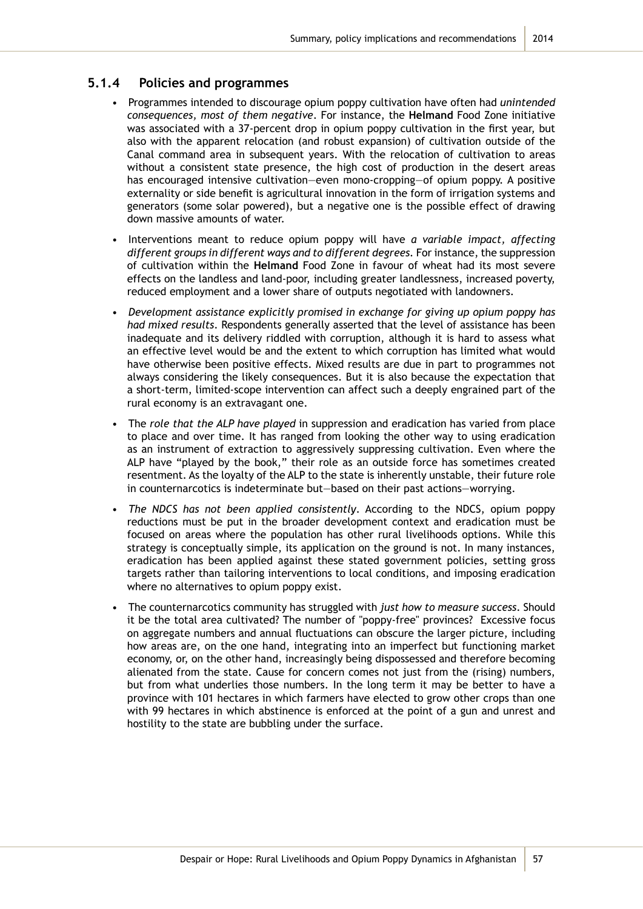### **5.1.4 Policies and programmes**

- Programmes intended to discourage opium poppy cultivation have often had *unintended consequences, most of them negative*. For instance, the **Helmand** Food Zone initiative was associated with a 37-percent drop in opium poppy cultivation in the first year, but also with the apparent relocation (and robust expansion) of cultivation outside of the Canal command area in subsequent years. With the relocation of cultivation to areas without a consistent state presence, the high cost of production in the desert areas has encouraged intensive cultivation—even mono-cropping—of opium poppy. A positive externality or side benefit is agricultural innovation in the form of irrigation systems and generators (some solar powered), but a negative one is the possible effect of drawing down massive amounts of water.
- Interventions meant to reduce opium poppy will have *a variable impact, affecting different groups in different ways and to different degrees.* For instance, the suppression of cultivation within the **Helmand** Food Zone in favour of wheat had its most severe effects on the landless and land-poor, including greater landlessness, increased poverty, reduced employment and a lower share of outputs negotiated with landowners.
- *• Development assistance explicitly promised in exchange for giving up opium poppy has had mixed results*. Respondents generally asserted that the level of assistance has been inadequate and its delivery riddled with corruption, although it is hard to assess what an effective level would be and the extent to which corruption has limited what would have otherwise been positive effects. Mixed results are due in part to programmes not always considering the likely consequences. But it is also because the expectation that a short-term, limited-scope intervention can affect such a deeply engrained part of the rural economy is an extravagant one.
- The *role that the ALP have played* in suppression and eradication has varied from place to place and over time. It has ranged from looking the other way to using eradication as an instrument of extraction to aggressively suppressing cultivation. Even where the ALP have "played by the book," their role as an outside force has sometimes created resentment. As the loyalty of the ALP to the state is inherently unstable, their future role in counternarcotics is indeterminate but—based on their past actions—worrying.
- *• The NDCS has not been applied consistently*. According to the NDCS, opium poppy reductions must be put in the broader development context and eradication must be focused on areas where the population has other rural livelihoods options. While this strategy is conceptually simple, its application on the ground is not. In many instances, eradication has been applied against these stated government policies, setting gross targets rather than tailoring interventions to local conditions, and imposing eradication where no alternatives to opium poppy exist.
- The counternarcotics community has struggled with *just how to measure success*. Should it be the total area cultivated? The number of "poppy-free" provinces? Excessive focus on aggregate numbers and annual fluctuations can obscure the larger picture, including how areas are, on the one hand, integrating into an imperfect but functioning market economy, or, on the other hand, increasingly being dispossessed and therefore becoming alienated from the state. Cause for concern comes not just from the (rising) numbers, but from what underlies those numbers. In the long term it may be better to have a province with 101 hectares in which farmers have elected to grow other crops than one with 99 hectares in which abstinence is enforced at the point of a gun and unrest and hostility to the state are bubbling under the surface.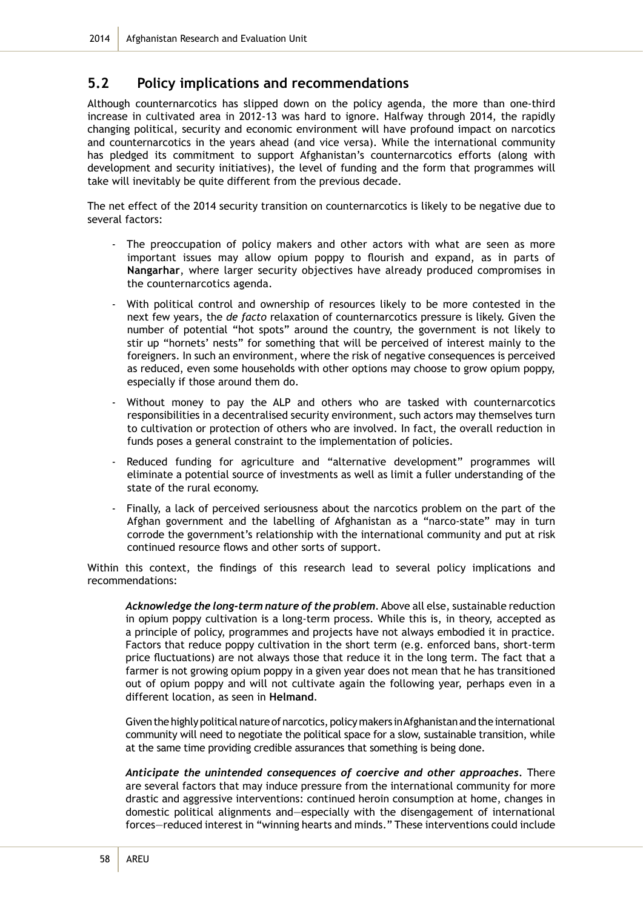# **5.2 Policy implications and recommendations**

Although counternarcotics has slipped down on the policy agenda, the more than one-third increase in cultivated area in 2012-13 was hard to ignore. Halfway through 2014, the rapidly changing political, security and economic environment will have profound impact on narcotics and counternarcotics in the years ahead (and vice versa). While the international community has pledged its commitment to support Afghanistan's counternarcotics efforts (along with development and security initiatives), the level of funding and the form that programmes will take will inevitably be quite different from the previous decade.

The net effect of the 2014 security transition on counternarcotics is likely to be negative due to several factors:

- The preoccupation of policy makers and other actors with what are seen as more important issues may allow opium poppy to flourish and expand, as in parts of **Nangarhar**, where larger security objectives have already produced compromises in the counternarcotics agenda.
- With political control and ownership of resources likely to be more contested in the next few years, the *de facto* relaxation of counternarcotics pressure is likely. Given the number of potential "hot spots" around the country, the government is not likely to stir up "hornets' nests" for something that will be perceived of interest mainly to the foreigners. In such an environment, where the risk of negative consequences is perceived as reduced, even some households with other options may choose to grow opium poppy, especially if those around them do.
- Without money to pay the ALP and others who are tasked with counternarcotics responsibilities in a decentralised security environment, such actors may themselves turn to cultivation or protection of others who are involved. In fact, the overall reduction in funds poses a general constraint to the implementation of policies.
- Reduced funding for agriculture and "alternative development" programmes will eliminate a potential source of investments as well as limit a fuller understanding of the state of the rural economy.
- Finally, a lack of perceived seriousness about the narcotics problem on the part of the Afghan government and the labelling of Afghanistan as a "narco-state" may in turn corrode the government's relationship with the international community and put at risk continued resource flows and other sorts of support.

Within this context, the findings of this research lead to several policy implications and recommendations:

*Acknowledge the long-term nature of the problem*. Above all else, sustainable reduction in opium poppy cultivation is a long-term process. While this is, in theory, accepted as a principle of policy, programmes and projects have not always embodied it in practice. Factors that reduce poppy cultivation in the short term (e.g. enforced bans, short-term price fluctuations) are not always those that reduce it in the long term. The fact that a farmer is not growing opium poppy in a given year does not mean that he has transitioned out of opium poppy and will not cultivate again the following year, perhaps even in a different location, as seen in **Helmand**.

Given the highly political nature of narcotics, policy makers in Afghanistan and the international community will need to negotiate the political space for a slow, sustainable transition, while at the same time providing credible assurances that something is being done.

*Anticipate the unintended consequences of coercive and other approaches.* There are several factors that may induce pressure from the international community for more drastic and aggressive interventions: continued heroin consumption at home, changes in domestic political alignments and—especially with the disengagement of international forces—reduced interest in "winning hearts and minds." These interventions could include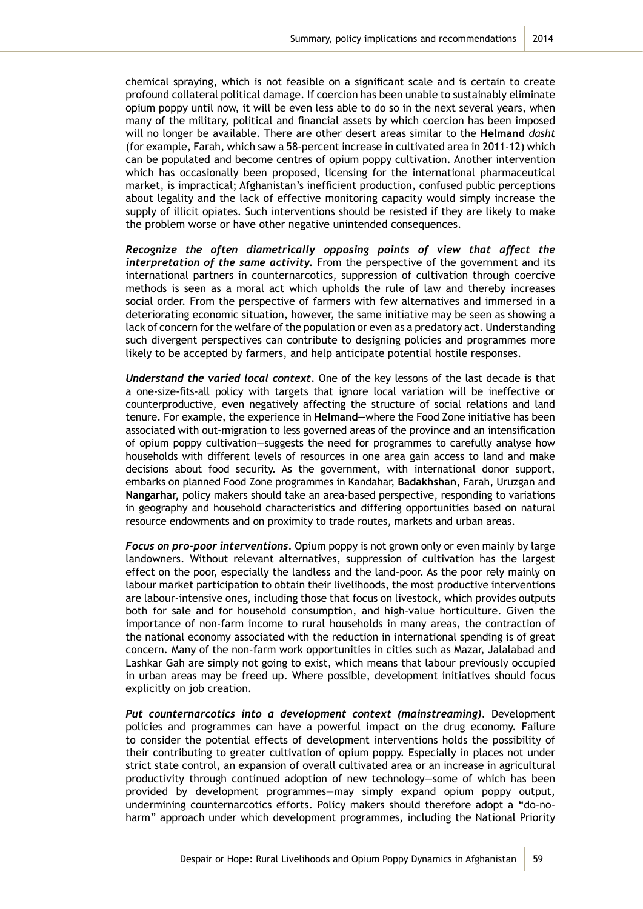chemical spraying, which is not feasible on a significant scale and is certain to create profound collateral political damage. If coercion has been unable to sustainably eliminate opium poppy until now, it will be even less able to do so in the next several years, when many of the military, political and financial assets by which coercion has been imposed will no longer be available. There are other desert areas similar to the **Helmand** *dasht* (for example, Farah, which saw a 58-percent increase in cultivated area in 2011-12) which can be populated and become centres of opium poppy cultivation. Another intervention which has occasionally been proposed, licensing for the international pharmaceutical market, is impractical; Afghanistan's inefficient production, confused public perceptions about legality and the lack of effective monitoring capacity would simply increase the supply of illicit opiates. Such interventions should be resisted if they are likely to make the problem worse or have other negative unintended consequences.

*Recognize the often diametrically opposing points of view that affect the interpretation of the same activity.* From the perspective of the government and its international partners in counternarcotics, suppression of cultivation through coercive methods is seen as a moral act which upholds the rule of law and thereby increases social order. From the perspective of farmers with few alternatives and immersed in a deteriorating economic situation, however, the same initiative may be seen as showing a lack of concern for the welfare of the population or even as a predatory act. Understanding such divergent perspectives can contribute to designing policies and programmes more likely to be accepted by farmers, and help anticipate potential hostile responses.

*Understand the varied local context.* One of the key lessons of the last decade is that a one-size-fits-all policy with targets that ignore local variation will be ineffective or counterproductive, even negatively affecting the structure of social relations and land tenure. For example, the experience in **Helmand—**where the Food Zone initiative has been associated with out-migration to less governed areas of the province and an intensification of opium poppy cultivation—suggests the need for programmes to carefully analyse how households with different levels of resources in one area gain access to land and make decisions about food security. As the government, with international donor support, embarks on planned Food Zone programmes in Kandahar, **Badakhshan**, Farah, Uruzgan and **Nangarhar,** policy makers should take an area-based perspective, responding to variations in geography and household characteristics and differing opportunities based on natural resource endowments and on proximity to trade routes, markets and urban areas.

*Focus on pro-poor interventions.* Opium poppy is not grown only or even mainly by large landowners. Without relevant alternatives, suppression of cultivation has the largest effect on the poor, especially the landless and the land-poor. As the poor rely mainly on labour market participation to obtain their livelihoods, the most productive interventions are labour-intensive ones, including those that focus on livestock, which provides outputs both for sale and for household consumption, and high-value horticulture. Given the importance of non-farm income to rural households in many areas, the contraction of the national economy associated with the reduction in international spending is of great concern. Many of the non-farm work opportunities in cities such as Mazar, Jalalabad and Lashkar Gah are simply not going to exist, which means that labour previously occupied in urban areas may be freed up. Where possible, development initiatives should focus explicitly on job creation.

*Put counternarcotics into a development context (mainstreaming).* Development policies and programmes can have a powerful impact on the drug economy. Failure to consider the potential effects of development interventions holds the possibility of their contributing to greater cultivation of opium poppy. Especially in places not under strict state control, an expansion of overall cultivated area or an increase in agricultural productivity through continued adoption of new technology—some of which has been provided by development programmes—may simply expand opium poppy output, undermining counternarcotics efforts. Policy makers should therefore adopt a "do-noharm" approach under which development programmes, including the National Priority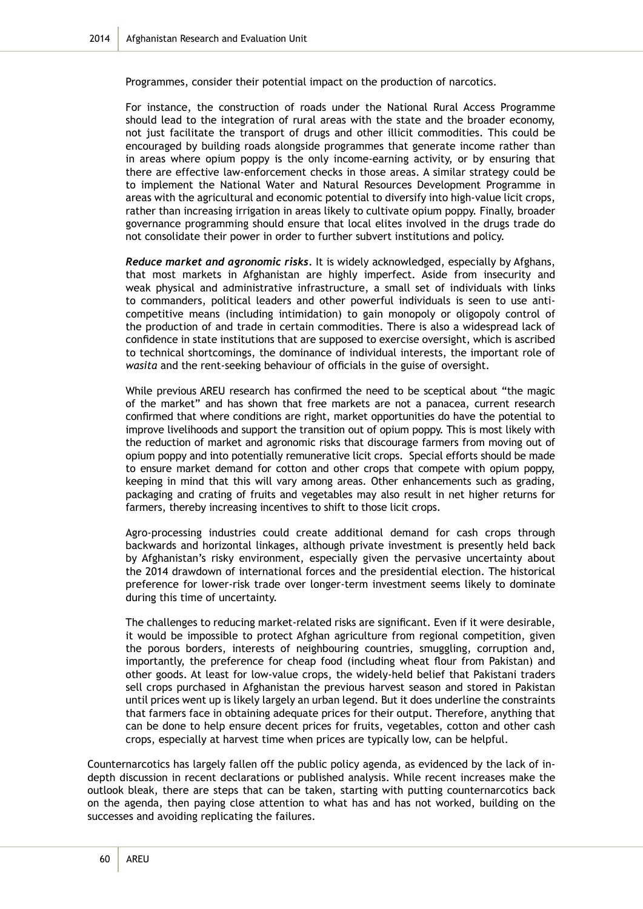Programmes, consider their potential impact on the production of narcotics.

For instance, the construction of roads under the National Rural Access Programme should lead to the integration of rural areas with the state and the broader economy, not just facilitate the transport of drugs and other illicit commodities. This could be encouraged by building roads alongside programmes that generate income rather than in areas where opium poppy is the only income-earning activity, or by ensuring that there are effective law-enforcement checks in those areas. A similar strategy could be to implement the National Water and Natural Resources Development Programme in areas with the agricultural and economic potential to diversify into high-value licit crops, rather than increasing irrigation in areas likely to cultivate opium poppy. Finally, broader governance programming should ensure that local elites involved in the drugs trade do not consolidate their power in order to further subvert institutions and policy.

*Reduce market and agronomic risks.* It is widely acknowledged, especially by Afghans, that most markets in Afghanistan are highly imperfect. Aside from insecurity and weak physical and administrative infrastructure, a small set of individuals with links to commanders, political leaders and other powerful individuals is seen to use anticompetitive means (including intimidation) to gain monopoly or oligopoly control of the production of and trade in certain commodities. There is also a widespread lack of confidence in state institutions that are supposed to exercise oversight, which is ascribed to technical shortcomings, the dominance of individual interests, the important role of *wasita* and the rent-seeking behaviour of officials in the guise of oversight.

While previous AREU research has confirmed the need to be sceptical about "the magic of the market" and has shown that free markets are not a panacea, current research confirmed that where conditions are right, market opportunities do have the potential to improve livelihoods and support the transition out of opium poppy. This is most likely with the reduction of market and agronomic risks that discourage farmers from moving out of opium poppy and into potentially remunerative licit crops. Special efforts should be made to ensure market demand for cotton and other crops that compete with opium poppy, keeping in mind that this will vary among areas. Other enhancements such as grading, packaging and crating of fruits and vegetables may also result in net higher returns for farmers, thereby increasing incentives to shift to those licit crops.

Agro-processing industries could create additional demand for cash crops through backwards and horizontal linkages, although private investment is presently held back by Afghanistan's risky environment, especially given the pervasive uncertainty about the 2014 drawdown of international forces and the presidential election. The historical preference for lower-risk trade over longer-term investment seems likely to dominate during this time of uncertainty.

The challenges to reducing market-related risks are significant. Even if it were desirable, it would be impossible to protect Afghan agriculture from regional competition, given the porous borders, interests of neighbouring countries, smuggling, corruption and, importantly, the preference for cheap food (including wheat flour from Pakistan) and other goods. At least for low-value crops, the widely-held belief that Pakistani traders sell crops purchased in Afghanistan the previous harvest season and stored in Pakistan until prices went up is likely largely an urban legend. But it does underline the constraints that farmers face in obtaining adequate prices for their output. Therefore, anything that can be done to help ensure decent prices for fruits, vegetables, cotton and other cash crops, especially at harvest time when prices are typically low, can be helpful.

Counternarcotics has largely fallen off the public policy agenda, as evidenced by the lack of indepth discussion in recent declarations or published analysis. While recent increases make the outlook bleak, there are steps that can be taken, starting with putting counternarcotics back on the agenda, then paying close attention to what has and has not worked, building on the successes and avoiding replicating the failures.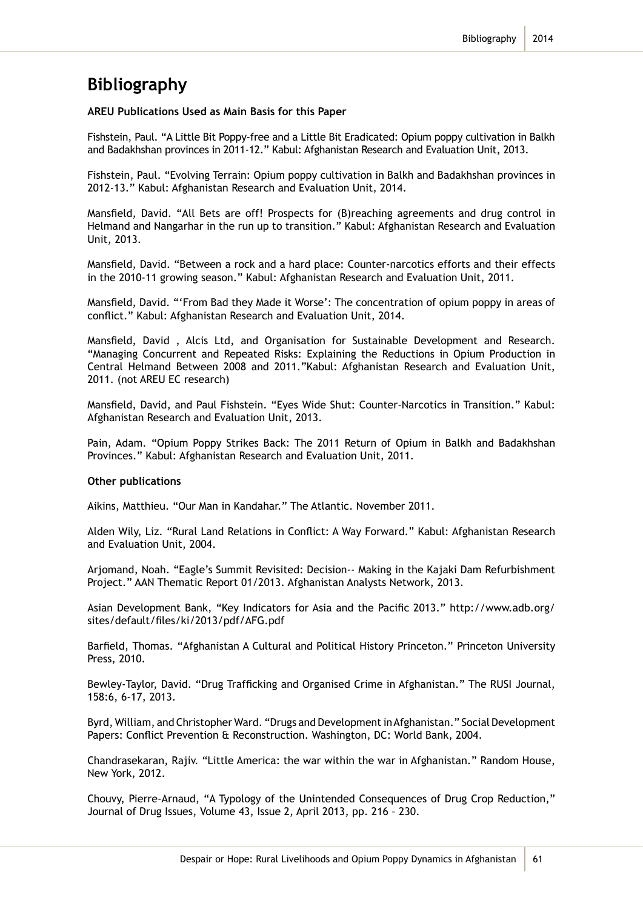# **Bibliography**

#### **AREU Publications Used as Main Basis for this Paper**

Fishstein, Paul. "A Little Bit Poppy-free and a Little Bit Eradicated: Opium poppy cultivation in Balkh and Badakhshan provinces in 2011-12." Kabul: Afghanistan Research and Evaluation Unit, 2013.

Fishstein, Paul. "Evolving Terrain: Opium poppy cultivation in Balkh and Badakhshan provinces in 2012-13." Kabul: Afghanistan Research and Evaluation Unit, 2014.

Mansfield, David. "All Bets are off! Prospects for (B)reaching agreements and drug control in Helmand and Nangarhar in the run up to transition." Kabul: Afghanistan Research and Evaluation Unit, 2013.

Mansfield, David. "Between a rock and a hard place: Counter-narcotics efforts and their effects in the 2010-11 growing season." Kabul: Afghanistan Research and Evaluation Unit, 2011.

Mansfield, David. "'From Bad they Made it Worse': The concentration of opium poppy in areas of conflict." Kabul: Afghanistan Research and Evaluation Unit, 2014.

Mansfield, David , Alcis Ltd, and Organisation for Sustainable Development and Research. "Managing Concurrent and Repeated Risks: Explaining the Reductions in Opium Production in Central Helmand Between 2008 and 2011."Kabul: Afghanistan Research and Evaluation Unit, 2011. (not AREU EC research)

Mansfield, David, and Paul Fishstein. "Eyes Wide Shut: Counter-Narcotics in Transition." Kabul: Afghanistan Research and Evaluation Unit, 2013.

Pain, Adam. "Opium Poppy Strikes Back: The 2011 Return of Opium in Balkh and Badakhshan Provinces." Kabul: Afghanistan Research and Evaluation Unit, 2011.

#### **Other publications**

Aikins, Matthieu. "Our Man in Kandahar." The Atlantic. November 2011.

Alden Wily, Liz. "Rural Land Relations in Conflict: A Way Forward." Kabul: Afghanistan Research and Evaluation Unit, 2004.

Arjomand, Noah. "Eagle's Summit Revisited: Decision-- Making in the Kajaki Dam Refurbishment Project." AAN Thematic Report 01/2013. Afghanistan Analysts Network, 2013.

Asian Development Bank, "Key Indicators for Asia and the Pacific 2013." http://www.adb.org/ sites/default/files/ki/2013/pdf/AFG.pdf

Barfield, Thomas. "Afghanistan A Cultural and Political History Princeton." Princeton University Press, 2010.

Bewley-Taylor, David. "Drug Trafficking and Organised Crime in Afghanistan." The RUSI Journal, 158:6, 6-17, 2013.

Byrd, William, and Christopher Ward. "Drugs and Development in Afghanistan." Social Development Papers: Conflict Prevention & Reconstruction. Washington, DC: World Bank, 2004.

Chandrasekaran, Rajiv. "Little America: the war within the war in Afghanistan." Random House, New York, 2012.

Chouvy, Pierre-Arnaud, "A Typology of the Unintended Consequences of Drug Crop Reduction," Journal of Drug Issues, Volume 43, Issue 2, April 2013, pp. 216 – 230.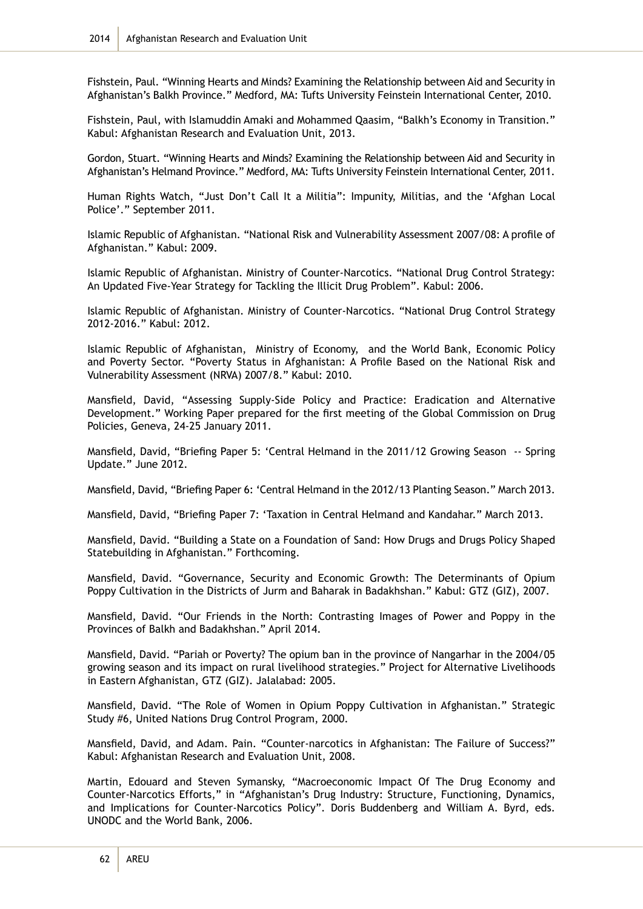Fishstein, Paul. "Winning Hearts and Minds? Examining the Relationship between Aid and Security in Afghanistan's Balkh Province." Medford, MA: Tufts University Feinstein International Center, 2010.

Fishstein, Paul, with Islamuddin Amaki and Mohammed Qaasim, "Balkh's Economy in Transition." Kabul: Afghanistan Research and Evaluation Unit, 2013.

Gordon, Stuart. "Winning Hearts and Minds? Examining the Relationship between Aid and Security in Afghanistan's Helmand Province." Medford, MA: Tufts University Feinstein International Center, 2011.

Human Rights Watch, "Just Don't Call It a Militia": Impunity, Militias, and the 'Afghan Local Police'." September 2011.

Islamic Republic of Afghanistan. "National Risk and Vulnerability Assessment 2007/08: A profile of Afghanistan." Kabul: 2009.

Islamic Republic of Afghanistan. Ministry of Counter-Narcotics. "National Drug Control Strategy: An Updated Five-Year Strategy for Tackling the Illicit Drug Problem". Kabul: 2006.

Islamic Republic of Afghanistan. Ministry of Counter-Narcotics. "National Drug Control Strategy 2012-2016." Kabul: 2012.

Islamic Republic of Afghanistan, Ministry of Economy, and the World Bank, Economic Policy and Poverty Sector. "Poverty Status in Afghanistan: A Profile Based on the National Risk and Vulnerability Assessment (NRVA) 2007/8." Kabul: 2010.

Mansfield, David, "Assessing Supply-Side Policy and Practice: Eradication and Alternative Development." Working Paper prepared for the first meeting of the Global Commission on Drug Policies, Geneva, 24-25 January 2011.

Mansfield, David, "Briefing Paper 5: 'Central Helmand in the 2011/12 Growing Season -- Spring Update." June 2012.

Mansfield, David, "Briefing Paper 6: 'Central Helmand in the 2012/13 Planting Season." March 2013.

Mansfield, David, "Briefing Paper 7: 'Taxation in Central Helmand and Kandahar." March 2013.

Mansfield, David. "Building a State on a Foundation of Sand: How Drugs and Drugs Policy Shaped Statebuilding in Afghanistan." Forthcoming.

Mansfield, David. "Governance, Security and Economic Growth: The Determinants of Opium Poppy Cultivation in the Districts of Jurm and Baharak in Badakhshan." Kabul: GTZ (GIZ), 2007.

Mansfield, David. "Our Friends in the North: Contrasting Images of Power and Poppy in the Provinces of Balkh and Badakhshan." April 2014.

Mansfield, David. "Pariah or Poverty? The opium ban in the province of Nangarhar in the 2004/05 growing season and its impact on rural livelihood strategies." Project for Alternative Livelihoods in Eastern Afghanistan, GTZ (GIZ). Jalalabad: 2005.

Mansfield, David. "The Role of Women in Opium Poppy Cultivation in Afghanistan." Strategic Study #6, United Nations Drug Control Program, 2000.

Mansfield, David, and Adam. Pain. "Counter-narcotics in Afghanistan: The Failure of Success?" Kabul: Afghanistan Research and Evaluation Unit, 2008.

Martin, Edouard and Steven Symansky, "Macroeconomic Impact Of The Drug Economy and Counter-Narcotics Efforts," in "Afghanistan's Drug Industry: Structure, Functioning, Dynamics, and Implications for Counter-Narcotics Policy". Doris Buddenberg and William A. Byrd, eds. UNODC and the World Bank, 2006.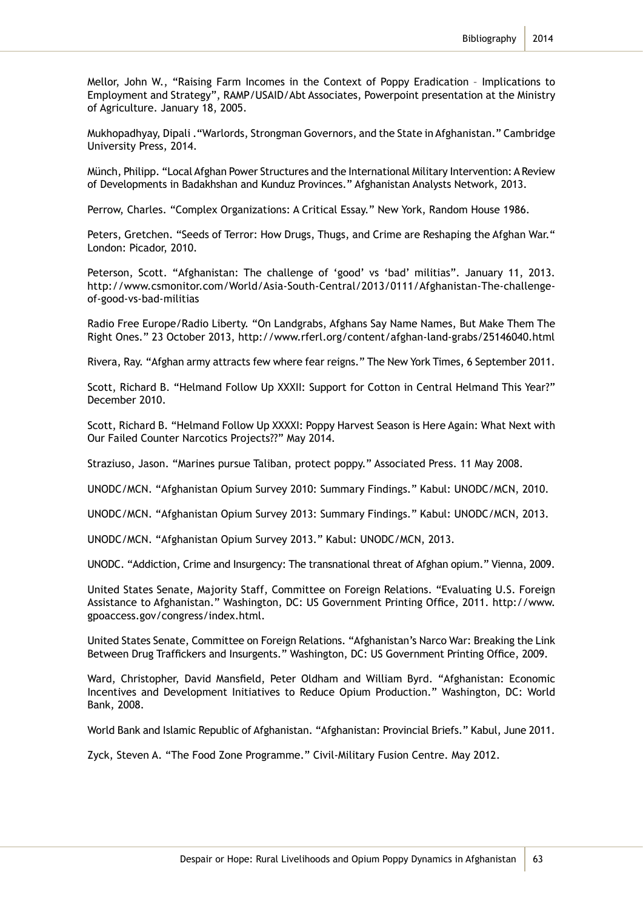Mellor, John W., "Raising Farm Incomes in the Context of Poppy Eradication – Implications to Employment and Strategy", RAMP/USAID/Abt Associates, Powerpoint presentation at the Ministry of Agriculture. January 18, 2005.

Mukhopadhyay, Dipali ."Warlords, Strongman Governors, and the State in Afghanistan." Cambridge University Press, 2014.

Münch, Philipp. "Local Afghan Power Structures and the International Military Intervention: A Review of Developments in Badakhshan and Kunduz Provinces." Afghanistan Analysts Network, 2013.

Perrow, Charles. "Complex Organizations: A Critical Essay." New York, Random House 1986.

Peters, Gretchen. "Seeds of Terror: How Drugs, Thugs, and Crime are Reshaping the Afghan War." London: Picador, 2010.

Peterson, Scott. "Afghanistan: The challenge of 'good' vs 'bad' militias". January 11, 2013. http://www.csmonitor.com/World/Asia-South-Central/2013/0111/Afghanistan-The-challengeof-good-vs-bad-militias

Radio Free Europe/Radio Liberty. "On Landgrabs, Afghans Say Name Names, But Make Them The Right Ones." 23 October 2013, http://www.rferl.org/content/afghan-land-grabs/25146040.html

Rivera, Ray. "Afghan army attracts few where fear reigns." The New York Times, 6 September 2011.

Scott, Richard B. "Helmand Follow Up XXXII: Support for Cotton in Central Helmand This Year?" December 2010.

Scott, Richard B. "Helmand Follow Up XXXXI: Poppy Harvest Season is Here Again: What Next with Our Failed Counter Narcotics Projects??" May 2014.

Straziuso, Jason. "Marines pursue Taliban, protect poppy." Associated Press. 11 May 2008.

UNODC/MCN. "Afghanistan Opium Survey 2010: Summary Findings." Kabul: UNODC/MCN, 2010.

UNODC/MCN. "Afghanistan Opium Survey 2013: Summary Findings." Kabul: UNODC/MCN, 2013.

UNODC/MCN. "Afghanistan Opium Survey 2013." Kabul: UNODC/MCN, 2013.

UNODC. "Addiction, Crime and Insurgency: The transnational threat of Afghan opium." Vienna, 2009.

United States Senate, Majority Staff, Committee on Foreign Relations. "Evaluating U.S. Foreign Assistance to Afghanistan." Washington, DC: US Government Printing Office, 2011. http://www. gpoaccess.gov/congress/index.html.

United States Senate, Committee on Foreign Relations. "Afghanistan's Narco War: Breaking the Link Between Drug Traffickers and Insurgents." Washington, DC: US Government Printing Office, 2009.

Ward, Christopher, David Mansfield, Peter Oldham and William Byrd. "Afghanistan: Economic Incentives and Development Initiatives to Reduce Opium Production." Washington, DC: World Bank, 2008.

World Bank and Islamic Republic of Afghanistan. "Afghanistan: Provincial Briefs." Kabul, June 2011.

Zyck, Steven A. "The Food Zone Programme." Civil-Military Fusion Centre. May 2012.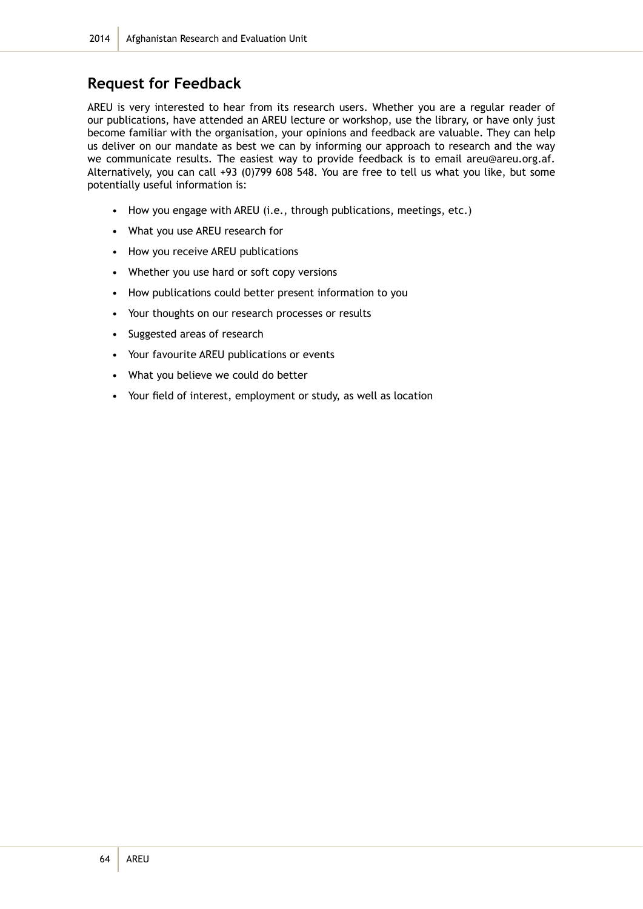## **Request for Feedback**

AREU is very interested to hear from its research users. Whether you are a regular reader of our publications, have attended an AREU lecture or workshop, use the library, or have only just become familiar with the organisation, your opinions and feedback are valuable. They can help us deliver on our mandate as best we can by informing our approach to research and the way we communicate results. The easiest way to provide feedback is to email areu@areu.org.af. Alternatively, you can call +93 (0)799 608 548. You are free to tell us what you like, but some potentially useful information is:

- How you engage with AREU (i.e., through publications, meetings, etc.)
- What you use AREU research for
- How you receive AREU publications
- Whether you use hard or soft copy versions
- How publications could better present information to you
- Your thoughts on our research processes or results
- Suggested areas of research
- Your favourite AREU publications or events
- What you believe we could do better
- Your field of interest, employment or study, as well as location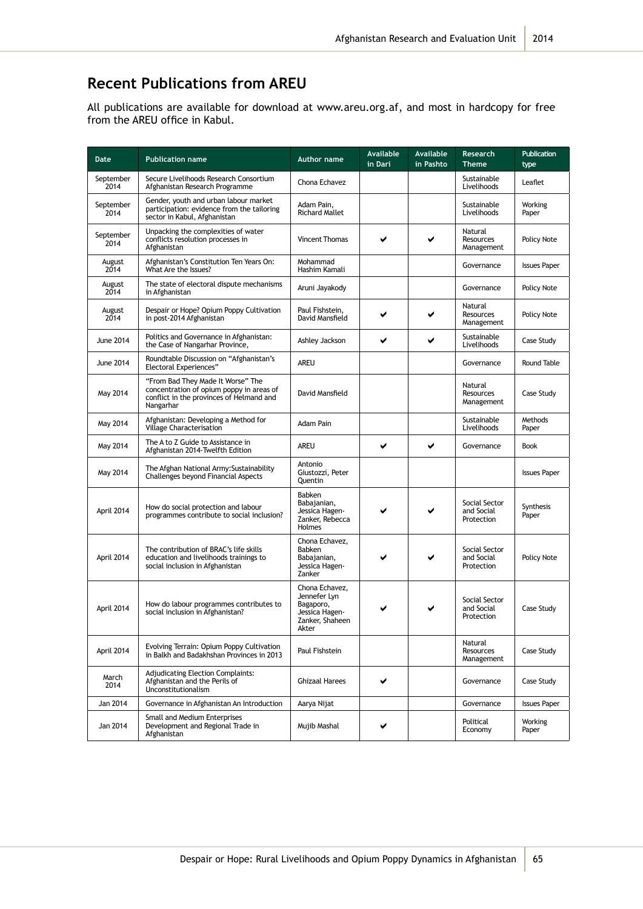## **Recent Publications from AREU**

All publications are available for download at www.areu.org.af, and most in hardcopy for free from the AREU office in Kabul.

| <b>Date</b>       | <b>Publication name</b>                                                                                                                | <b>Author name</b>                                                                        | <b>Available</b><br>in Dari | Available<br>in Pashto | Research<br><b>Theme</b>                  | <b>Publication</b><br>type |
|-------------------|----------------------------------------------------------------------------------------------------------------------------------------|-------------------------------------------------------------------------------------------|-----------------------------|------------------------|-------------------------------------------|----------------------------|
| September<br>2014 | Secure Livelihoods Research Consortium<br>Afghanistan Research Programme                                                               | Chona Echavez                                                                             |                             |                        | Sustainable<br>Livelihoods                | Leaflet                    |
| September<br>2014 | Gender, youth and urban labour market<br>participation: evidence from the tailoring<br>sector in Kabul, Afghanistan                    | Adam Pain.<br><b>Richard Mallet</b>                                                       |                             |                        | Sustainable<br>Livelihoods                | Working<br>Paper           |
| September<br>2014 | Unpacking the complexities of water<br>conflicts resolution processes in<br>Afghanistan                                                | <b>Vincent Thomas</b>                                                                     |                             | ✔                      | Natural<br><b>Resources</b><br>Management | Policy Note                |
| August<br>2014    | Afghanistan's Constitution Ten Years On:<br>What Are the Issues?                                                                       | Mohammad<br>Hashim Kamali                                                                 |                             |                        | Governance                                | <b>Issues Paper</b>        |
| August<br>2014    | The state of electoral dispute mechanisms<br>in Afghanistan                                                                            | Aruni Jayakody                                                                            |                             |                        | Governance                                | Policy Note                |
| August<br>2014    | Despair or Hope? Opium Poppy Cultivation<br>in post-2014 Afghanistan                                                                   | Paul Fishstein,<br>David Mansfield                                                        |                             | ✔                      | Natural<br><b>Resources</b><br>Management | Policy Note                |
| <b>June 2014</b>  | Politics and Governance in Afghanistan:<br>the Case of Nangarhar Province,                                                             | Ashley Jackson                                                                            | ✔                           | ✔                      | Sustainable<br>Livelihoods                | Case Study                 |
| <b>June 2014</b>  | Roundtable Discussion on "Afghanistan's<br><b>Electoral Experiences"</b>                                                               | <b>AREU</b>                                                                               |                             |                        | Governance                                | Round Table                |
| May 2014          | "From Bad They Made It Worse" The<br>concentration of opium poppy in areas of<br>conflict in the provinces of Helmand and<br>Nangarhar | David Mansfield                                                                           |                             |                        | Natural<br>Resources<br>Management        | Case Study                 |
| May 2014          | Afghanistan: Developing a Method for<br><b>Village Characterisation</b>                                                                | Adam Pain                                                                                 |                             |                        | Sustainable<br>Livelihoods                | Methods<br>Paper           |
| May 2014          | The A to Z Guide to Assistance in<br>Afghanistan 2014-Twelfth Edition                                                                  | AREU                                                                                      | ✔                           | ✔                      | Governance                                | Book                       |
| May 2014          | The Afghan National Army: Sustainability<br>Challenges beyond Financial Aspects                                                        | Antonio<br>Giustozzi, Peter<br>Quentin                                                    |                             |                        |                                           | <b>Issues Paper</b>        |
| April 2014        | How do social protection and labour<br>programmes contribute to social inclusion?                                                      | Babken<br>Babajanian,<br>Jessica Hagen-<br>Zanker, Rebecca<br><b>Holmes</b>               |                             |                        | Social Sector<br>and Social<br>Protection | Synthesis<br>Paper         |
| April 2014        | The contribution of BRAC's life skills<br>education and livelihoods trainings to<br>social inclusion in Afghanistan                    | Chona Echavez,<br><b>Babken</b><br>Babajanian,<br>Jessica Hagen-<br>Zanker                |                             |                        | Social Sector<br>and Social<br>Protection | Policy Note                |
| April 2014        | How do labour programmes contributes to<br>social inclusion in Afghanistan?                                                            | Chona Echavez,<br>Jennefer Lyn<br>Bagaporo,<br>Jessica Hagen-<br>Zanker, Shaheen<br>Akter |                             |                        | Social Sector<br>and Social<br>Protection | Case Study                 |
| April 2014        | Evolving Terrain: Opium Poppy Cultivation<br>in Balkh and Badakhshan Provinces in 2013                                                 | Paul Fishstein                                                                            |                             |                        | Natural<br>Resources<br>Management        | Case Study                 |
| March<br>2014     | <b>Adjudicating Election Complaints:</b><br>Afghanistan and the Perils of<br>Unconstitutionalism                                       | <b>Ghizaal Harees</b>                                                                     | ✔                           |                        | Governance                                | Case Study                 |
| Jan 2014          | Governance in Afghanistan An Introduction                                                                                              | Aarya Nijat                                                                               |                             |                        | Governance                                | <b>Issues Paper</b>        |
| Jan 2014          | Small and Medium Enterprises<br>Development and Regional Trade in<br>Afghanistan                                                       | Mujib Mashal                                                                              | ✔                           |                        | Political<br>Economy                      | Working<br>Paper           |